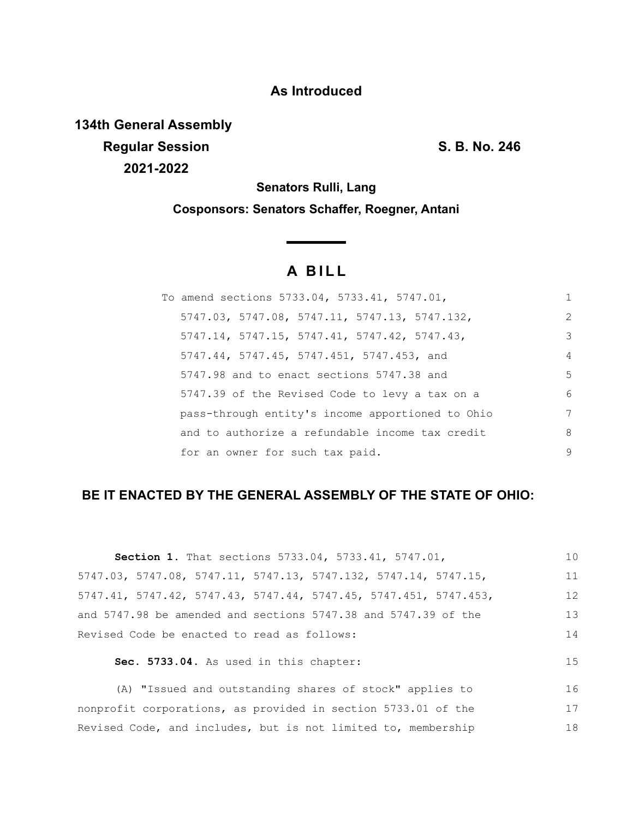## **As Introduced**

**134th General Assembly Regular Session S. B. No. 246 2021-2022**

**Senators Rulli, Lang**

**Cosponsors: Senators Schaffer, Roegner, Antani**

# **A BILL**

<u> The Common State</u>

| To amend sections 5733.04, 5733.41, 5747.01,     | 1              |
|--------------------------------------------------|----------------|
| 5747.03, 5747.08, 5747.11, 5747.13, 5747.132,    | $\overline{2}$ |
| 5747.14, 5747.15, 5747.41, 5747.42, 5747.43,     | 3              |
| 5747.44, 5747.45, 5747.451, 5747.453, and        | $\overline{4}$ |
| 5747.98 and to enact sections 5747.38 and        | 5              |
| 5747.39 of the Revised Code to levy a tax on a   | 6              |
| pass-through entity's income apportioned to Ohio | 7              |
| and to authorize a refundable income tax credit  | 8              |
| for an owner for such tax paid.                  | 9              |

### **BE IT ENACTED BY THE GENERAL ASSEMBLY OF THE STATE OF OHIO:**

|                                                                      | 10 |
|----------------------------------------------------------------------|----|
| <b>Section 1.</b> That sections 5733.04, 5733.41, 5747.01,           |    |
| 5747.03, 5747.08, 5747.11, 5747.13, 5747.132, 5747.14, 5747.15,      | 11 |
| $5747.41, 5747.42, 5747.43, 5747.44, 5747.45, 5747.451, 5747.453,$   | 12 |
| and $5747.98$ be amended and sections $5747.38$ and $5747.39$ of the | 13 |
| Revised Code be enacted to read as follows:                          | 14 |
| Sec. 5733.04. As used in this chapter:                               | 15 |
| (A) "Issued and outstanding shares of stock" applies to              | 16 |
|                                                                      |    |

nonprofit corporations, as provided in section 5733.01 of the Revised Code, and includes, but is not limited to, membership 17 18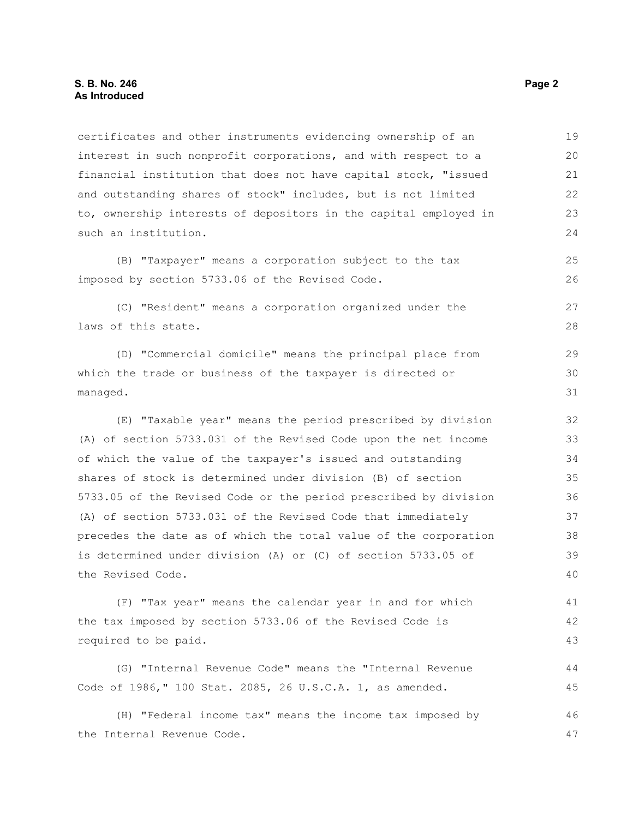certificates and other instruments evidencing ownership of an interest in such nonprofit corporations, and with respect to a financial institution that does not have capital stock, "issued and outstanding shares of stock" includes, but is not limited to, ownership interests of depositors in the capital employed in such an institution. (B) "Taxpayer" means a corporation subject to the tax imposed by section 5733.06 of the Revised Code. (C) "Resident" means a corporation organized under the laws of this state. (D) "Commercial domicile" means the principal place from which the trade or business of the taxpayer is directed or managed. (E) "Taxable year" means the period prescribed by division (A) of section 5733.031 of the Revised Code upon the net income of which the value of the taxpayer's issued and outstanding shares of stock is determined under division (B) of section 19 20 21 22 23 24 25 26 27 28 29 30 31 32 33 34 35

5733.05 of the Revised Code or the period prescribed by division (A) of section 5733.031 of the Revised Code that immediately precedes the date as of which the total value of the corporation is determined under division (A) or (C) of section 5733.05 of the Revised Code. 36 37 38 39 40

(F) "Tax year" means the calendar year in and for which the tax imposed by section 5733.06 of the Revised Code is required to be paid. 41 42 43

(G) "Internal Revenue Code" means the "Internal Revenue Code of 1986," 100 Stat. 2085, 26 U.S.C.A. 1, as amended. 44 45

(H) "Federal income tax" means the income tax imposed by the Internal Revenue Code. 46 47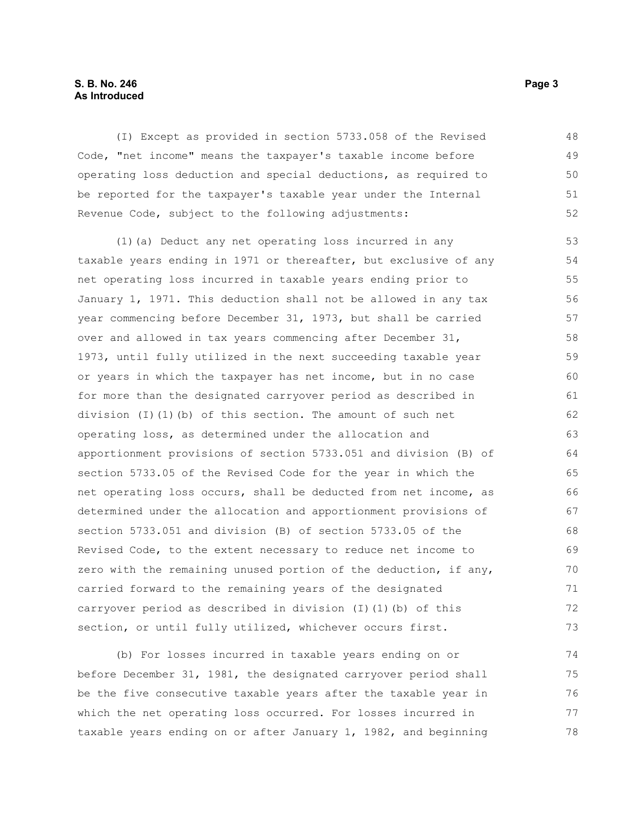#### **S. B. No. 246** Page 3 **As Introduced**

(I) Except as provided in section 5733.058 of the Revised Code, "net income" means the taxpayer's taxable income before operating loss deduction and special deductions, as required to be reported for the taxpayer's taxable year under the Internal Revenue Code, subject to the following adjustments: 48 49 50 51 52

(1)(a) Deduct any net operating loss incurred in any taxable years ending in 1971 or thereafter, but exclusive of any net operating loss incurred in taxable years ending prior to January 1, 1971. This deduction shall not be allowed in any tax year commencing before December 31, 1973, but shall be carried over and allowed in tax years commencing after December 31, 1973, until fully utilized in the next succeeding taxable year or years in which the taxpayer has net income, but in no case for more than the designated carryover period as described in division (I)(1)(b) of this section. The amount of such net operating loss, as determined under the allocation and apportionment provisions of section 5733.051 and division (B) of section 5733.05 of the Revised Code for the year in which the net operating loss occurs, shall be deducted from net income, as determined under the allocation and apportionment provisions of section 5733.051 and division (B) of section 5733.05 of the Revised Code, to the extent necessary to reduce net income to zero with the remaining unused portion of the deduction, if any, carried forward to the remaining years of the designated carryover period as described in division (I)(1)(b) of this section, or until fully utilized, whichever occurs first. 53 54 55 56 57 58 59 60 61 62 63 64 65 66 67 68 69 70 71 72 73

(b) For losses incurred in taxable years ending on or before December 31, 1981, the designated carryover period shall be the five consecutive taxable years after the taxable year in which the net operating loss occurred. For losses incurred in taxable years ending on or after January 1, 1982, and beginning 74 75 76 77 78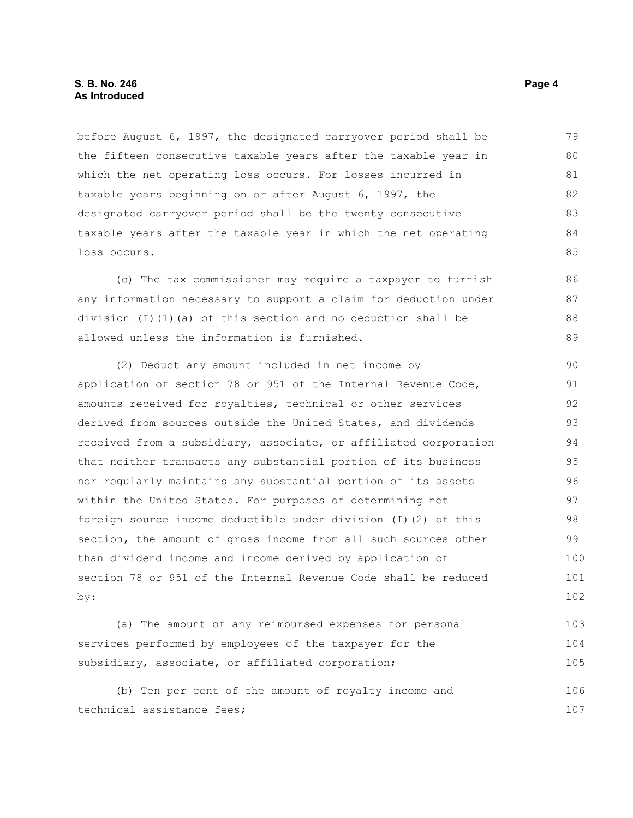before August 6, 1997, the designated carryover period shall be the fifteen consecutive taxable years after the taxable year in which the net operating loss occurs. For losses incurred in taxable years beginning on or after August 6, 1997, the designated carryover period shall be the twenty consecutive taxable years after the taxable year in which the net operating loss occurs. 79 80 81 82 83 84 85

(c) The tax commissioner may require a taxpayer to furnish any information necessary to support a claim for deduction under division (I)(1)(a) of this section and no deduction shall be allowed unless the information is furnished.

(2) Deduct any amount included in net income by application of section 78 or 951 of the Internal Revenue Code, amounts received for royalties, technical or other services derived from sources outside the United States, and dividends received from a subsidiary, associate, or affiliated corporation that neither transacts any substantial portion of its business nor regularly maintains any substantial portion of its assets within the United States. For purposes of determining net foreign source income deductible under division (I)(2) of this section, the amount of gross income from all such sources other than dividend income and income derived by application of section 78 or 951 of the Internal Revenue Code shall be reduced by: 90 91 92 93 94 95 96 97 98 99 100 101 102

(a) The amount of any reimbursed expenses for personal services performed by employees of the taxpayer for the subsidiary, associate, or affiliated corporation; 103 104 105

(b) Ten per cent of the amount of royalty income and technical assistance fees; 106 107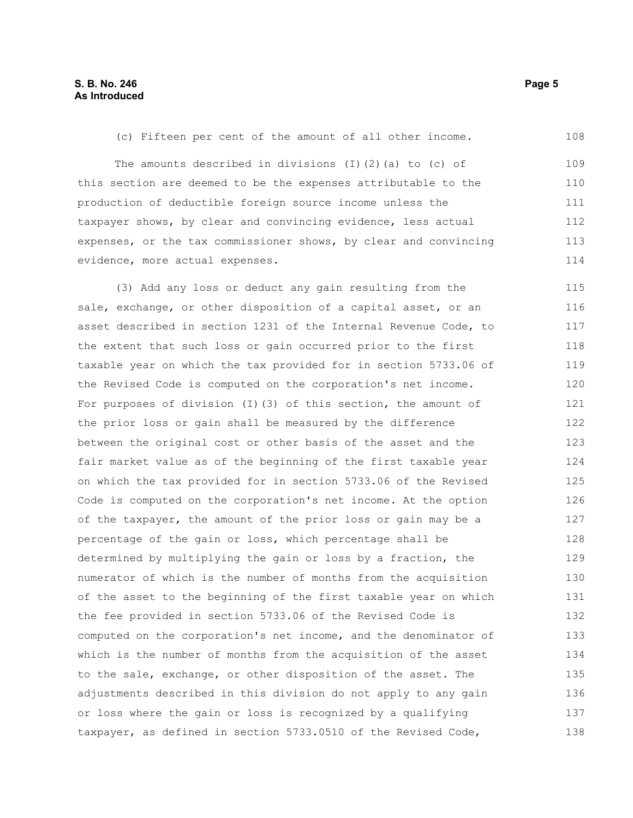(c) Fifteen per cent of the amount of all other income. The amounts described in divisions  $(I)$   $(2)$   $(a)$  to  $(c)$  of this section are deemed to be the expenses attributable to the production of deductible foreign source income unless the taxpayer shows, by clear and convincing evidence, less actual expenses, or the tax commissioner shows, by clear and convincing evidence, more actual expenses. (3) Add any loss or deduct any gain resulting from the sale, exchange, or other disposition of a capital asset, or an 108 109 110 111 112 113 114 115 116

asset described in section 1231 of the Internal Revenue Code, to the extent that such loss or gain occurred prior to the first taxable year on which the tax provided for in section 5733.06 of the Revised Code is computed on the corporation's net income. For purposes of division (I)(3) of this section, the amount of the prior loss or gain shall be measured by the difference between the original cost or other basis of the asset and the fair market value as of the beginning of the first taxable year on which the tax provided for in section 5733.06 of the Revised Code is computed on the corporation's net income. At the option of the taxpayer, the amount of the prior loss or gain may be a percentage of the gain or loss, which percentage shall be determined by multiplying the gain or loss by a fraction, the numerator of which is the number of months from the acquisition of the asset to the beginning of the first taxable year on which the fee provided in section 5733.06 of the Revised Code is computed on the corporation's net income, and the denominator of which is the number of months from the acquisition of the asset to the sale, exchange, or other disposition of the asset. The adjustments described in this division do not apply to any gain or loss where the gain or loss is recognized by a qualifying taxpayer, as defined in section 5733.0510 of the Revised Code, 117 118 119 120 121 122 123 124 125 126 127 128 129 130 131 132 133 134 135 136 137 138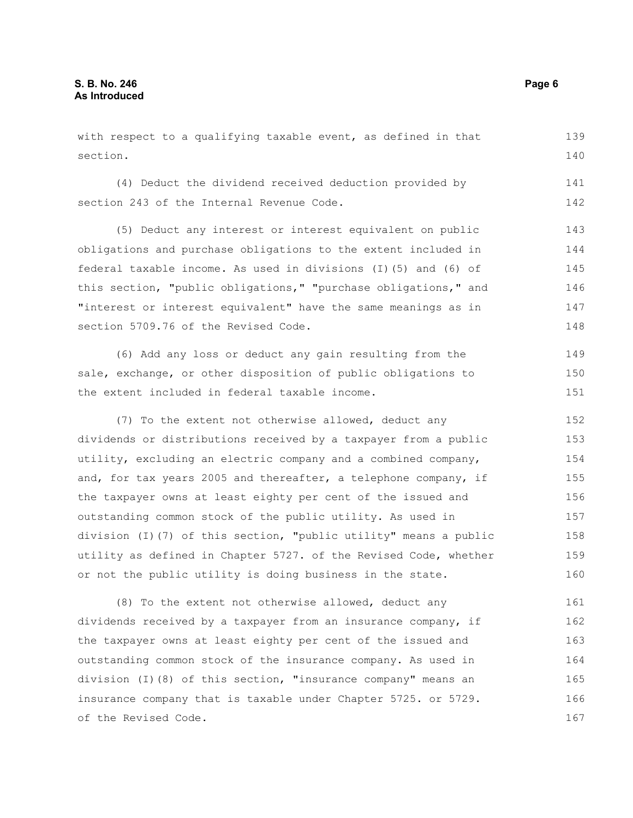with respect to a qualifying taxable event, as defined in that section. (4) Deduct the dividend received deduction provided by section 243 of the Internal Revenue Code. (5) Deduct any interest or interest equivalent on public obligations and purchase obligations to the extent included in federal taxable income. As used in divisions (I)(5) and (6) of this section, "public obligations," "purchase obligations," and "interest or interest equivalent" have the same meanings as in section 5709.76 of the Revised Code. 139 140 141 142 143 144 145 146 147 148

(6) Add any loss or deduct any gain resulting from the sale, exchange, or other disposition of public obligations to the extent included in federal taxable income. 149 150 151

(7) To the extent not otherwise allowed, deduct any dividends or distributions received by a taxpayer from a public utility, excluding an electric company and a combined company, and, for tax years 2005 and thereafter, a telephone company, if the taxpayer owns at least eighty per cent of the issued and outstanding common stock of the public utility. As used in division (I)(7) of this section, "public utility" means a public utility as defined in Chapter 5727. of the Revised Code, whether or not the public utility is doing business in the state. 152 153 154 155 156 157 158 159 160

(8) To the extent not otherwise allowed, deduct any dividends received by a taxpayer from an insurance company, if the taxpayer owns at least eighty per cent of the issued and outstanding common stock of the insurance company. As used in division (I)(8) of this section, "insurance company" means an insurance company that is taxable under Chapter 5725. or 5729. of the Revised Code. 161 162 163 164 165 166 167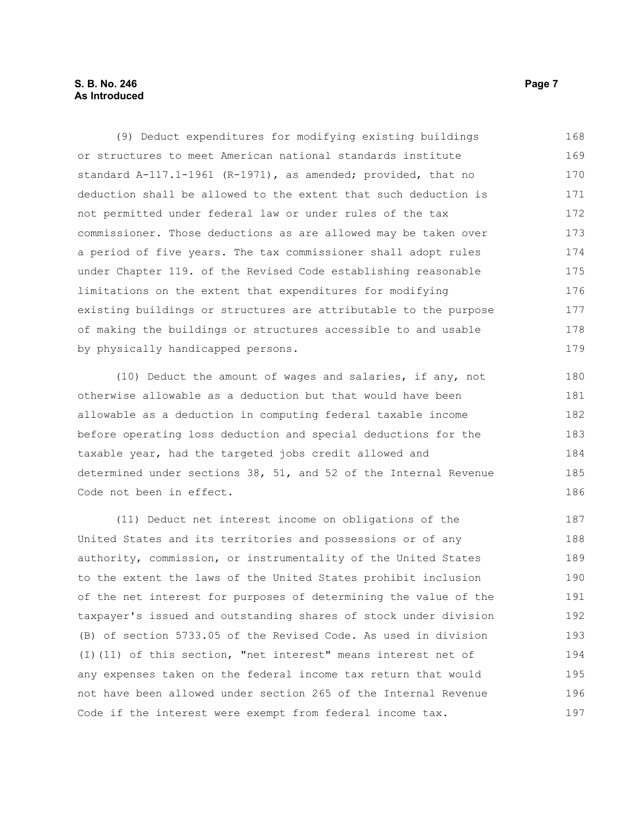#### **S. B. No. 246** Page 7 **As Introduced**

(9) Deduct expenditures for modifying existing buildings or structures to meet American national standards institute standard A-117.1-1961 (R-1971), as amended; provided, that no deduction shall be allowed to the extent that such deduction is not permitted under federal law or under rules of the tax commissioner. Those deductions as are allowed may be taken over a period of five years. The tax commissioner shall adopt rules under Chapter 119. of the Revised Code establishing reasonable limitations on the extent that expenditures for modifying existing buildings or structures are attributable to the purpose of making the buildings or structures accessible to and usable by physically handicapped persons. 168 169 170 171 172 173 174 175 176 177 178 179

(10) Deduct the amount of wages and salaries, if any, not otherwise allowable as a deduction but that would have been allowable as a deduction in computing federal taxable income before operating loss deduction and special deductions for the taxable year, had the targeted jobs credit allowed and determined under sections 38, 51, and 52 of the Internal Revenue Code not been in effect.

(11) Deduct net interest income on obligations of the United States and its territories and possessions or of any authority, commission, or instrumentality of the United States to the extent the laws of the United States prohibit inclusion of the net interest for purposes of determining the value of the taxpayer's issued and outstanding shares of stock under division (B) of section 5733.05 of the Revised Code. As used in division (I)(11) of this section, "net interest" means interest net of any expenses taken on the federal income tax return that would not have been allowed under section 265 of the Internal Revenue Code if the interest were exempt from federal income tax. 187 188 189 190 191 192 193 194 195 196 197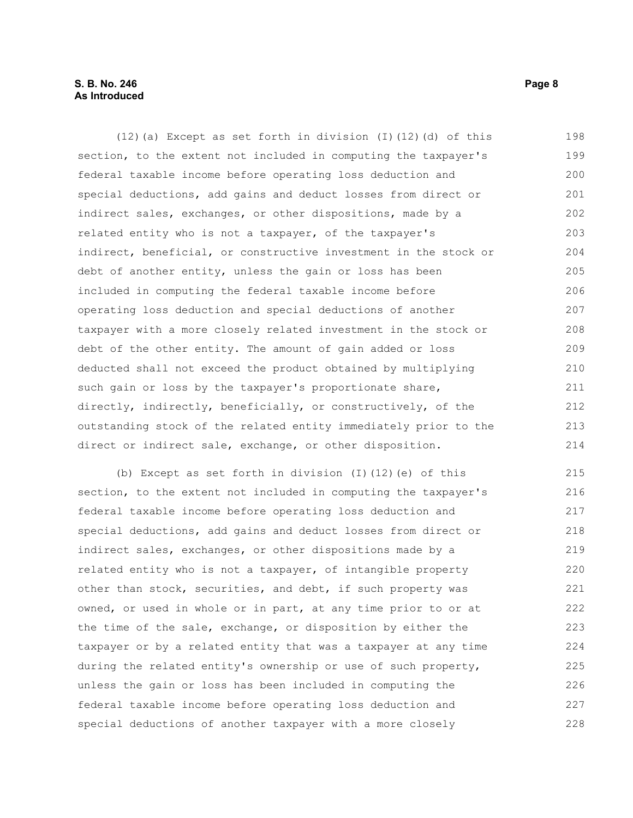#### **S. B. No. 246** Page 8 **As Introduced**

(12)(a) Except as set forth in division (I)(12)(d) of this section, to the extent not included in computing the taxpayer's federal taxable income before operating loss deduction and special deductions, add gains and deduct losses from direct or indirect sales, exchanges, or other dispositions, made by a related entity who is not a taxpayer, of the taxpayer's indirect, beneficial, or constructive investment in the stock or debt of another entity, unless the gain or loss has been included in computing the federal taxable income before operating loss deduction and special deductions of another taxpayer with a more closely related investment in the stock or debt of the other entity. The amount of gain added or loss deducted shall not exceed the product obtained by multiplying such gain or loss by the taxpayer's proportionate share, directly, indirectly, beneficially, or constructively, of the outstanding stock of the related entity immediately prior to the direct or indirect sale, exchange, or other disposition. 198 199 200 201 202 203 204 205 206 207 208 209 210 211 212 213 214

(b) Except as set forth in division (I)(12)(e) of this section, to the extent not included in computing the taxpayer's federal taxable income before operating loss deduction and special deductions, add gains and deduct losses from direct or indirect sales, exchanges, or other dispositions made by a related entity who is not a taxpayer, of intangible property other than stock, securities, and debt, if such property was owned, or used in whole or in part, at any time prior to or at the time of the sale, exchange, or disposition by either the taxpayer or by a related entity that was a taxpayer at any time during the related entity's ownership or use of such property, unless the gain or loss has been included in computing the federal taxable income before operating loss deduction and special deductions of another taxpayer with a more closely 215 216 217 218 219 220 221 222 223 224 225 226 227 228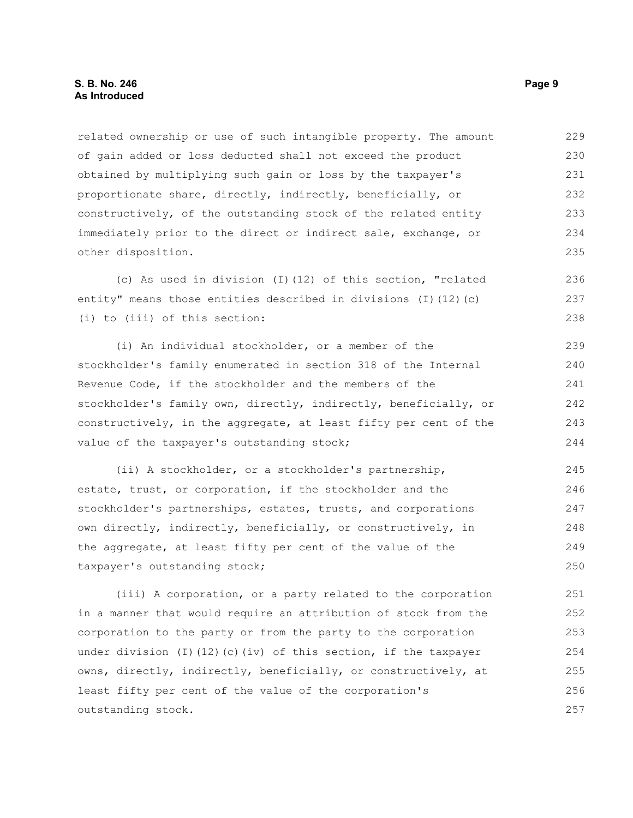#### **S. B. No. 246** Page 9 **As Introduced**

related ownership or use of such intangible property. The amount of gain added or loss deducted shall not exceed the product obtained by multiplying such gain or loss by the taxpayer's proportionate share, directly, indirectly, beneficially, or constructively, of the outstanding stock of the related entity immediately prior to the direct or indirect sale, exchange, or other disposition. 229 230 231 232 233 234 235

(c) As used in division (I)(12) of this section, "related entity" means those entities described in divisions (I)(12)(c) (i) to (iii) of this section: 236 237 238

(i) An individual stockholder, or a member of the stockholder's family enumerated in section 318 of the Internal Revenue Code, if the stockholder and the members of the stockholder's family own, directly, indirectly, beneficially, or constructively, in the aggregate, at least fifty per cent of the value of the taxpayer's outstanding stock; 239 240 241 242 243 244

(ii) A stockholder, or a stockholder's partnership, estate, trust, or corporation, if the stockholder and the stockholder's partnerships, estates, trusts, and corporations own directly, indirectly, beneficially, or constructively, in the aggregate, at least fifty per cent of the value of the taxpayer's outstanding stock; 245 246 247 248 249 250

(iii) A corporation, or a party related to the corporation in a manner that would require an attribution of stock from the corporation to the party or from the party to the corporation under division (I)(12)(c)(iv) of this section, if the taxpayer owns, directly, indirectly, beneficially, or constructively, at least fifty per cent of the value of the corporation's outstanding stock. 251 252 253 254 255 256 257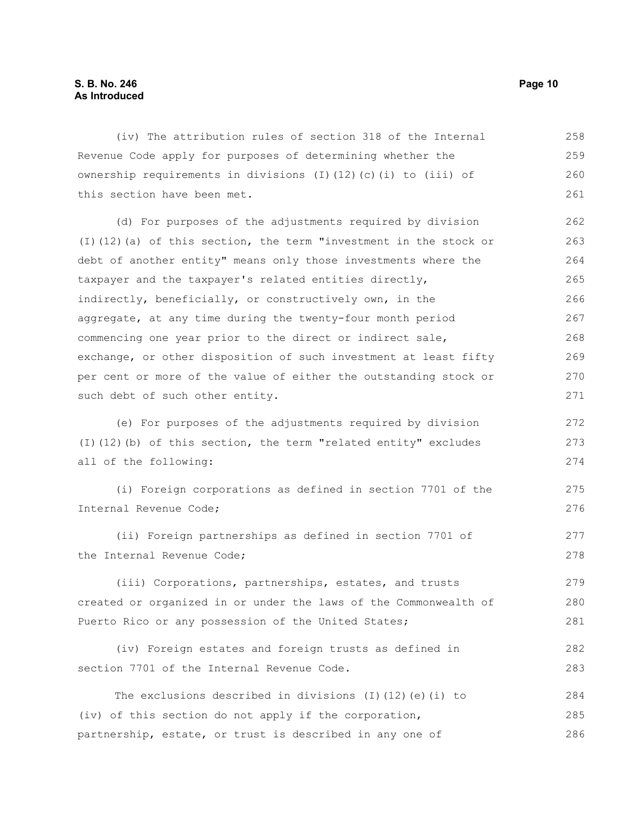#### **S. B. No. 246 Page 10 As Introduced**

(iv) The attribution rules of section 318 of the Internal Revenue Code apply for purposes of determining whether the ownership requirements in divisions (I)(12)(c)(i) to (iii) of this section have been met. (d) For purposes of the adjustments required by division (I)(12)(a) of this section, the term "investment in the stock or debt of another entity" means only those investments where the taxpayer and the taxpayer's related entities directly, indirectly, beneficially, or constructively own, in the aggregate, at any time during the twenty-four month period commencing one year prior to the direct or indirect sale, exchange, or other disposition of such investment at least fifty per cent or more of the value of either the outstanding stock or such debt of such other entity. (e) For purposes of the adjustments required by division (I)(12)(b) of this section, the term "related entity" excludes all of the following: (i) Foreign corporations as defined in section 7701 of the Internal Revenue Code; (ii) Foreign partnerships as defined in section 7701 of the Internal Revenue Code; (iii) Corporations, partnerships, estates, and trusts created or organized in or under the laws of the Commonwealth of Puerto Rico or any possession of the United States; (iv) Foreign estates and foreign trusts as defined in section 7701 of the Internal Revenue Code. The exclusions described in divisions (I)(12)(e)(i) to (iv) of this section do not apply if the corporation, partnership, estate, or trust is described in any one of 258 259 260 261 262 263 264 265 266 267 268 269 270 271 272 273 274 275 276 277 278 279 280 281 282 283 284 285 286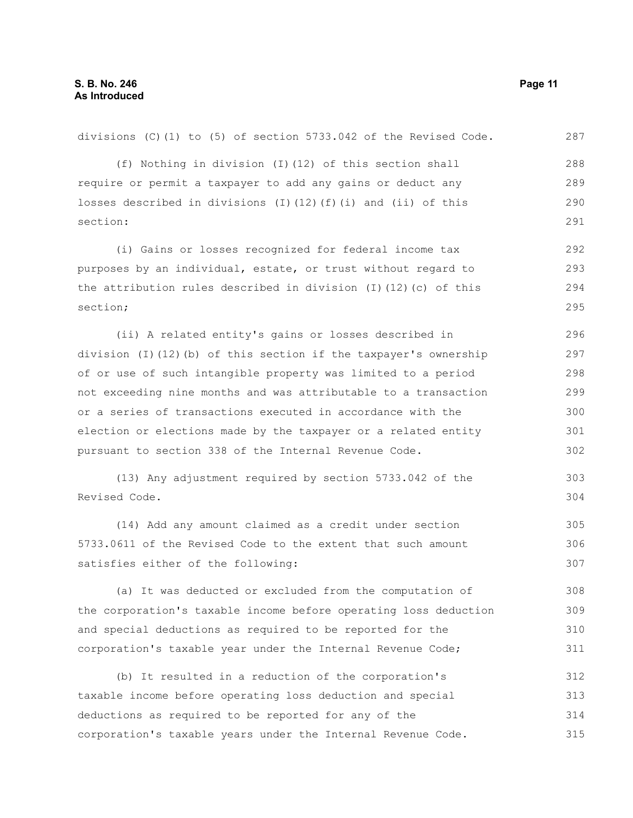| (f) Nothing in division (I) (12) of this section shall             | 288 |
|--------------------------------------------------------------------|-----|
| require or permit a taxpayer to add any gains or deduct any        | 289 |
| losses described in divisions (I)(12)(f)(i) and (ii) of this       | 290 |
| section:                                                           | 291 |
| (i) Gains or losses recognized for federal income tax              | 292 |
| purposes by an individual, estate, or trust without regard to      | 293 |
| the attribution rules described in division (I) $(12)$ (c) of this | 294 |
| section;                                                           | 295 |
| (ii) A related entity's gains or losses described in               | 296 |
| division (I)(12)(b) of this section if the taxpayer's ownership    | 297 |
| of or use of such intangible property was limited to a period      | 298 |
| not exceeding nine months and was attributable to a transaction    | 299 |
| or a series of transactions executed in accordance with the        | 300 |
| election or elections made by the taxpayer or a related entity     | 301 |
| pursuant to section 338 of the Internal Revenue Code.              | 302 |
| (13) Any adjustment required by section 5733.042 of the            | 303 |
| Revised Code.                                                      | 304 |
| (14) Add any amount claimed as a credit under section              | 305 |
| 5733.0611 of the Revised Code to the extent that such amount       | 306 |
| satisfies either of the following:                                 | 307 |
| (a) It was deducted or excluded from the computation of            | 308 |
| the corporation's taxable income before operating loss deduction   | 309 |
| and special deductions as required to be reported for the          | 310 |
| corporation's taxable year under the Internal Revenue Code;        | 311 |
| (b) It resulted in a reduction of the corporation's                | 312 |
| taxable income before operating loss deduction and special         | 313 |
| deductions as required to be reported for any of the               | 314 |
| corporation's taxable years under the Internal Revenue Code.       | 315 |

divisions (C)(1) to (5) of section 5733.042 of the Revised Code. 287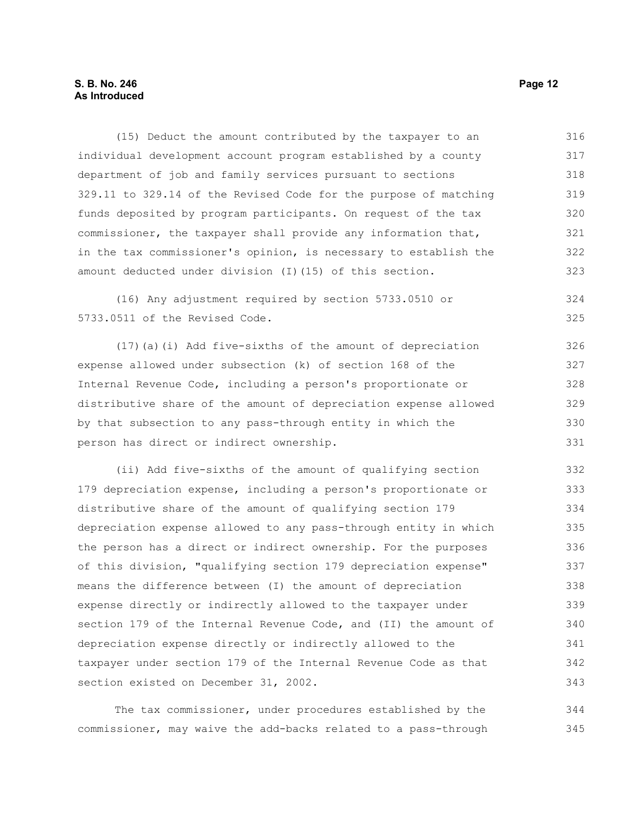#### **S. B. No. 246 Page 12 As Introduced**

(15) Deduct the amount contributed by the taxpayer to an individual development account program established by a county department of job and family services pursuant to sections 329.11 to 329.14 of the Revised Code for the purpose of matching funds deposited by program participants. On request of the tax commissioner, the taxpayer shall provide any information that, in the tax commissioner's opinion, is necessary to establish the amount deducted under division (I)(15) of this section. 316 317 318 319 320 321 322 323

(16) Any adjustment required by section 5733.0510 or 5733.0511 of the Revised Code. 324 325

(17)(a)(i) Add five-sixths of the amount of depreciation expense allowed under subsection (k) of section 168 of the Internal Revenue Code, including a person's proportionate or distributive share of the amount of depreciation expense allowed by that subsection to any pass-through entity in which the person has direct or indirect ownership. 326 327 328 329 330 331

(ii) Add five-sixths of the amount of qualifying section 179 depreciation expense, including a person's proportionate or distributive share of the amount of qualifying section 179 depreciation expense allowed to any pass-through entity in which the person has a direct or indirect ownership. For the purposes of this division, "qualifying section 179 depreciation expense" means the difference between (I) the amount of depreciation expense directly or indirectly allowed to the taxpayer under section 179 of the Internal Revenue Code, and (II) the amount of depreciation expense directly or indirectly allowed to the taxpayer under section 179 of the Internal Revenue Code as that section existed on December 31, 2002. 332 333 334 335 336 337 338 339 340 341 342 343

The tax commissioner, under procedures established by the commissioner, may waive the add-backs related to a pass-through 344 345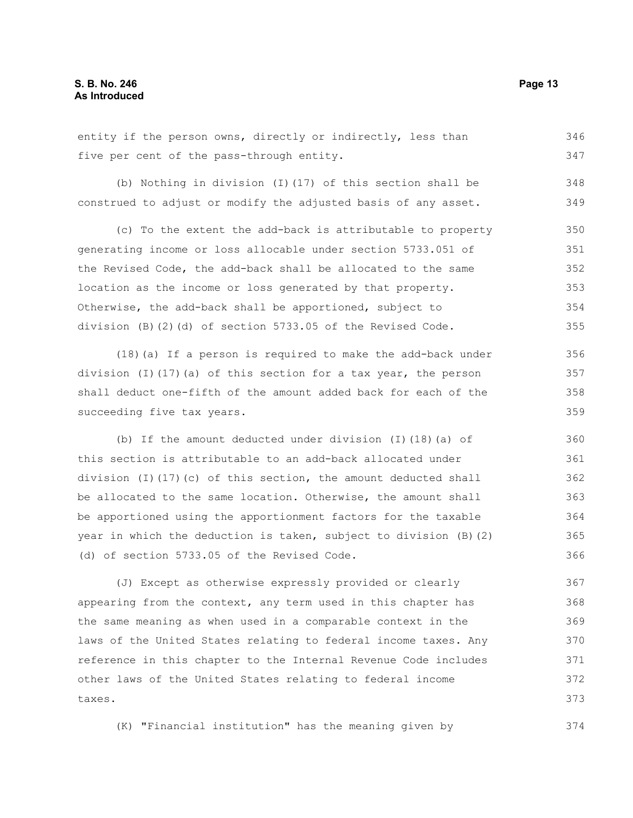entity if the person owns, directly or indirectly, less than five per cent of the pass-through entity. 346 347

(b) Nothing in division (I)(17) of this section shall be construed to adjust or modify the adjusted basis of any asset. 348 349

(c) To the extent the add-back is attributable to property generating income or loss allocable under section 5733.051 of the Revised Code, the add-back shall be allocated to the same location as the income or loss generated by that property. Otherwise, the add-back shall be apportioned, subject to division (B)(2)(d) of section 5733.05 of the Revised Code. 350 351 352 353 354 355

(18)(a) If a person is required to make the add-back under division (I)(17)(a) of this section for a tax year, the person shall deduct one-fifth of the amount added back for each of the succeeding five tax years.

(b) If the amount deducted under division (I)(18)(a) of this section is attributable to an add-back allocated under division (I)(17)(c) of this section, the amount deducted shall be allocated to the same location. Otherwise, the amount shall be apportioned using the apportionment factors for the taxable year in which the deduction is taken, subject to division (B)(2) (d) of section 5733.05 of the Revised Code.

(J) Except as otherwise expressly provided or clearly appearing from the context, any term used in this chapter has the same meaning as when used in a comparable context in the laws of the United States relating to federal income taxes. Any reference in this chapter to the Internal Revenue Code includes other laws of the United States relating to federal income taxes. 367 368 369 370 371 372 373

(K) "Financial institution" has the meaning given by 374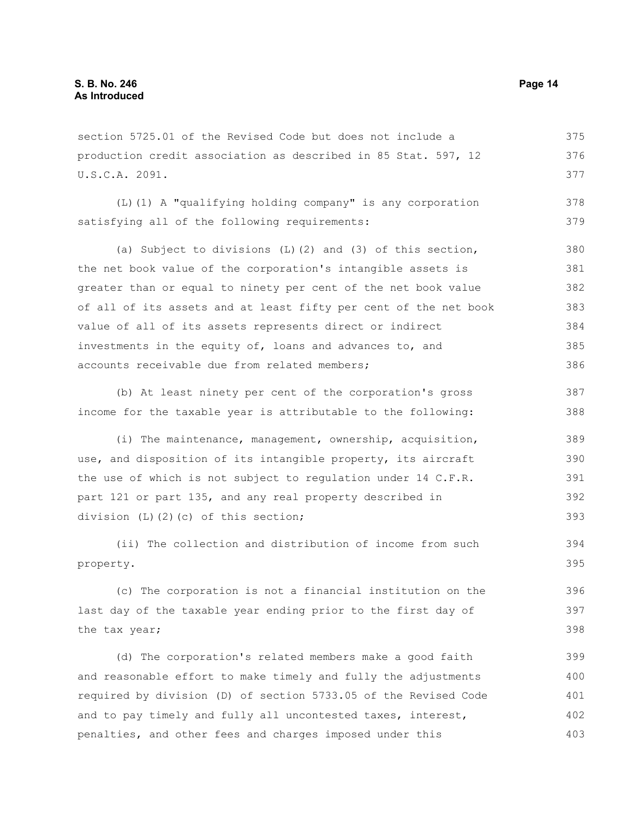section 5725.01 of the Revised Code but does not include a production credit association as described in 85 Stat. 597, 12 U.S.C.A. 2091. 375 376 377

(L)(1) A "qualifying holding company" is any corporation satisfying all of the following requirements: 378 379

(a) Subject to divisions (L)(2) and (3) of this section, the net book value of the corporation's intangible assets is greater than or equal to ninety per cent of the net book value of all of its assets and at least fifty per cent of the net book value of all of its assets represents direct or indirect investments in the equity of, loans and advances to, and accounts receivable due from related members; 380 381 382 383 384 385 386

(b) At least ninety per cent of the corporation's gross income for the taxable year is attributable to the following: 387 388

(i) The maintenance, management, ownership, acquisition, use, and disposition of its intangible property, its aircraft the use of which is not subject to regulation under 14 C.F.R. part 121 or part 135, and any real property described in division (L)(2)(c) of this section; 389 390 391 392 393

(ii) The collection and distribution of income from such property. 394 395

(c) The corporation is not a financial institution on the last day of the taxable year ending prior to the first day of the tax year; 396 397 398

(d) The corporation's related members make a good faith and reasonable effort to make timely and fully the adjustments required by division (D) of section 5733.05 of the Revised Code and to pay timely and fully all uncontested taxes, interest, penalties, and other fees and charges imposed under this 399 400 401 402 403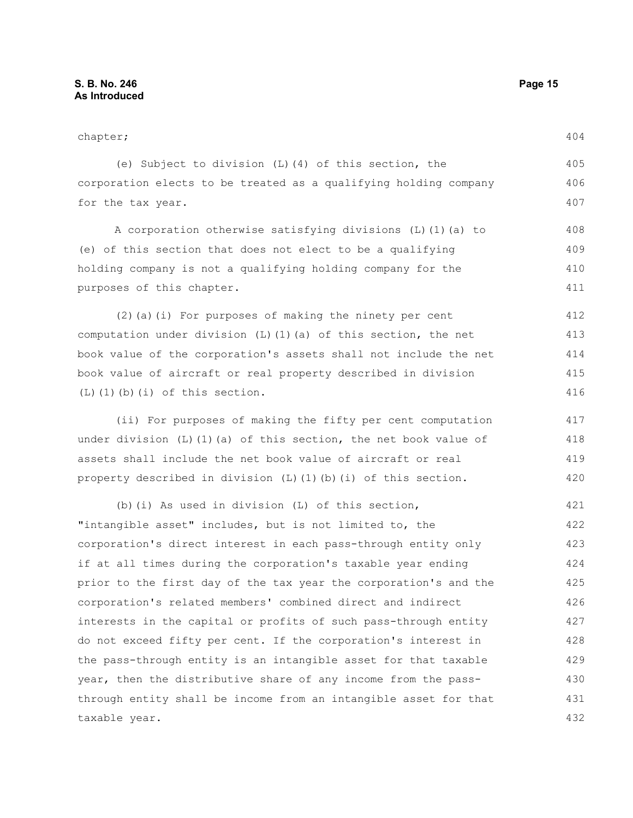chapter; (e) Subject to division (L)(4) of this section, the corporation elects to be treated as a qualifying holding company for the tax year. A corporation otherwise satisfying divisions (L)(1)(a) to (e) of this section that does not elect to be a qualifying holding company is not a qualifying holding company for the purposes of this chapter. (2)(a)(i) For purposes of making the ninety per cent computation under division  $(L)$  (1)(a) of this section, the net book value of the corporation's assets shall not include the net book value of aircraft or real property described in division  $(L)$  $(l)$  $(b)$  $(i)$  of this section. (ii) For purposes of making the fifty per cent computation under division  $(L)$  (1)(a) of this section, the net book value of assets shall include the net book value of aircraft or real property described in division (L)(1)(b)(i) of this section. (b)(i) As used in division (L) of this section, "intangible asset" includes, but is not limited to, the corporation's direct interest in each pass-through entity only if at all times during the corporation's taxable year ending prior to the first day of the tax year the corporation's and the 404 405 406 407 408 409 410 411 412 413 414 415 416 417 418 419 420 421 422 423 424 425

corporation's related members' combined direct and indirect interests in the capital or profits of such pass-through entity do not exceed fifty per cent. If the corporation's interest in the pass-through entity is an intangible asset for that taxable year, then the distributive share of any income from the passthrough entity shall be income from an intangible asset for that taxable year. 426 427 428 429 430 431 432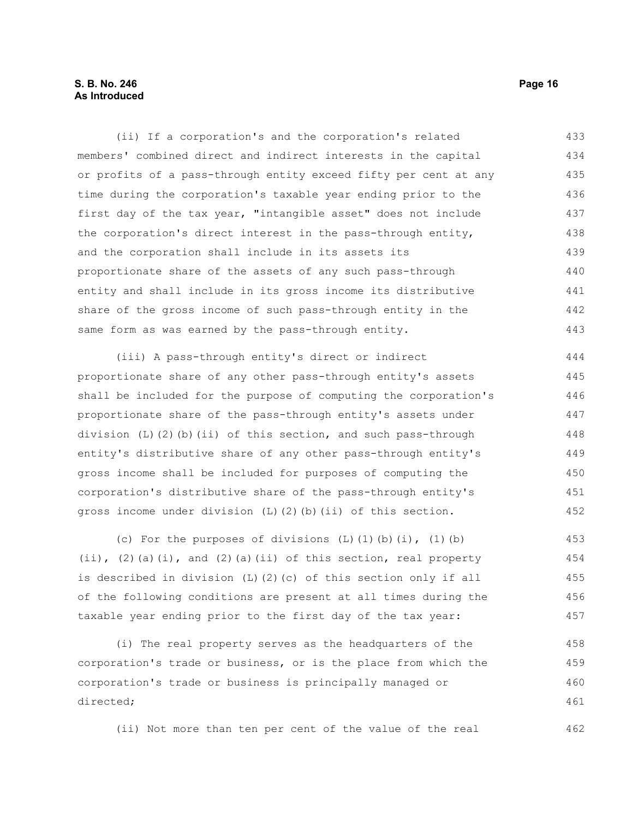#### **S. B. No. 246 Page 16 As Introduced**

(ii) If a corporation's and the corporation's related members' combined direct and indirect interests in the capital or profits of a pass-through entity exceed fifty per cent at any time during the corporation's taxable year ending prior to the first day of the tax year, "intangible asset" does not include the corporation's direct interest in the pass-through entity, and the corporation shall include in its assets its proportionate share of the assets of any such pass-through entity and shall include in its gross income its distributive share of the gross income of such pass-through entity in the same form as was earned by the pass-through entity. 433 434 435 436 437 438 439 440 441 442 443

(iii) A pass-through entity's direct or indirect proportionate share of any other pass-through entity's assets shall be included for the purpose of computing the corporation's proportionate share of the pass-through entity's assets under division (L)(2)(b)(ii) of this section, and such pass-through entity's distributive share of any other pass-through entity's gross income shall be included for purposes of computing the corporation's distributive share of the pass-through entity's gross income under division (L)(2)(b)(ii) of this section. 444 445 446 447 448 449 450 451 452

(c) For the purposes of divisions  $(L)$   $(1)$   $(b)$   $(i)$ ,  $(1)$   $(b)$ (ii), (2)(a)(i), and (2)(a)(ii) of this section, real property is described in division (L)(2)(c) of this section only if all of the following conditions are present at all times during the taxable year ending prior to the first day of the tax year: 453 454 455 456 457

(i) The real property serves as the headquarters of the corporation's trade or business, or is the place from which the corporation's trade or business is principally managed or directed; 458 459 460 461

(ii) Not more than ten per cent of the value of the real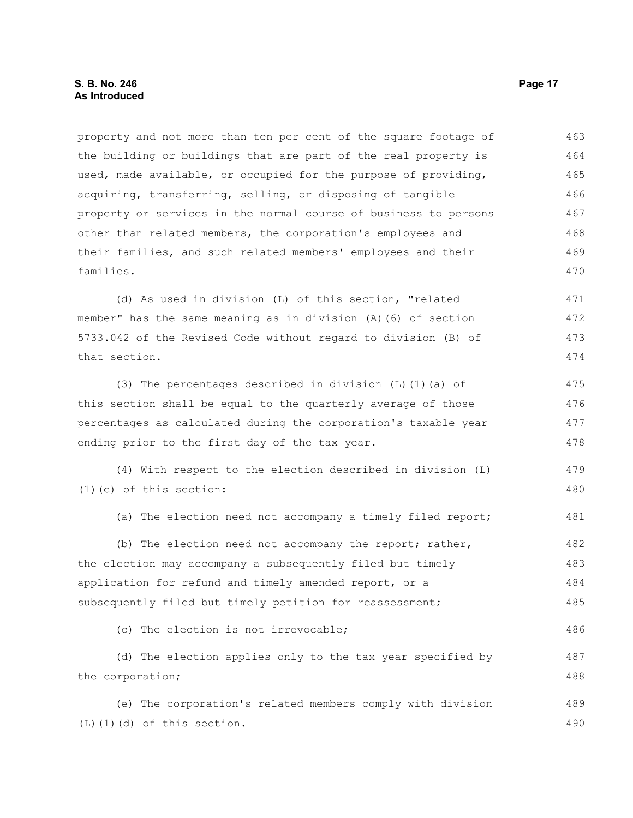property and not more than ten per cent of the square footage of the building or buildings that are part of the real property is used, made available, or occupied for the purpose of providing, acquiring, transferring, selling, or disposing of tangible property or services in the normal course of business to persons other than related members, the corporation's employees and their families, and such related members' employees and their families. 463 464 465 466 467 468 469 470

(d) As used in division (L) of this section, "related member" has the same meaning as in division (A)(6) of section 5733.042 of the Revised Code without regard to division (B) of that section. 471 472 473 474

(3) The percentages described in division (L)(1)(a) of this section shall be equal to the quarterly average of those percentages as calculated during the corporation's taxable year ending prior to the first day of the tax year. 475 476 477 478

(4) With respect to the election described in division (L) (1)(e) of this section: 479 480

(a) The election need not accompany a timely filed report; 481

(b) The election need not accompany the report; rather, the election may accompany a subsequently filed but timely application for refund and timely amended report, or a subsequently filed but timely petition for reassessment; 482 483 484 485

(c) The election is not irrevocable; 486

(d) The election applies only to the tax year specified by the corporation; 487 488

(e) The corporation's related members comply with division (L)(1)(d) of this section. 489 490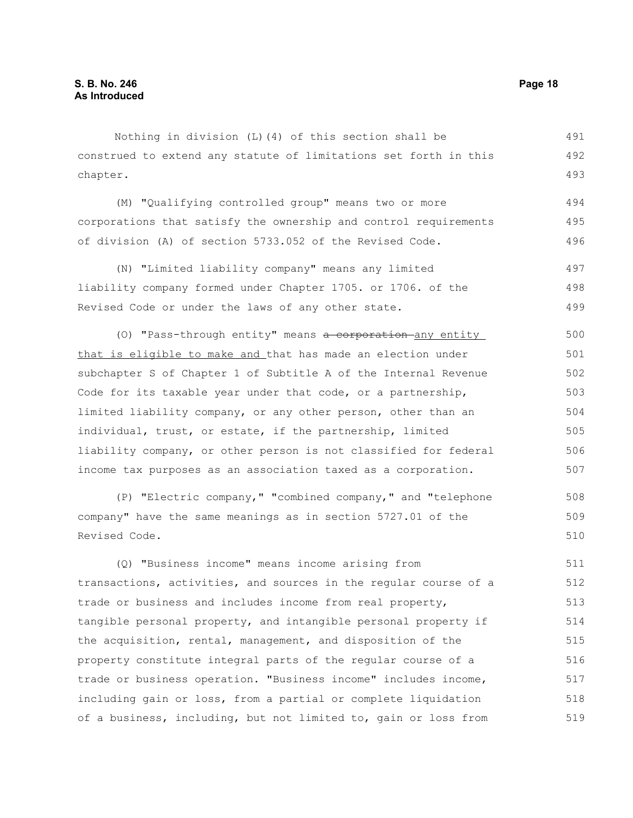Nothing in division (L)(4) of this section shall be construed to extend any statute of limitations set forth in this chapter. 491 492 493

(M) "Qualifying controlled group" means two or more corporations that satisfy the ownership and control requirements of division (A) of section 5733.052 of the Revised Code. 494 495 496

(N) "Limited liability company" means any limited liability company formed under Chapter 1705. or 1706. of the Revised Code or under the laws of any other state. 497 498 499

(0) "Pass-through entity" means a corporation any entity that is eligible to make and that has made an election under subchapter S of Chapter 1 of Subtitle A of the Internal Revenue Code for its taxable year under that code, or a partnership, limited liability company, or any other person, other than an individual, trust, or estate, if the partnership, limited liability company, or other person is not classified for federal income tax purposes as an association taxed as a corporation. 500 501 502 503 504 505 506 507

(P) "Electric company," "combined company," and "telephone company" have the same meanings as in section 5727.01 of the Revised Code. 508 509 510

(Q) "Business income" means income arising from transactions, activities, and sources in the regular course of a trade or business and includes income from real property, tangible personal property, and intangible personal property if the acquisition, rental, management, and disposition of the property constitute integral parts of the regular course of a trade or business operation. "Business income" includes income, including gain or loss, from a partial or complete liquidation of a business, including, but not limited to, gain or loss from 511 512 513 514 515 516 517 518 519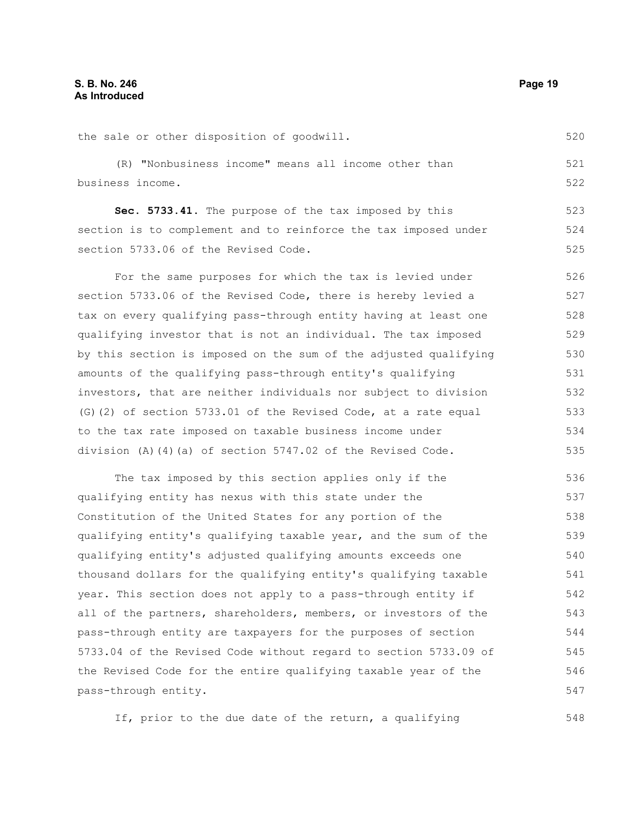| the sale or other disposition of goodwill.                       | 520 |
|------------------------------------------------------------------|-----|
| (R) "Nonbusiness income" means all income other than             | 521 |
| business income.                                                 | 522 |
| Sec. 5733.41. The purpose of the tax imposed by this             | 523 |
| section is to complement and to reinforce the tax imposed under  | 524 |
| section 5733.06 of the Revised Code.                             | 525 |
| For the same purposes for which the tax is levied under          | 526 |
| section 5733.06 of the Revised Code, there is hereby levied a    | 527 |
| tax on every qualifying pass-through entity having at least one  | 528 |
| qualifying investor that is not an individual. The tax imposed   | 529 |
| by this section is imposed on the sum of the adjusted qualifying | 530 |
| amounts of the qualifying pass-through entity's qualifying       | 531 |
| investors, that are neither individuals nor subject to division  | 532 |
| (G) (2) of section 5733.01 of the Revised Code, at a rate equal  | 533 |
| to the tax rate imposed on taxable business income under         | 534 |
| division (A)(4)(a) of section 5747.02 of the Revised Code.       | 535 |
| The tax imposed by this section applies only if the              | 536 |
| qualifying entity has nexus with this state under the            | 537 |
| Constitution of the United States for any portion of the         | 538 |
| qualifying entity's qualifying taxable year, and the sum of the  | 539 |

qualifying entity's adjusted qualifying amounts exceeds one thousand dollars for the qualifying entity's qualifying taxable year. This section does not apply to a pass-through entity if all of the partners, shareholders, members, or investors of the pass-through entity are taxpayers for the purposes of section 5733.04 of the Revised Code without regard to section 5733.09 of the Revised Code for the entire qualifying taxable year of the pass-through entity. 540 541 542 543 544 545 546 547

If, prior to the due date of the return, a qualifying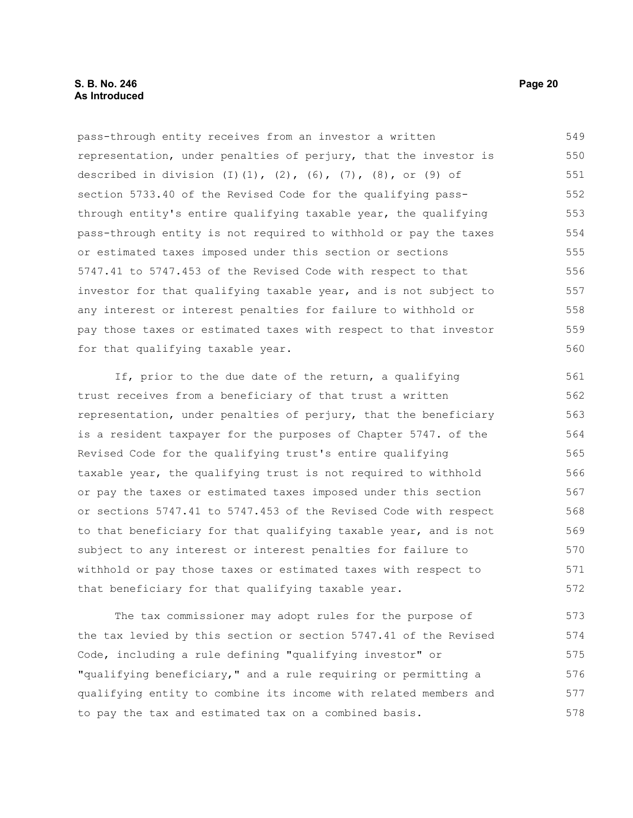#### **S. B. No. 246 Page 20 As Introduced**

pass-through entity receives from an investor a written representation, under penalties of perjury, that the investor is described in division (I)(1), (2), (6), (7), (8), or (9) of section 5733.40 of the Revised Code for the qualifying passthrough entity's entire qualifying taxable year, the qualifying pass-through entity is not required to withhold or pay the taxes or estimated taxes imposed under this section or sections 5747.41 to 5747.453 of the Revised Code with respect to that investor for that qualifying taxable year, and is not subject to any interest or interest penalties for failure to withhold or pay those taxes or estimated taxes with respect to that investor for that qualifying taxable year. 549 550 551 552 553 554 555 556 557 558 559 560

If, prior to the due date of the return, a qualifying trust receives from a beneficiary of that trust a written representation, under penalties of perjury, that the beneficiary is a resident taxpayer for the purposes of Chapter 5747. of the Revised Code for the qualifying trust's entire qualifying taxable year, the qualifying trust is not required to withhold or pay the taxes or estimated taxes imposed under this section or sections 5747.41 to 5747.453 of the Revised Code with respect to that beneficiary for that qualifying taxable year, and is not subject to any interest or interest penalties for failure to withhold or pay those taxes or estimated taxes with respect to that beneficiary for that qualifying taxable year. 561 562 563 564 565 566 567 568 569 570 571 572

The tax commissioner may adopt rules for the purpose of the tax levied by this section or section 5747.41 of the Revised Code, including a rule defining "qualifying investor" or "qualifying beneficiary," and a rule requiring or permitting a qualifying entity to combine its income with related members and to pay the tax and estimated tax on a combined basis. 573 574 575 576 577 578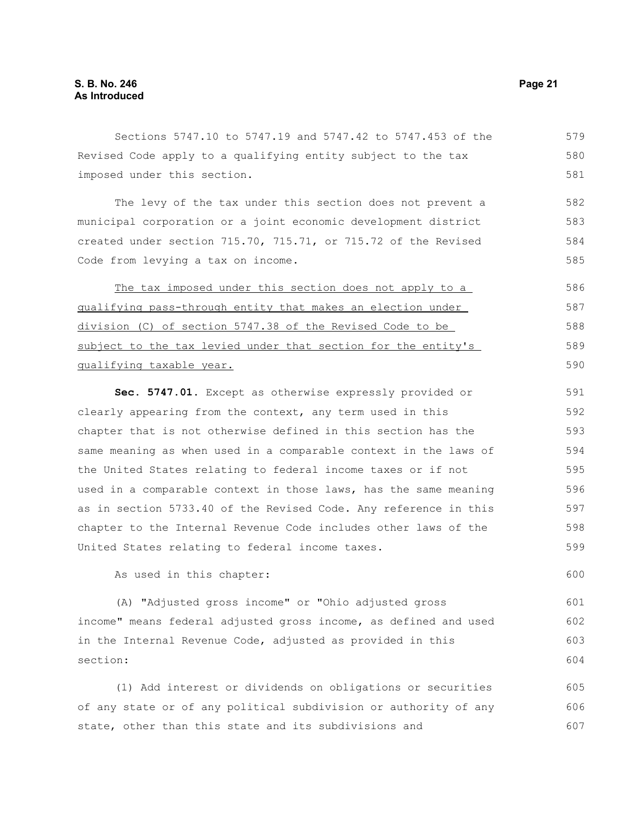Sections 5747.10 to 5747.19 and 5747.42 to 5747.453 of the Revised Code apply to a qualifying entity subject to the tax imposed under this section. 579 580 581

The levy of the tax under this section does not prevent a municipal corporation or a joint economic development district created under section 715.70, 715.71, or 715.72 of the Revised Code from levying a tax on income. 582 583 584 585

The tax imposed under this section does not apply to a qualifying pass-through entity that makes an election under division (C) of section 5747.38 of the Revised Code to be subject to the tax levied under that section for the entity's qualifying taxable year. 586 587 588 589 590

**Sec. 5747.01.** Except as otherwise expressly provided or clearly appearing from the context, any term used in this chapter that is not otherwise defined in this section has the same meaning as when used in a comparable context in the laws of the United States relating to federal income taxes or if not used in a comparable context in those laws, has the same meaning as in section 5733.40 of the Revised Code. Any reference in this chapter to the Internal Revenue Code includes other laws of the United States relating to federal income taxes. 591 592 593 594 595 596 597 598 599

As used in this chapter:

(A) "Adjusted gross income" or "Ohio adjusted gross income" means federal adjusted gross income, as defined and used in the Internal Revenue Code, adjusted as provided in this section:

(1) Add interest or dividends on obligations or securities of any state or of any political subdivision or authority of any state, other than this state and its subdivisions and 605 606 607

600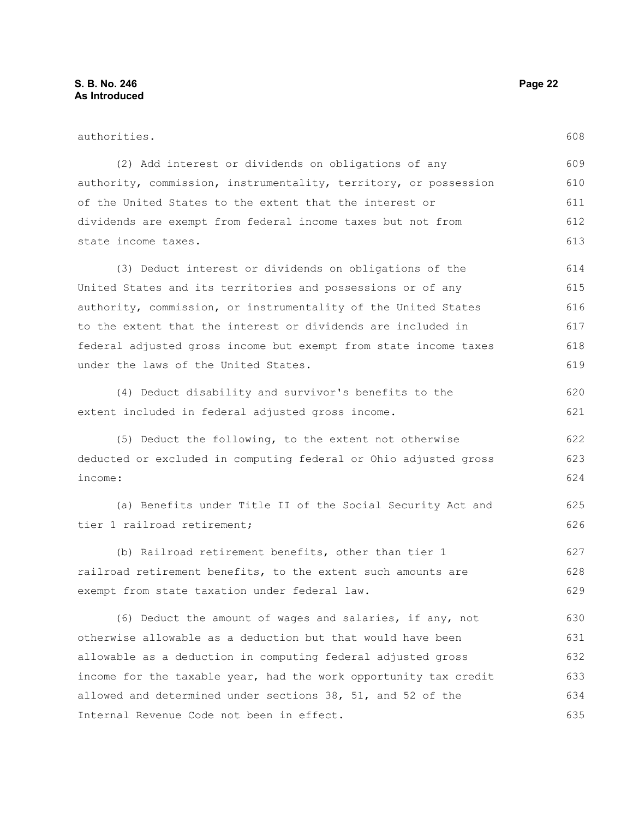| authorities.                                                     |     |
|------------------------------------------------------------------|-----|
| (2) Add interest or dividends on obligations of any              | 609 |
| authority, commission, instrumentality, territory, or possession | 610 |
| of the United States to the extent that the interest or          | 611 |
| dividends are exempt from federal income taxes but not from      | 612 |
| state income taxes.                                              | 613 |
| (3) Deduct interest or dividends on obligations of the           | 614 |
| United States and its territories and possessions or of any      | 615 |
| authority, commission, or instrumentality of the United States   | 616 |
| to the extent that the interest or dividends are included in     | 617 |
| federal adjusted gross income but exempt from state income taxes | 618 |
| under the laws of the United States.                             | 619 |
| (4) Deduct disability and survivor's benefits to the             | 620 |
| extent included in federal adjusted gross income.                | 621 |
| (5) Deduct the following, to the extent not otherwise            | 622 |
| deducted or excluded in computing federal or Ohio adjusted gross | 623 |
| income:                                                          | 624 |
| (a) Benefits under Title II of the Social Security Act and       | 625 |
| tier 1 railroad retirement;                                      | 626 |
| (b) Railroad retirement benefits, other than tier 1              | 627 |
| railroad retirement benefits, to the extent such amounts are     | 628 |
| exempt from state taxation under federal law.                    | 629 |
| (6) Deduct the amount of wages and salaries, if any, not         | 630 |
| otherwise allowable as a deduction but that would have been      | 631 |
| allowable as a deduction in computing federal adjusted gross     | 632 |
| income for the taxable year, had the work opportunity tax credit | 633 |
| allowed and determined under sections 38, 51, and 52 of the      | 634 |
| Internal Revenue Code not been in effect.                        | 635 |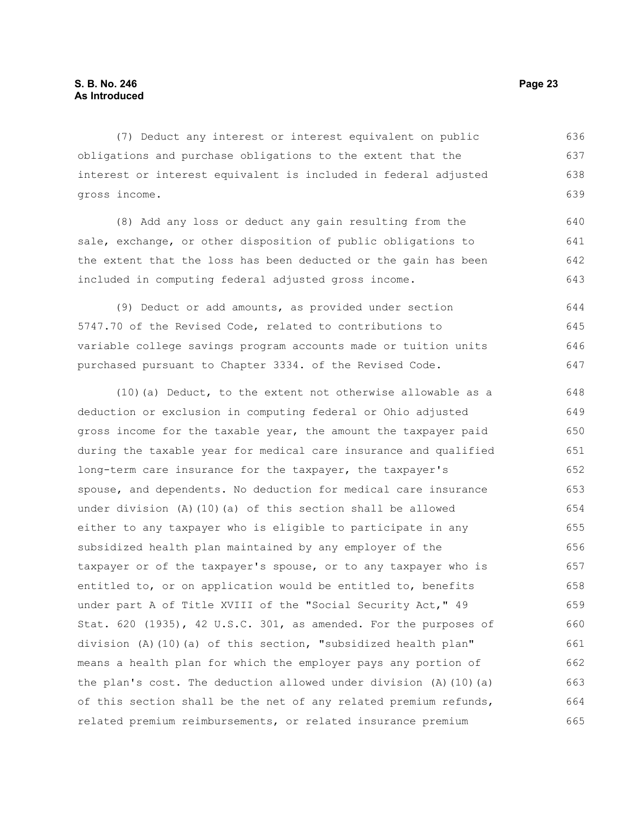(7) Deduct any interest or interest equivalent on public obligations and purchase obligations to the extent that the interest or interest equivalent is included in federal adjusted gross income. 636 637 638 639

(8) Add any loss or deduct any gain resulting from the sale, exchange, or other disposition of public obligations to the extent that the loss has been deducted or the gain has been included in computing federal adjusted gross income. 640 641 642 643

(9) Deduct or add amounts, as provided under section 5747.70 of the Revised Code, related to contributions to variable college savings program accounts made or tuition units purchased pursuant to Chapter 3334. of the Revised Code. 644 645 646 647

(10)(a) Deduct, to the extent not otherwise allowable as a deduction or exclusion in computing federal or Ohio adjusted gross income for the taxable year, the amount the taxpayer paid during the taxable year for medical care insurance and qualified long-term care insurance for the taxpayer, the taxpayer's spouse, and dependents. No deduction for medical care insurance under division (A)(10)(a) of this section shall be allowed either to any taxpayer who is eligible to participate in any subsidized health plan maintained by any employer of the taxpayer or of the taxpayer's spouse, or to any taxpayer who is entitled to, or on application would be entitled to, benefits under part A of Title XVIII of the "Social Security Act," 49 Stat. 620 (1935), 42 U.S.C. 301, as amended. For the purposes of division (A)(10)(a) of this section, "subsidized health plan" means a health plan for which the employer pays any portion of the plan's cost. The deduction allowed under division (A)(10)(a) of this section shall be the net of any related premium refunds, related premium reimbursements, or related insurance premium 648 649 650 651 652 653 654 655 656 657 658 659 660 661 662 663 664 665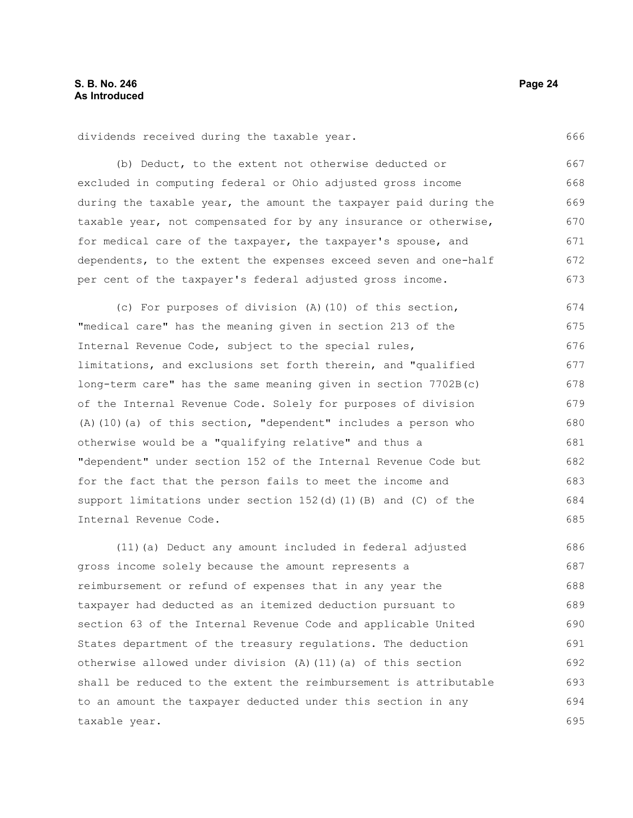dividends received during the taxable year.

(b) Deduct, to the extent not otherwise deducted or excluded in computing federal or Ohio adjusted gross income during the taxable year, the amount the taxpayer paid during the taxable year, not compensated for by any insurance or otherwise, for medical care of the taxpayer, the taxpayer's spouse, and dependents, to the extent the expenses exceed seven and one-half per cent of the taxpayer's federal adjusted gross income. 667 668 669 670 671 672 673

(c) For purposes of division (A)(10) of this section, "medical care" has the meaning given in section 213 of the Internal Revenue Code, subject to the special rules, limitations, and exclusions set forth therein, and "qualified long-term care" has the same meaning given in section 7702B(c) of the Internal Revenue Code. Solely for purposes of division (A)(10)(a) of this section, "dependent" includes a person who otherwise would be a "qualifying relative" and thus a "dependent" under section 152 of the Internal Revenue Code but for the fact that the person fails to meet the income and support limitations under section 152(d)(1)(B) and (C) of the Internal Revenue Code. 674 675 676 677 678 679 680 681 682 683 684 685

(11)(a) Deduct any amount included in federal adjusted gross income solely because the amount represents a reimbursement or refund of expenses that in any year the taxpayer had deducted as an itemized deduction pursuant to section 63 of the Internal Revenue Code and applicable United States department of the treasury regulations. The deduction otherwise allowed under division (A)(11)(a) of this section shall be reduced to the extent the reimbursement is attributable to an amount the taxpayer deducted under this section in any taxable year. 686 687 688 689 690 691 692 693 694 695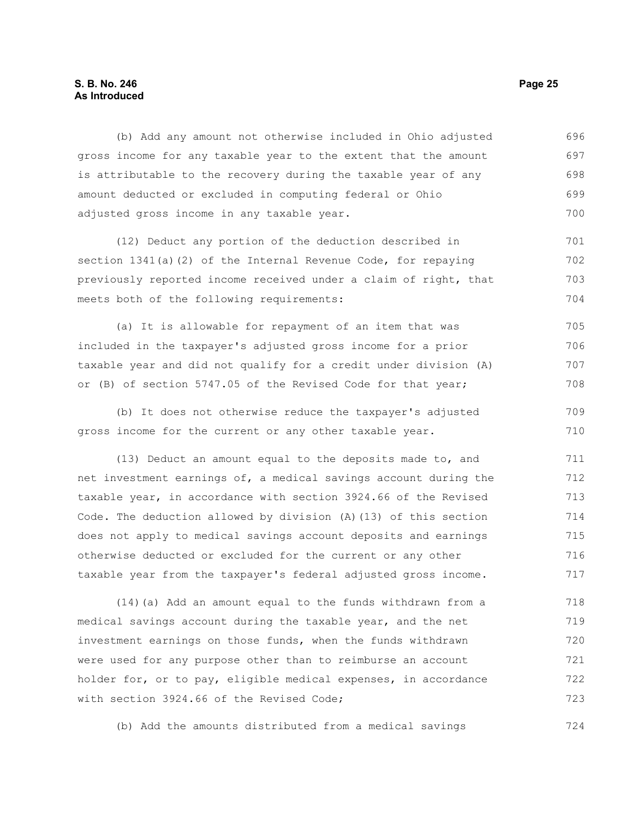#### **S. B. No. 246 Page 25 As Introduced**

(b) Add any amount not otherwise included in Ohio adjusted gross income for any taxable year to the extent that the amount is attributable to the recovery during the taxable year of any amount deducted or excluded in computing federal or Ohio adjusted gross income in any taxable year. 696 697 698 699 700

(12) Deduct any portion of the deduction described in section 1341(a)(2) of the Internal Revenue Code, for repaying previously reported income received under a claim of right, that meets both of the following requirements: 701 702 703 704

(a) It is allowable for repayment of an item that was included in the taxpayer's adjusted gross income for a prior taxable year and did not qualify for a credit under division (A) or (B) of section 5747.05 of the Revised Code for that year; 705 706 707 708

(b) It does not otherwise reduce the taxpayer's adjusted gross income for the current or any other taxable year. 709 710

(13) Deduct an amount equal to the deposits made to, and net investment earnings of, a medical savings account during the taxable year, in accordance with section 3924.66 of the Revised Code. The deduction allowed by division (A)(13) of this section does not apply to medical savings account deposits and earnings otherwise deducted or excluded for the current or any other taxable year from the taxpayer's federal adjusted gross income. 711 712 713 714 715 716 717

(14)(a) Add an amount equal to the funds withdrawn from a medical savings account during the taxable year, and the net investment earnings on those funds, when the funds withdrawn were used for any purpose other than to reimburse an account holder for, or to pay, eligible medical expenses, in accordance with section 3924.66 of the Revised Code; 718 719 720 721 722 723

(b) Add the amounts distributed from a medical savings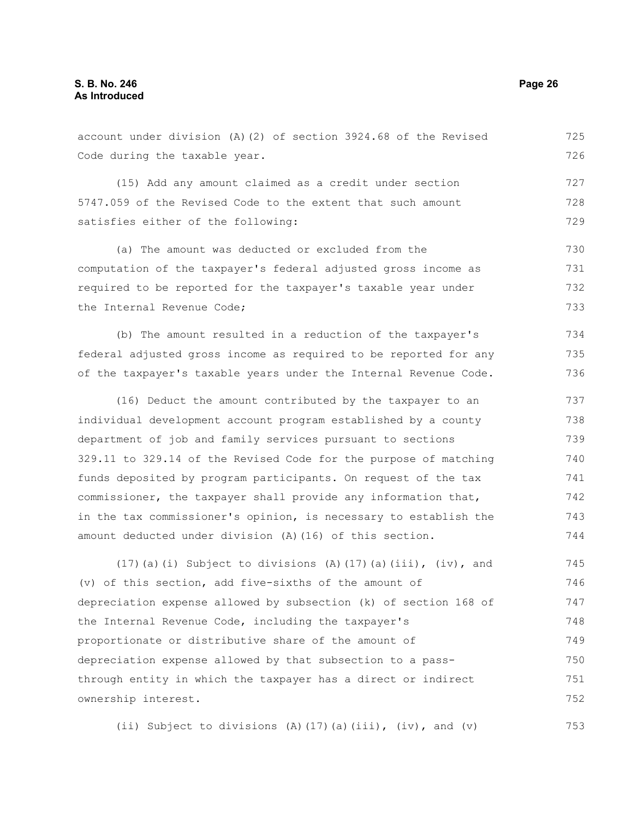Code during the taxable year. (15) Add any amount claimed as a credit under section 5747.059 of the Revised Code to the extent that such amount satisfies either of the following: (a) The amount was deducted or excluded from the computation of the taxpayer's federal adjusted gross income as required to be reported for the taxpayer's taxable year under the Internal Revenue Code; (b) The amount resulted in a reduction of the taxpayer's federal adjusted gross income as required to be reported for any of the taxpayer's taxable years under the Internal Revenue Code. (16) Deduct the amount contributed by the taxpayer to an individual development account program established by a county department of job and family services pursuant to sections 329.11 to 329.14 of the Revised Code for the purpose of matching funds deposited by program participants. On request of the tax commissioner, the taxpayer shall provide any information that, in the tax commissioner's opinion, is necessary to establish the 727 728 729 730 731 732 733 734 735 736 737 738 739 740 741 742 743

account under division (A)(2) of section 3924.68 of the Revised

(17)(a)(i) Subject to divisions (A)(17)(a)(iii), (iv), and (v) of this section, add five-sixths of the amount of depreciation expense allowed by subsection (k) of section 168 of the Internal Revenue Code, including the taxpayer's proportionate or distributive share of the amount of depreciation expense allowed by that subsection to a passthrough entity in which the taxpayer has a direct or indirect ownership interest. 745 746 747 748 749 750 751 752

amount deducted under division (A)(16) of this section.

(ii) Subject to divisions (A)(17)(a)(iii), (iv), and (v) 753

725 726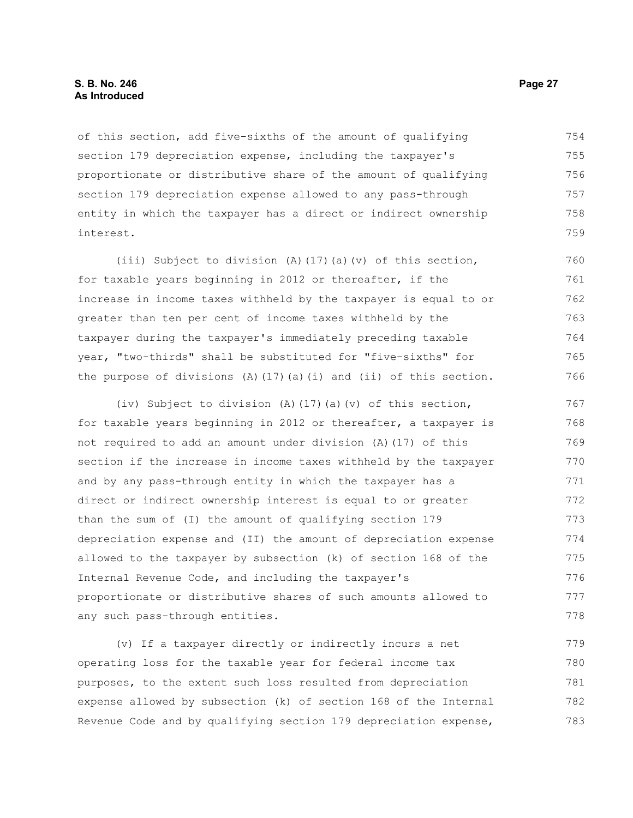#### **S. B. No. 246 Page 27 As Introduced**

of this section, add five-sixths of the amount of qualifying section 179 depreciation expense, including the taxpayer's proportionate or distributive share of the amount of qualifying section 179 depreciation expense allowed to any pass-through entity in which the taxpayer has a direct or indirect ownership interest. 754 755 756 757 758 759

(iii) Subject to division (A)(17)(a)(v) of this section, for taxable years beginning in 2012 or thereafter, if the increase in income taxes withheld by the taxpayer is equal to or greater than ten per cent of income taxes withheld by the taxpayer during the taxpayer's immediately preceding taxable year, "two-thirds" shall be substituted for "five-sixths" for the purpose of divisions  $(A)$  (17)(a)(i) and (ii) of this section. 760 761 762 763 764 765 766

(iv) Subject to division (A)(17)(a)(v) of this section, for taxable years beginning in 2012 or thereafter, a taxpayer is not required to add an amount under division (A)(17) of this section if the increase in income taxes withheld by the taxpayer and by any pass-through entity in which the taxpayer has a direct or indirect ownership interest is equal to or greater than the sum of (I) the amount of qualifying section 179 depreciation expense and (II) the amount of depreciation expense allowed to the taxpayer by subsection (k) of section 168 of the Internal Revenue Code, and including the taxpayer's proportionate or distributive shares of such amounts allowed to any such pass-through entities. 767 768 769 770 771 772 773 774 775 776 777 778

(v) If a taxpayer directly or indirectly incurs a net operating loss for the taxable year for federal income tax purposes, to the extent such loss resulted from depreciation expense allowed by subsection (k) of section 168 of the Internal Revenue Code and by qualifying section 179 depreciation expense, 779 780 781 782 783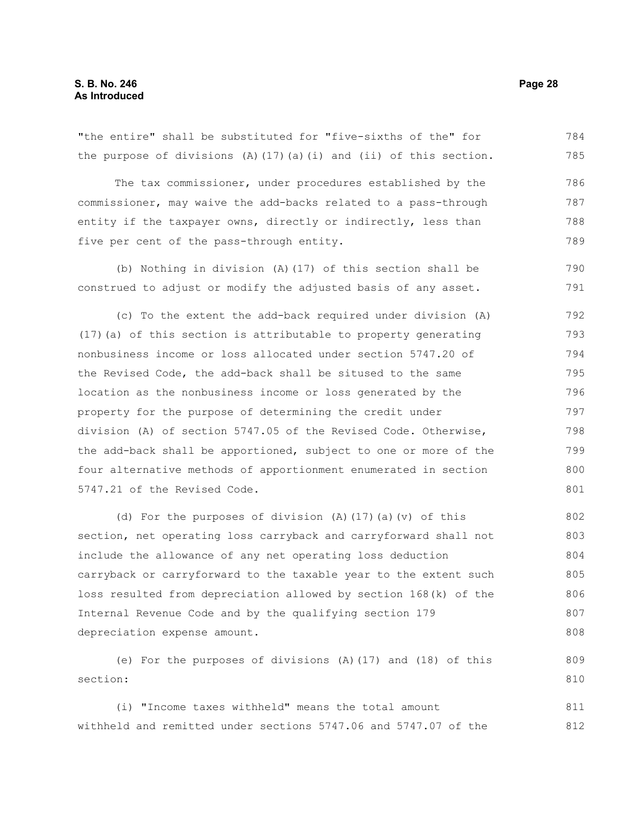the purpose of divisions  $(A)$  (17)(a)(i) and (ii) of this section. The tax commissioner, under procedures established by the commissioner, may waive the add-backs related to a pass-through entity if the taxpayer owns, directly or indirectly, less than five per cent of the pass-through entity. (b) Nothing in division (A)(17) of this section shall be construed to adjust or modify the adjusted basis of any asset. (c) To the extent the add-back required under division (A) (17)(a) of this section is attributable to property generating nonbusiness income or loss allocated under section 5747.20 of the Revised Code, the add-back shall be sitused to the same location as the nonbusiness income or loss generated by the property for the purpose of determining the credit under division (A) of section 5747.05 of the Revised Code. Otherwise, the add-back shall be apportioned, subject to one or more of the four alternative methods of apportionment enumerated in section 5747.21 of the Revised Code. (d) For the purposes of division (A)(17)(a)(v) of this section, net operating loss carryback and carryforward shall not include the allowance of any net operating loss deduction carryback or carryforward to the taxable year to the extent such loss resulted from depreciation allowed by section 168(k) of the Internal Revenue Code and by the qualifying section 179 depreciation expense amount. (e) For the purposes of divisions (A)(17) and (18) of this section: 785 786 787 788 789 790 791 792 793 794 795 796 797 798 799 800 801 802 803 804 805 806 807 808 809 810

"the entire" shall be substituted for "five-sixths of the" for

(i) "Income taxes withheld" means the total amount withheld and remitted under sections 5747.06 and 5747.07 of the 811 812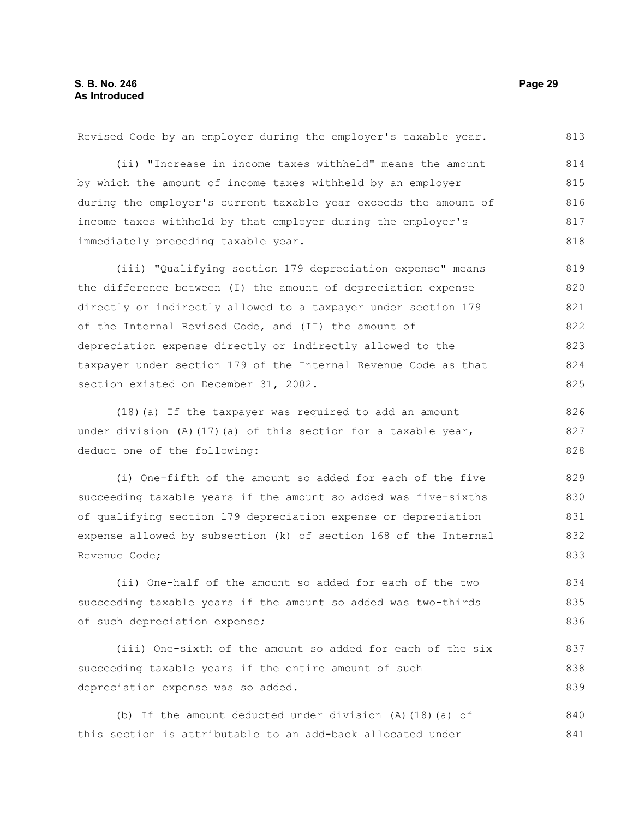| (ii) "Increase in income taxes withheld" means the amount         | 814 |
|-------------------------------------------------------------------|-----|
| by which the amount of income taxes withheld by an employer       | 815 |
| during the employer's current taxable year exceeds the amount of  | 816 |
| income taxes withheld by that employer during the employer's      | 817 |
| immediately preceding taxable year.                               | 818 |
| (iii) "Qualifying section 179 depreciation expense" means         | 819 |
| the difference between (I) the amount of depreciation expense     | 820 |
| directly or indirectly allowed to a taxpayer under section 179    | 821 |
| of the Internal Revised Code, and (II) the amount of              | 822 |
| depreciation expense directly or indirectly allowed to the        | 823 |
| taxpayer under section 179 of the Internal Revenue Code as that   | 824 |
| section existed on December 31, 2002.                             |     |
| (18) (a) If the taxpayer was required to add an amount            | 826 |
| under division $(A)$ (17) (a) of this section for a taxable year, | 827 |
| deduct one of the following:                                      | 828 |
| (i) One-fifth of the amount so added for each of the five         | 829 |
| succeeding taxable years if the amount so added was five-sixths   | 830 |
| of qualifying section 179 depreciation expense or depreciation    | 831 |
| expense allowed by subsection (k) of section 168 of the Internal  | 832 |

Revised Code by an employer during the employer's taxable year.

Revenue Code;

(ii) One-half of the amount so added for each of the two succeeding taxable years if the amount so added was two-thirds of such depreciation expense; 834 835 836

(iii) One-sixth of the amount so added for each of the six succeeding taxable years if the entire amount of such depreciation expense was so added.

(b) If the amount deducted under division (A)(18)(a) of this section is attributable to an add-back allocated under 840 841

813

833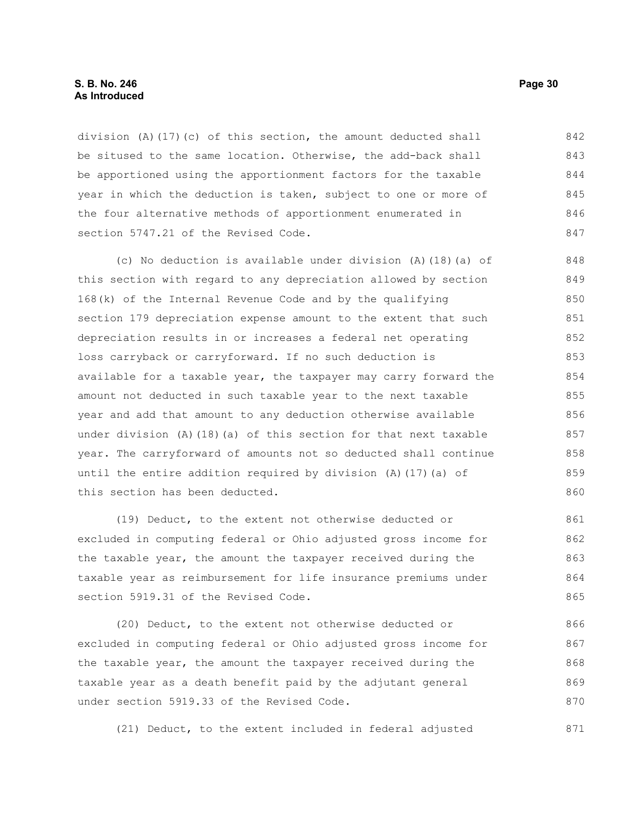division (A)(17)(c) of this section, the amount deducted shall be sitused to the same location. Otherwise, the add-back shall be apportioned using the apportionment factors for the taxable year in which the deduction is taken, subject to one or more of the four alternative methods of apportionment enumerated in section 5747.21 of the Revised Code. 842 843 844 845 846 847

(c) No deduction is available under division (A)(18)(a) of this section with regard to any depreciation allowed by section 168(k) of the Internal Revenue Code and by the qualifying section 179 depreciation expense amount to the extent that such depreciation results in or increases a federal net operating loss carryback or carryforward. If no such deduction is available for a taxable year, the taxpayer may carry forward the amount not deducted in such taxable year to the next taxable year and add that amount to any deduction otherwise available under division  $(A)$  (18)(a) of this section for that next taxable year. The carryforward of amounts not so deducted shall continue until the entire addition required by division (A)(17)(a) of this section has been deducted. 848 849 850 851 852 853 854 855 856 857 858 859 860

(19) Deduct, to the extent not otherwise deducted or excluded in computing federal or Ohio adjusted gross income for the taxable year, the amount the taxpayer received during the taxable year as reimbursement for life insurance premiums under section 5919.31 of the Revised Code. 861 862 863 864 865

(20) Deduct, to the extent not otherwise deducted or excluded in computing federal or Ohio adjusted gross income for the taxable year, the amount the taxpayer received during the taxable year as a death benefit paid by the adjutant general under section 5919.33 of the Revised Code. 866 867 868 869 870

(21) Deduct, to the extent included in federal adjusted 871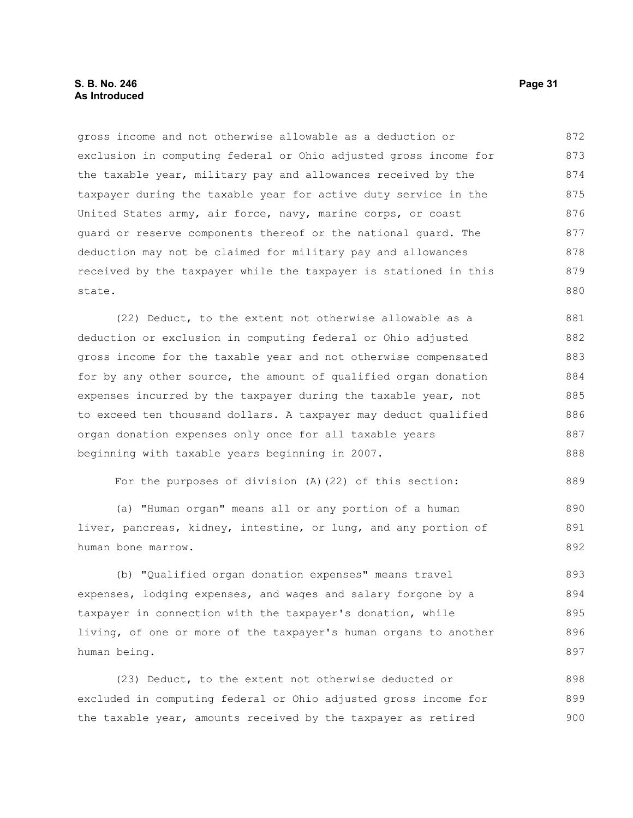#### **S. B. No. 246 Page 31 As Introduced**

gross income and not otherwise allowable as a deduction or exclusion in computing federal or Ohio adjusted gross income for the taxable year, military pay and allowances received by the taxpayer during the taxable year for active duty service in the United States army, air force, navy, marine corps, or coast guard or reserve components thereof or the national guard. The deduction may not be claimed for military pay and allowances received by the taxpayer while the taxpayer is stationed in this state. 872 873 874 875 876 877 878 879 880

(22) Deduct, to the extent not otherwise allowable as a deduction or exclusion in computing federal or Ohio adjusted gross income for the taxable year and not otherwise compensated for by any other source, the amount of qualified organ donation expenses incurred by the taxpayer during the taxable year, not to exceed ten thousand dollars. A taxpayer may deduct qualified organ donation expenses only once for all taxable years beginning with taxable years beginning in 2007. 881 882 883 884 885 886 887 888

For the purposes of division (A)(22) of this section:

(a) "Human organ" means all or any portion of a human liver, pancreas, kidney, intestine, or lung, and any portion of human bone marrow. 890 891

(b) "Qualified organ donation expenses" means travel expenses, lodging expenses, and wages and salary forgone by a taxpayer in connection with the taxpayer's donation, while living, of one or more of the taxpayer's human organs to another human being. 893 894 895 896 897

(23) Deduct, to the extent not otherwise deducted or excluded in computing federal or Ohio adjusted gross income for the taxable year, amounts received by the taxpayer as retired 898 899 900

889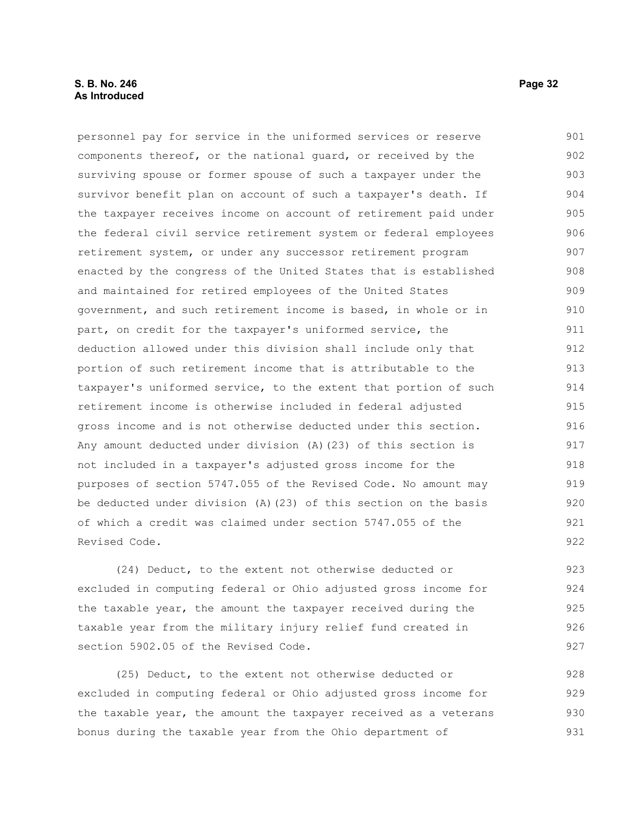#### **S. B. No. 246 Page 32 As Introduced**

personnel pay for service in the uniformed services or reserve components thereof, or the national guard, or received by the surviving spouse or former spouse of such a taxpayer under the survivor benefit plan on account of such a taxpayer's death. If the taxpayer receives income on account of retirement paid under the federal civil service retirement system or federal employees retirement system, or under any successor retirement program enacted by the congress of the United States that is established and maintained for retired employees of the United States government, and such retirement income is based, in whole or in part, on credit for the taxpayer's uniformed service, the deduction allowed under this division shall include only that portion of such retirement income that is attributable to the taxpayer's uniformed service, to the extent that portion of such retirement income is otherwise included in federal adjusted gross income and is not otherwise deducted under this section. Any amount deducted under division (A)(23) of this section is not included in a taxpayer's adjusted gross income for the purposes of section 5747.055 of the Revised Code. No amount may be deducted under division (A)(23) of this section on the basis of which a credit was claimed under section 5747.055 of the Revised Code. 901 902 903 904 905 906 907 908 909 910 911 912 913 914 915 916 917 918 919 920 921 922

(24) Deduct, to the extent not otherwise deducted or excluded in computing federal or Ohio adjusted gross income for the taxable year, the amount the taxpayer received during the taxable year from the military injury relief fund created in section 5902.05 of the Revised Code.

(25) Deduct, to the extent not otherwise deducted or excluded in computing federal or Ohio adjusted gross income for the taxable year, the amount the taxpayer received as a veterans bonus during the taxable year from the Ohio department of 928 929 930 931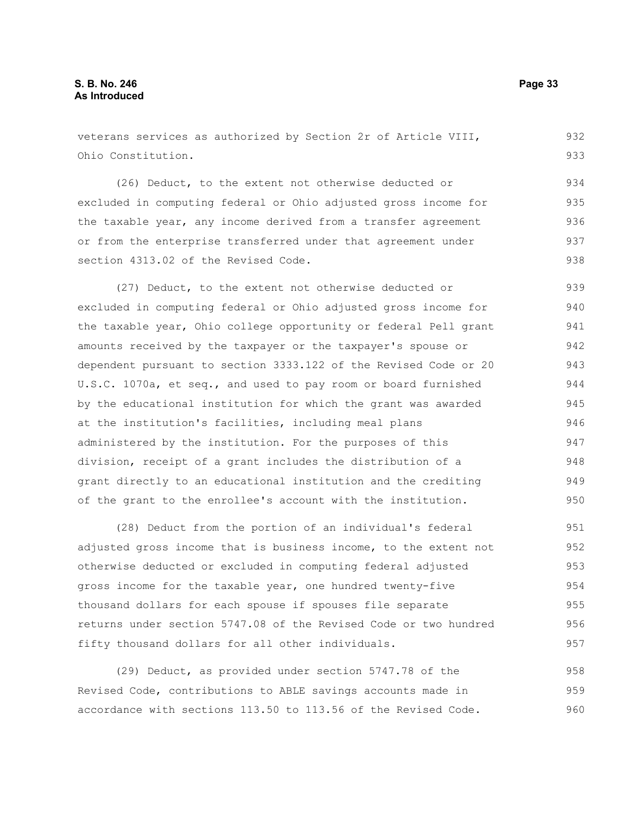veterans services as authorized by Section 2r of Article VIII, Ohio Constitution. 932 933

(26) Deduct, to the extent not otherwise deducted or excluded in computing federal or Ohio adjusted gross income for the taxable year, any income derived from a transfer agreement or from the enterprise transferred under that agreement under section 4313.02 of the Revised Code. 934 935 936 937 938

(27) Deduct, to the extent not otherwise deducted or excluded in computing federal or Ohio adjusted gross income for the taxable year, Ohio college opportunity or federal Pell grant amounts received by the taxpayer or the taxpayer's spouse or dependent pursuant to section 3333.122 of the Revised Code or 20 U.S.C. 1070a, et seq., and used to pay room or board furnished by the educational institution for which the grant was awarded at the institution's facilities, including meal plans administered by the institution. For the purposes of this division, receipt of a grant includes the distribution of a grant directly to an educational institution and the crediting of the grant to the enrollee's account with the institution. 939 940 941 942 943 944 945 946 947 948 949 950

(28) Deduct from the portion of an individual's federal adjusted gross income that is business income, to the extent not otherwise deducted or excluded in computing federal adjusted gross income for the taxable year, one hundred twenty-five thousand dollars for each spouse if spouses file separate returns under section 5747.08 of the Revised Code or two hundred fifty thousand dollars for all other individuals. 951 952 953 954 955 956 957

(29) Deduct, as provided under section 5747.78 of the Revised Code, contributions to ABLE savings accounts made in accordance with sections 113.50 to 113.56 of the Revised Code. 958 959 960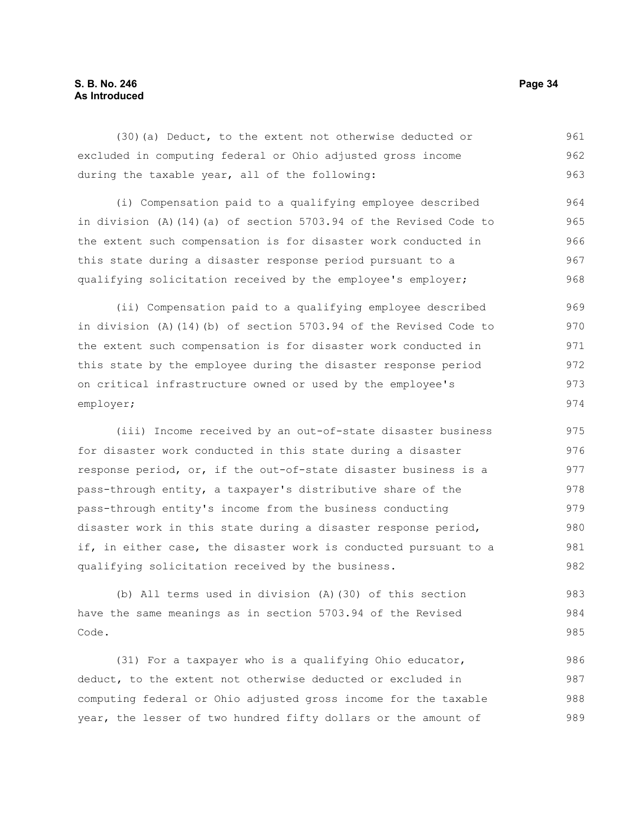#### **S. B. No. 246 Page 34 As Introduced**

(30)(a) Deduct, to the extent not otherwise deducted or excluded in computing federal or Ohio adjusted gross income during the taxable year, all of the following: 961 962 963

(i) Compensation paid to a qualifying employee described in division (A)(14)(a) of section 5703.94 of the Revised Code to the extent such compensation is for disaster work conducted in this state during a disaster response period pursuant to a qualifying solicitation received by the employee's employer; 964 965 966 967 968

(ii) Compensation paid to a qualifying employee described in division (A)(14)(b) of section 5703.94 of the Revised Code to the extent such compensation is for disaster work conducted in this state by the employee during the disaster response period on critical infrastructure owned or used by the employee's employer; 969 970 971 972 973 974

(iii) Income received by an out-of-state disaster business for disaster work conducted in this state during a disaster response period, or, if the out-of-state disaster business is a pass-through entity, a taxpayer's distributive share of the pass-through entity's income from the business conducting disaster work in this state during a disaster response period, if, in either case, the disaster work is conducted pursuant to a qualifying solicitation received by the business. 975 976 977 978 979 980 981 982

(b) All terms used in division (A)(30) of this section have the same meanings as in section 5703.94 of the Revised Code. 983 984 985

(31) For a taxpayer who is a qualifying Ohio educator, deduct, to the extent not otherwise deducted or excluded in computing federal or Ohio adjusted gross income for the taxable year, the lesser of two hundred fifty dollars or the amount of 986 987 988 989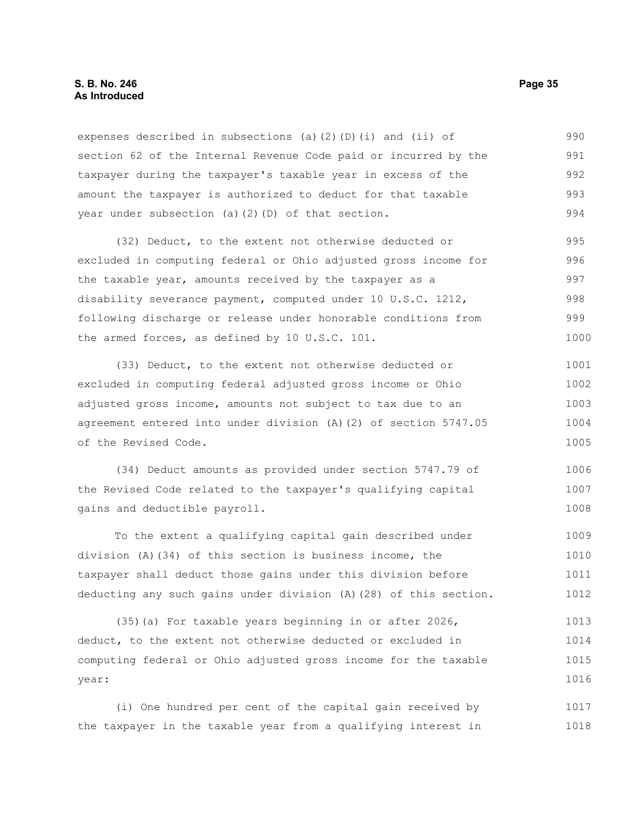#### **S. B. No. 246 Page 35 As Introduced**

expenses described in subsections (a)(2)(D)(i) and (ii) of section 62 of the Internal Revenue Code paid or incurred by the taxpayer during the taxpayer's taxable year in excess of the amount the taxpayer is authorized to deduct for that taxable year under subsection (a)(2)(D) of that section. 990 991 992 993 994

(32) Deduct, to the extent not otherwise deducted or excluded in computing federal or Ohio adjusted gross income for the taxable year, amounts received by the taxpayer as a disability severance payment, computed under 10 U.S.C. 1212, following discharge or release under honorable conditions from the armed forces, as defined by 10 U.S.C. 101. 995 996 997 998 999 1000

(33) Deduct, to the extent not otherwise deducted or excluded in computing federal adjusted gross income or Ohio adjusted gross income, amounts not subject to tax due to an agreement entered into under division (A)(2) of section 5747.05 of the Revised Code. 1001 1002 1003 1004 1005

(34) Deduct amounts as provided under section 5747.79 of the Revised Code related to the taxpayer's qualifying capital gains and deductible payroll. 1006 1007 1008

To the extent a qualifying capital gain described under division (A)(34) of this section is business income, the taxpayer shall deduct those gains under this division before deducting any such gains under division (A)(28) of this section. 1009 1010 1011 1012

(35)(a) For taxable years beginning in or after 2026, deduct, to the extent not otherwise deducted or excluded in computing federal or Ohio adjusted gross income for the taxable year: 1013 1014 1015 1016

(i) One hundred per cent of the capital gain received by the taxpayer in the taxable year from a qualifying interest in 1017 1018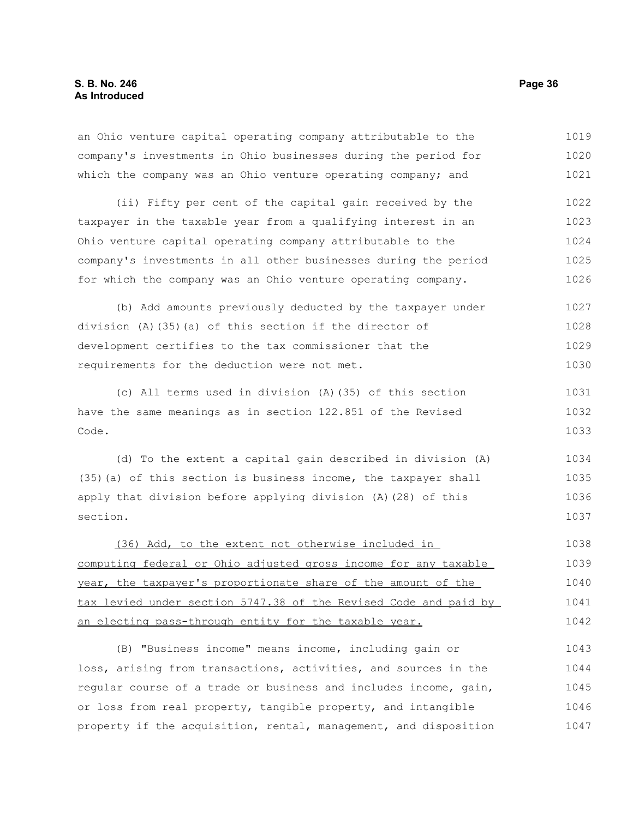| an Ohio venture capital operating company attributable to the    | 1019 |
|------------------------------------------------------------------|------|
| company's investments in Ohio businesses during the period for   | 1020 |
| which the company was an Ohio venture operating company; and     | 1021 |
| (ii) Fifty per cent of the capital gain received by the          | 1022 |
| taxpayer in the taxable year from a qualifying interest in an    | 1023 |
| Ohio venture capital operating company attributable to the       | 1024 |
| company's investments in all other businesses during the period  | 1025 |
| for which the company was an Ohio venture operating company.     | 1026 |
| (b) Add amounts previously deducted by the taxpayer under        | 1027 |
| division $(A)$ (35) (a) of this section if the director of       | 1028 |
| development certifies to the tax commissioner that the           | 1029 |
| requirements for the deduction were not met.                     | 1030 |
| (c) All terms used in division (A) (35) of this section          | 1031 |
| have the same meanings as in section 122.851 of the Revised      |      |
| Code.                                                            | 1033 |
| (d) To the extent a capital gain described in division (A)       | 1034 |
| (35) (a) of this section is business income, the taxpayer shall  | 1035 |
| apply that division before applying division (A) (28) of this    | 1036 |
| section.                                                         | 1037 |
| (36) Add, to the extent not otherwise included in                | 1038 |
| computing federal or Ohio adjusted gross income for any taxable  | 1039 |
| year, the taxpayer's proportionate share of the amount of the    | 1040 |
| tax levied under section 5747.38 of the Revised Code and paid by | 1041 |
| an electing pass-through entity for the taxable year.            | 1042 |
| (B) "Business income" means income, including gain or            | 1043 |
| loss, arising from transactions, activities, and sources in the  | 1044 |

or loss from real property, tangible property, and intangible property if the acquisition, rental, management, and disposition 1046 1047

regular course of a trade or business and includes income, gain,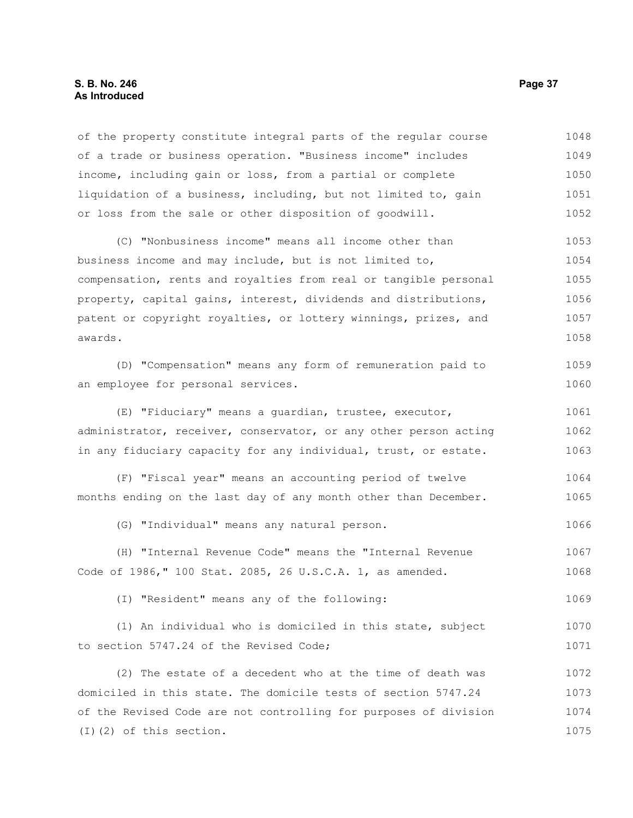#### **S. B. No. 246 Page 37 As Introduced**

of the property constitute integral parts of the regular course of a trade or business operation. "Business income" includes income, including gain or loss, from a partial or complete liquidation of a business, including, but not limited to, gain or loss from the sale or other disposition of goodwill. 1048 1049 1050 1051 1052

(C) "Nonbusiness income" means all income other than business income and may include, but is not limited to, compensation, rents and royalties from real or tangible personal property, capital gains, interest, dividends and distributions, patent or copyright royalties, or lottery winnings, prizes, and awards. 1053 1054 1055 1056 1057 1058

(D) "Compensation" means any form of remuneration paid to an employee for personal services. 1059 1060

(E) "Fiduciary" means a guardian, trustee, executor, administrator, receiver, conservator, or any other person acting in any fiduciary capacity for any individual, trust, or estate. 1061 1062 1063

(F) "Fiscal year" means an accounting period of twelve months ending on the last day of any month other than December. 1064 1065

(G) "Individual" means any natural person. 1066

(H) "Internal Revenue Code" means the "Internal Revenue Code of 1986," 100 Stat. 2085, 26 U.S.C.A. 1, as amended. 1067 1068

(I) "Resident" means any of the following: 1069

(1) An individual who is domiciled in this state, subject to section 5747.24 of the Revised Code; 1070 1071

(2) The estate of a decedent who at the time of death was domiciled in this state. The domicile tests of section 5747.24 of the Revised Code are not controlling for purposes of division (I)(2) of this section. 1072 1073 1074 1075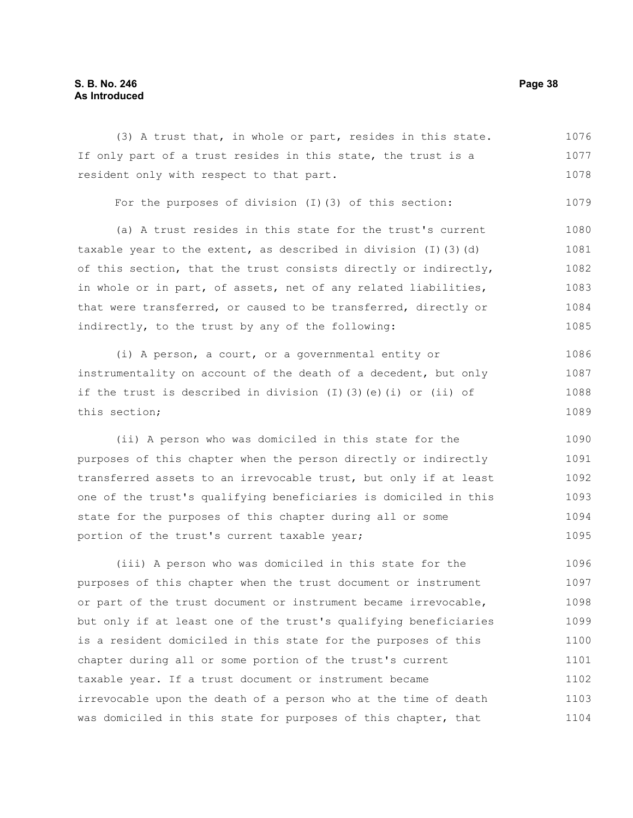# **S. B. No. 246 Page 38 As Introduced**

(3) A trust that, in whole or part, resides in this state. If only part of a trust resides in this state, the trust is a resident only with respect to that part. For the purposes of division (I)(3) of this section: (a) A trust resides in this state for the trust's current taxable year to the extent, as described in division  $(I)$  (3)(d) of this section, that the trust consists directly or indirectly, in whole or in part, of assets, net of any related liabilities, that were transferred, or caused to be transferred, directly or indirectly, to the trust by any of the following: (i) A person, a court, or a governmental entity or instrumentality on account of the death of a decedent, but only if the trust is described in division (I)(3)(e)(i) or (ii) of this section; 1076 1077 1078 1079 1080 1081 1082 1083 1084 1085 1086 1087 1088 1089

(ii) A person who was domiciled in this state for the purposes of this chapter when the person directly or indirectly transferred assets to an irrevocable trust, but only if at least one of the trust's qualifying beneficiaries is domiciled in this state for the purposes of this chapter during all or some portion of the trust's current taxable year; 1090 1091 1092 1093 1094 1095

(iii) A person who was domiciled in this state for the purposes of this chapter when the trust document or instrument or part of the trust document or instrument became irrevocable, but only if at least one of the trust's qualifying beneficiaries is a resident domiciled in this state for the purposes of this chapter during all or some portion of the trust's current taxable year. If a trust document or instrument became irrevocable upon the death of a person who at the time of death was domiciled in this state for purposes of this chapter, that 1096 1097 1098 1099 1100 1101 1102 1103 1104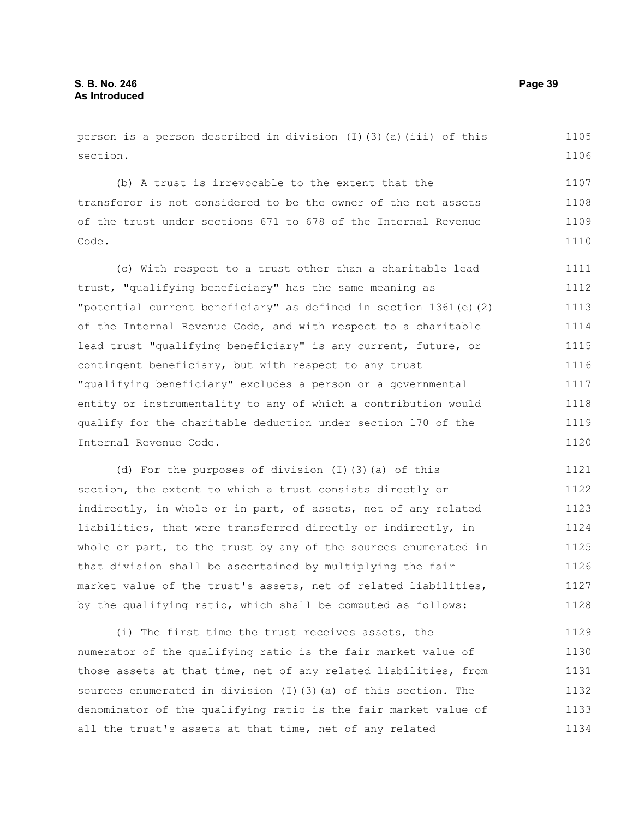person is a person described in division  $(I)$  (3)(a)(iii) of this section.

(b) A trust is irrevocable to the extent that the transferor is not considered to be the owner of the net assets of the trust under sections 671 to 678 of the Internal Revenue Code. 1107 1108 1109 1110

(c) With respect to a trust other than a charitable lead trust, "qualifying beneficiary" has the same meaning as "potential current beneficiary" as defined in section 1361(e)(2) of the Internal Revenue Code, and with respect to a charitable lead trust "qualifying beneficiary" is any current, future, or contingent beneficiary, but with respect to any trust "qualifying beneficiary" excludes a person or a governmental entity or instrumentality to any of which a contribution would qualify for the charitable deduction under section 170 of the Internal Revenue Code. 1111 1112 1113 1114 1115 1116 1117 1118 1119 1120

(d) For the purposes of division (I)(3)(a) of this section, the extent to which a trust consists directly or indirectly, in whole or in part, of assets, net of any related liabilities, that were transferred directly or indirectly, in whole or part, to the trust by any of the sources enumerated in that division shall be ascertained by multiplying the fair market value of the trust's assets, net of related liabilities, by the qualifying ratio, which shall be computed as follows: 1121 1122 1123 1124 1125 1126 1127 1128

(i) The first time the trust receives assets, the numerator of the qualifying ratio is the fair market value of those assets at that time, net of any related liabilities, from sources enumerated in division (I)(3)(a) of this section. The denominator of the qualifying ratio is the fair market value of all the trust's assets at that time, net of any related 1129 1130 1131 1132 1133 1134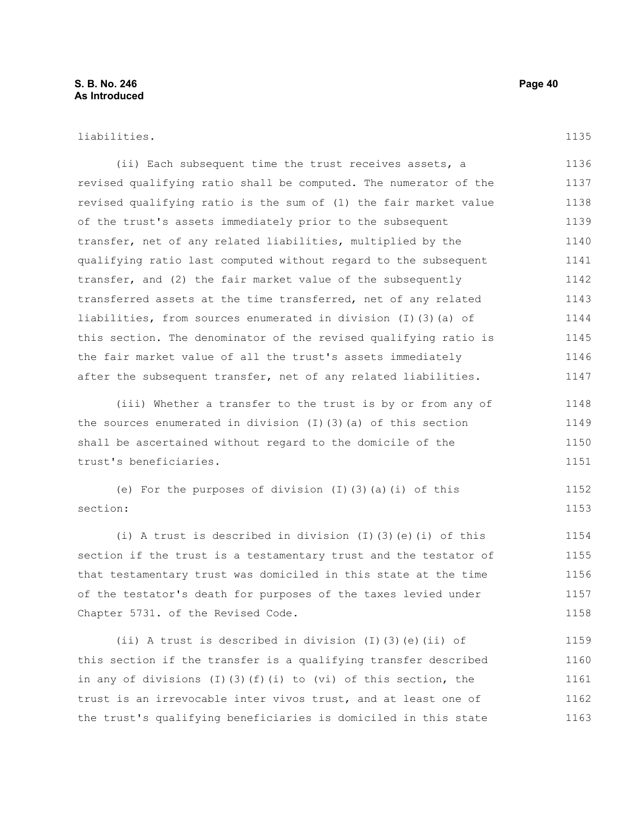1135

(ii) Each subsequent time the trust receives assets, a revised qualifying ratio shall be computed. The numerator of the revised qualifying ratio is the sum of (1) the fair market value of the trust's assets immediately prior to the subsequent transfer, net of any related liabilities, multiplied by the qualifying ratio last computed without regard to the subsequent transfer, and (2) the fair market value of the subsequently transferred assets at the time transferred, net of any related liabilities, from sources enumerated in division (I)(3)(a) of this section. The denominator of the revised qualifying ratio is the fair market value of all the trust's assets immediately after the subsequent transfer, net of any related liabilities. 1136 1137 1138 1139 1140 1141 1142 1143 1144 1145 1146 1147

(iii) Whether a transfer to the trust is by or from any of the sources enumerated in division (I)(3)(a) of this section shall be ascertained without regard to the domicile of the trust's beneficiaries. 1148 1149 1150 1151

(e) For the purposes of division (I)(3)(a)(i) of this section: 1152 1153

(i) A trust is described in division (I)(3)(e)(i) of this section if the trust is a testamentary trust and the testator of that testamentary trust was domiciled in this state at the time of the testator's death for purposes of the taxes levied under Chapter 5731. of the Revised Code. 1154 1155 1156 1157 1158

(ii) A trust is described in division (I)(3)(e)(ii) of this section if the transfer is a qualifying transfer described in any of divisions (I)(3)(f)(i) to (vi) of this section, the trust is an irrevocable inter vivos trust, and at least one of the trust's qualifying beneficiaries is domiciled in this state 1159 1160 1161 1162 1163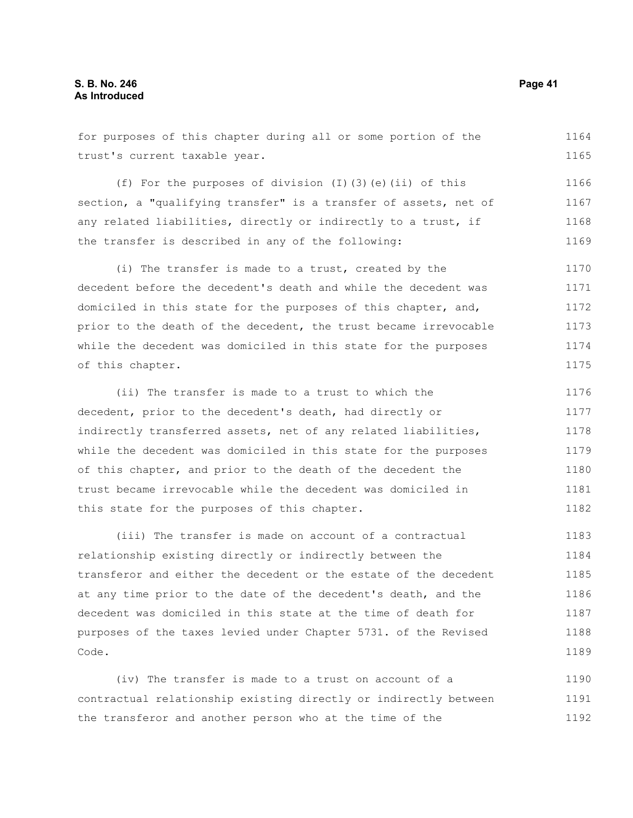for purposes of this chapter during all or some portion of the trust's current taxable year. (f) For the purposes of division (I)(3)(e)(ii) of this 1164 1165 1166

section, a "qualifying transfer" is a transfer of assets, net of any related liabilities, directly or indirectly to a trust, if the transfer is described in any of the following: 1167 1168 1169

(i) The transfer is made to a trust, created by the decedent before the decedent's death and while the decedent was domiciled in this state for the purposes of this chapter, and, prior to the death of the decedent, the trust became irrevocable while the decedent was domiciled in this state for the purposes of this chapter. 1170 1171 1172 1173 1174 1175

(ii) The transfer is made to a trust to which the decedent, prior to the decedent's death, had directly or indirectly transferred assets, net of any related liabilities, while the decedent was domiciled in this state for the purposes of this chapter, and prior to the death of the decedent the trust became irrevocable while the decedent was domiciled in this state for the purposes of this chapter. 1176 1177 1178 1179 1180 1181 1182

(iii) The transfer is made on account of a contractual relationship existing directly or indirectly between the transferor and either the decedent or the estate of the decedent at any time prior to the date of the decedent's death, and the decedent was domiciled in this state at the time of death for purposes of the taxes levied under Chapter 5731. of the Revised Code. 1183 1184 1185 1186 1187 1188 1189

(iv) The transfer is made to a trust on account of a contractual relationship existing directly or indirectly between the transferor and another person who at the time of the 1190 1191 1192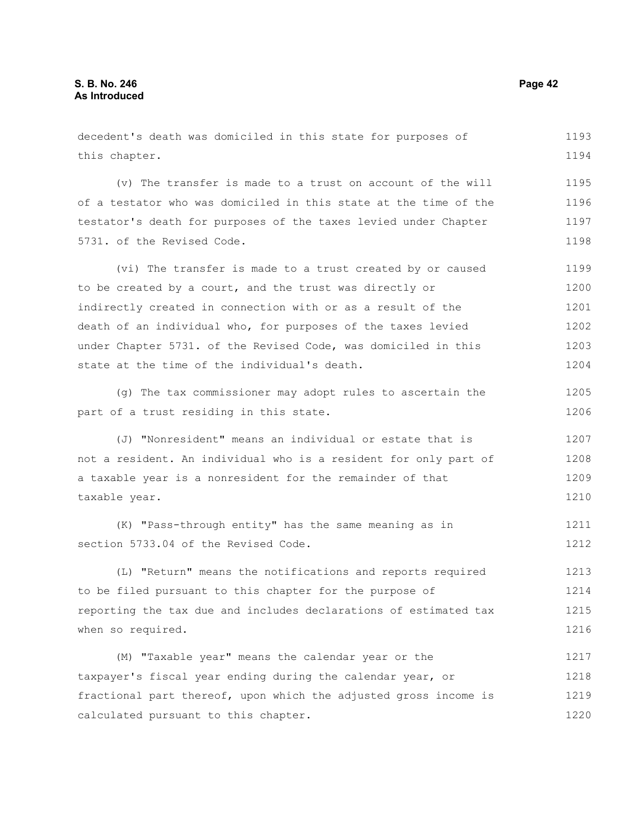decedent's death was domiciled in this state for purposes of this chapter. (v) The transfer is made to a trust on account of the will of a testator who was domiciled in this state at the time of the testator's death for purposes of the taxes levied under Chapter 5731. of the Revised Code. (vi) The transfer is made to a trust created by or caused to be created by a court, and the trust was directly or indirectly created in connection with or as a result of the death of an individual who, for purposes of the taxes levied under Chapter 5731. of the Revised Code, was domiciled in this state at the time of the individual's death. (g) The tax commissioner may adopt rules to ascertain the part of a trust residing in this state. (J) "Nonresident" means an individual or estate that is not a resident. An individual who is a resident for only part of a taxable year is a nonresident for the remainder of that taxable year. (K) "Pass-through entity" has the same meaning as in section 5733.04 of the Revised Code. (L) "Return" means the notifications and reports required to be filed pursuant to this chapter for the purpose of reporting the tax due and includes declarations of estimated tax when so required. (M) "Taxable year" means the calendar year or the taxpayer's fiscal year ending during the calendar year, or fractional part thereof, upon which the adjusted gross income is calculated pursuant to this chapter. 1193 1194 1195 1196 1197 1198 1199 1200 1201 1202 1203 1204 1205 1206 1207 1208 1209 1210 1211 1212 1213 1214 1215 1216 1217 1218 1219 1220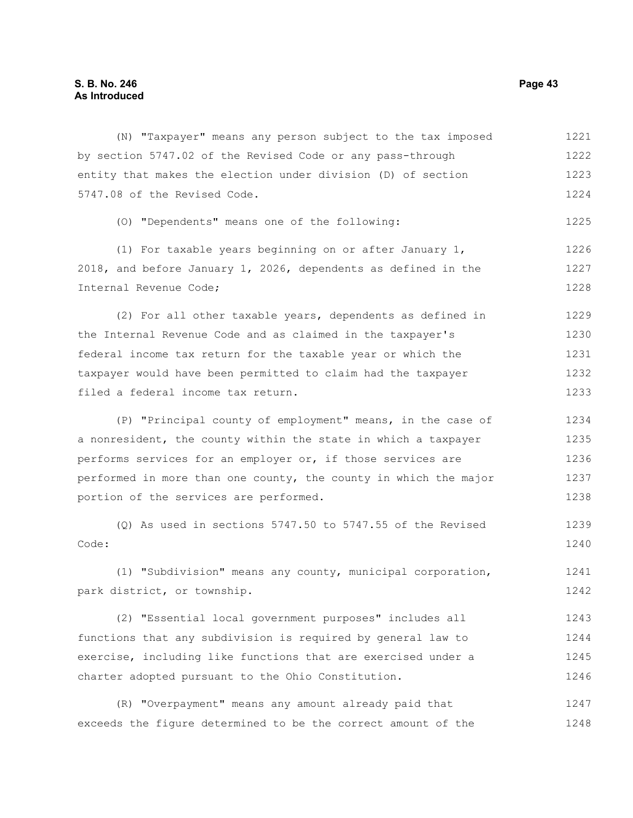(N) "Taxpayer" means any person subject to the tax imposed by section 5747.02 of the Revised Code or any pass-through entity that makes the election under division (D) of section 5747.08 of the Revised Code. (O) "Dependents" means one of the following: (1) For taxable years beginning on or after January 1, 2018, and before January 1, 2026, dependents as defined in the Internal Revenue Code; (2) For all other taxable years, dependents as defined in the Internal Revenue Code and as claimed in the taxpayer's federal income tax return for the taxable year or which the taxpayer would have been permitted to claim had the taxpayer filed a federal income tax return. (P) "Principal county of employment" means, in the case of a nonresident, the county within the state in which a taxpayer performs services for an employer or, if those services are performed in more than one county, the county in which the major portion of the services are performed. (Q) As used in sections 5747.50 to 5747.55 of the Revised Code: (1) "Subdivision" means any county, municipal corporation, park district, or township. (2) "Essential local government purposes" includes all functions that any subdivision is required by general law to exercise, including like functions that are exercised under a charter adopted pursuant to the Ohio Constitution. 1221 1222 1223 1224 1225 1226 1227 1228 1229 1230 1231 1232 1233 1234 1235 1236 1237 1238 1239 1240 1241 1242 1243 1244 1245 1246

(R) "Overpayment" means any amount already paid that exceeds the figure determined to be the correct amount of the 1247 1248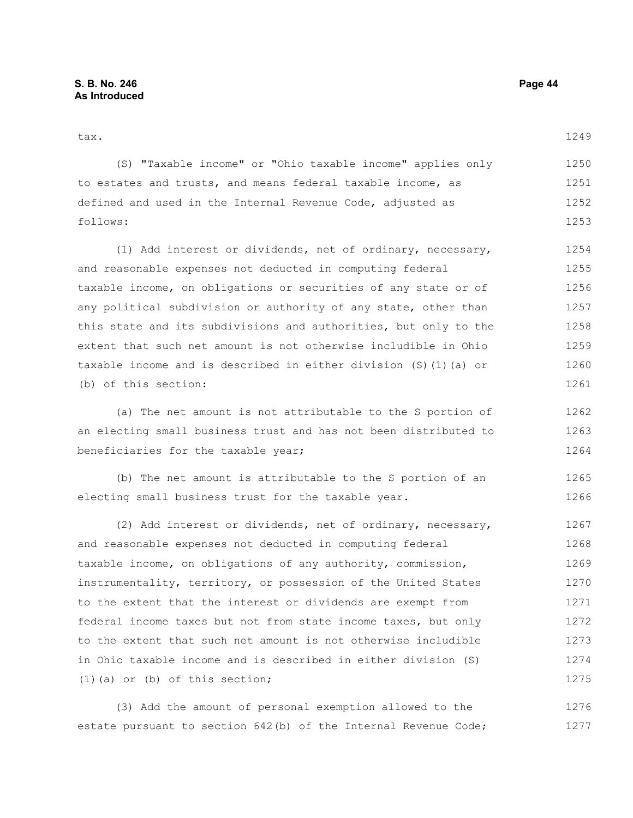#### tax.

| (S) "Taxable income" or "Ohio taxable income" applies only  | 1250 |
|-------------------------------------------------------------|------|
| to estates and trusts, and means federal taxable income, as | 1251 |
| defined and used in the Internal Revenue Code, adjusted as  | 1252 |
| follows:                                                    | 1253 |

(1) Add interest or dividends, net of ordinary, necessary, and reasonable expenses not deducted in computing federal taxable income, on obligations or securities of any state or of any political subdivision or authority of any state, other than this state and its subdivisions and authorities, but only to the extent that such net amount is not otherwise includible in Ohio taxable income and is described in either division (S)(1)(a) or (b) of this section: 1254 1255 1256 1257 1258 1259 1260 1261

(a) The net amount is not attributable to the S portion of an electing small business trust and has not been distributed to beneficiaries for the taxable year; 1262 1263 1264

(b) The net amount is attributable to the S portion of an electing small business trust for the taxable year. 1265 1266

(2) Add interest or dividends, net of ordinary, necessary, and reasonable expenses not deducted in computing federal taxable income, on obligations of any authority, commission, instrumentality, territory, or possession of the United States to the extent that the interest or dividends are exempt from federal income taxes but not from state income taxes, but only to the extent that such net amount is not otherwise includible in Ohio taxable income and is described in either division (S) (1)(a) or (b) of this section; 1267 1268 1269 1270 1271 1272 1273 1274 1275

(3) Add the amount of personal exemption allowed to the estate pursuant to section 642(b) of the Internal Revenue Code; 1276 1277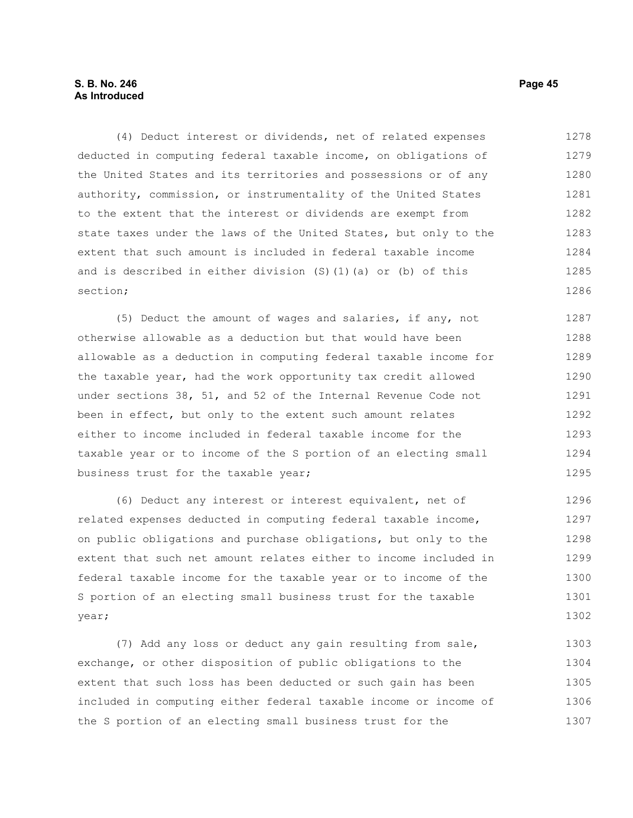# **S. B. No. 246 Page 45 As Introduced**

(4) Deduct interest or dividends, net of related expenses deducted in computing federal taxable income, on obligations of the United States and its territories and possessions or of any authority, commission, or instrumentality of the United States to the extent that the interest or dividends are exempt from state taxes under the laws of the United States, but only to the extent that such amount is included in federal taxable income and is described in either division (S)(1)(a) or (b) of this section; 1278 1279 1280 1281 1282 1283 1284 1285 1286

(5) Deduct the amount of wages and salaries, if any, not otherwise allowable as a deduction but that would have been allowable as a deduction in computing federal taxable income for the taxable year, had the work opportunity tax credit allowed under sections 38, 51, and 52 of the Internal Revenue Code not been in effect, but only to the extent such amount relates either to income included in federal taxable income for the taxable year or to income of the S portion of an electing small business trust for the taxable year; 1287 1288 1289 1290 1291 1292 1293 1294 1295

(6) Deduct any interest or interest equivalent, net of related expenses deducted in computing federal taxable income, on public obligations and purchase obligations, but only to the extent that such net amount relates either to income included in federal taxable income for the taxable year or to income of the S portion of an electing small business trust for the taxable year; 1296 1297 1298 1299 1300 1301 1302

(7) Add any loss or deduct any gain resulting from sale, exchange, or other disposition of public obligations to the extent that such loss has been deducted or such gain has been included in computing either federal taxable income or income of the S portion of an electing small business trust for the 1303 1304 1305 1306 1307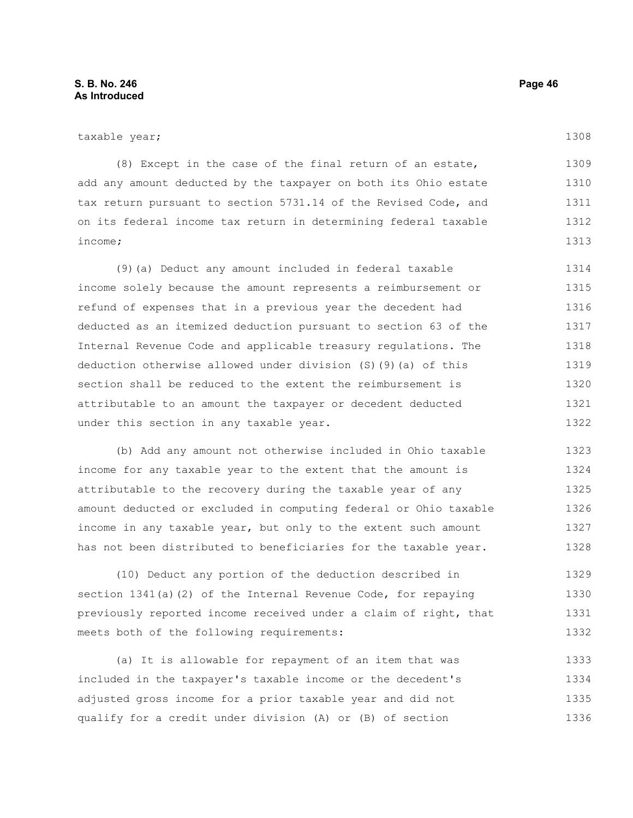(8) Except in the case of the final return of an estate, add any amount deducted by the taxpayer on both its Ohio estate tax return pursuant to section 5731.14 of the Revised Code, and on its federal income tax return in determining federal taxable income; 1309 1310 1311 1312 1313

(9)(a) Deduct any amount included in federal taxable income solely because the amount represents a reimbursement or refund of expenses that in a previous year the decedent had deducted as an itemized deduction pursuant to section 63 of the Internal Revenue Code and applicable treasury regulations. The deduction otherwise allowed under division (S)(9)(a) of this section shall be reduced to the extent the reimbursement is attributable to an amount the taxpayer or decedent deducted under this section in any taxable year. 1314 1315 1316 1317 1318 1319 1320 1321 1322

(b) Add any amount not otherwise included in Ohio taxable income for any taxable year to the extent that the amount is attributable to the recovery during the taxable year of any amount deducted or excluded in computing federal or Ohio taxable income in any taxable year, but only to the extent such amount has not been distributed to beneficiaries for the taxable year. 1323 1324 1325 1326 1327 1328

(10) Deduct any portion of the deduction described in section 1341(a)(2) of the Internal Revenue Code, for repaying previously reported income received under a claim of right, that meets both of the following requirements: 1329 1330 1331 1332

(a) It is allowable for repayment of an item that was included in the taxpayer's taxable income or the decedent's adjusted gross income for a prior taxable year and did not qualify for a credit under division (A) or (B) of section 1333 1334 1335 1336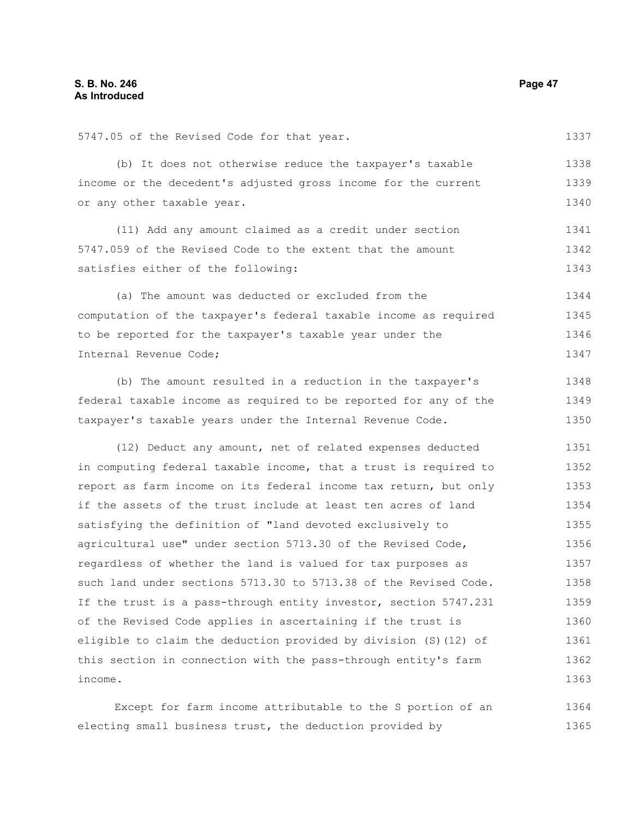|  |  |  | 5747.05 of the Revised Code for that year. |  |  |  |  |  |
|--|--|--|--------------------------------------------|--|--|--|--|--|
|--|--|--|--------------------------------------------|--|--|--|--|--|

(b) It does not otherwise reduce the taxpayer's taxable income or the decedent's adjusted gross income for the current or any other taxable year. 1338 1339 1340

(11) Add any amount claimed as a credit under section 5747.059 of the Revised Code to the extent that the amount satisfies either of the following: 1341 1342 1343

(a) The amount was deducted or excluded from the computation of the taxpayer's federal taxable income as required to be reported for the taxpayer's taxable year under the Internal Revenue Code; 1344 1345 1346 1347

(b) The amount resulted in a reduction in the taxpayer's federal taxable income as required to be reported for any of the taxpayer's taxable years under the Internal Revenue Code. 1348 1349 1350

(12) Deduct any amount, net of related expenses deducted in computing federal taxable income, that a trust is required to report as farm income on its federal income tax return, but only if the assets of the trust include at least ten acres of land satisfying the definition of "land devoted exclusively to agricultural use" under section 5713.30 of the Revised Code, regardless of whether the land is valued for tax purposes as such land under sections 5713.30 to 5713.38 of the Revised Code. If the trust is a pass-through entity investor, section 5747.231 of the Revised Code applies in ascertaining if the trust is eligible to claim the deduction provided by division (S)(12) of this section in connection with the pass-through entity's farm income. 1351 1352 1353 1354 1355 1356 1357 1358 1359 1360 1361 1362 1363

Except for farm income attributable to the S portion of an electing small business trust, the deduction provided by 1364 1365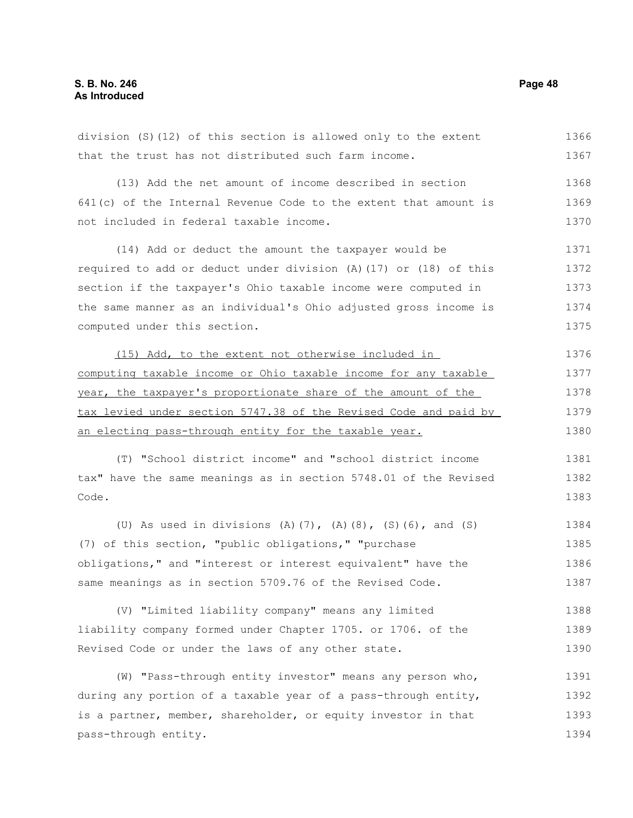division (S)(12) of this section is allowed only to the extent that the trust has not distributed such farm income. (13) Add the net amount of income described in section 641(c) of the Internal Revenue Code to the extent that amount is not included in federal taxable income. (14) Add or deduct the amount the taxpayer would be required to add or deduct under division (A)(17) or (18) of this section if the taxpayer's Ohio taxable income were computed in the same manner as an individual's Ohio adjusted gross income is computed under this section. (15) Add, to the extent not otherwise included in computing taxable income or Ohio taxable income for any taxable year, the taxpayer's proportionate share of the amount of the tax levied under section 5747.38 of the Revised Code and paid by an electing pass-through entity for the taxable year. (T) "School district income" and "school district income tax" have the same meanings as in section 5748.01 of the Revised Code. (U) As used in divisions (A)(7), (A)(8), (S)(6), and (S) (7) of this section, "public obligations," "purchase obligations," and "interest or interest equivalent" have the same meanings as in section 5709.76 of the Revised Code. (V) "Limited liability company" means any limited liability company formed under Chapter 1705. or 1706. of the 1366 1367 1368 1369 1370 1371 1372 1373 1374 1375 1376 1377 1378 1379 1380 1381 1382 1383 1384 1385 1386 1387 1388 1389

(W) "Pass-through entity investor" means any person who, during any portion of a taxable year of a pass-through entity, is a partner, member, shareholder, or equity investor in that pass-through entity. 1391 1392 1393 1394

Revised Code or under the laws of any other state.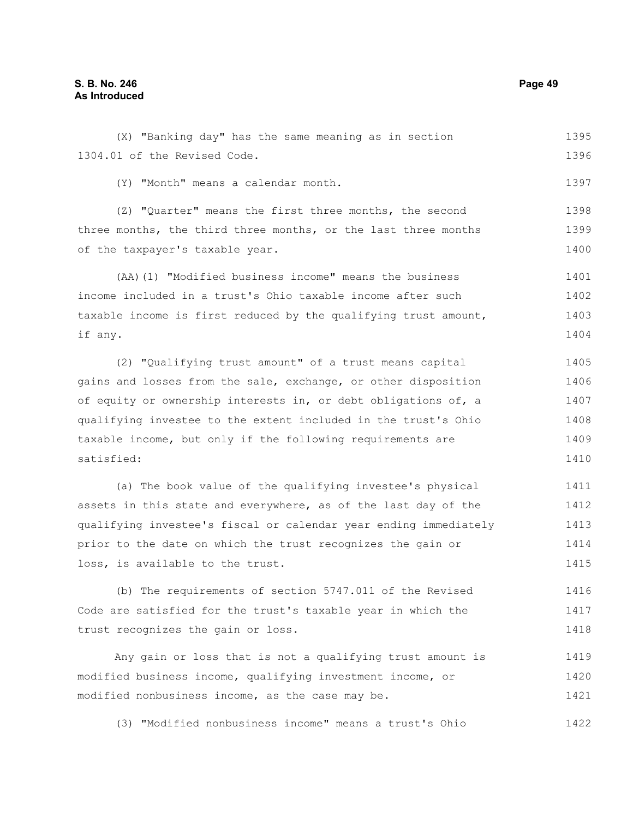(X) "Banking day" has the same meaning as in section 1304.01 of the Revised Code. (Y) "Month" means a calendar month. (Z) "Quarter" means the first three months, the second three months, the third three months, or the last three months of the taxpayer's taxable year. 1395 1396 1397 1398 1399 1400

(AA)(1) "Modified business income" means the business income included in a trust's Ohio taxable income after such taxable income is first reduced by the qualifying trust amount, if any. 1401 1402 1403 1404

(2) "Qualifying trust amount" of a trust means capital gains and losses from the sale, exchange, or other disposition of equity or ownership interests in, or debt obligations of, a qualifying investee to the extent included in the trust's Ohio taxable income, but only if the following requirements are satisfied: 1405 1406 1407 1408 1409 1410

(a) The book value of the qualifying investee's physical assets in this state and everywhere, as of the last day of the qualifying investee's fiscal or calendar year ending immediately prior to the date on which the trust recognizes the gain or loss, is available to the trust. 1411 1412 1413 1414 1415

(b) The requirements of section 5747.011 of the Revised Code are satisfied for the trust's taxable year in which the trust recognizes the gain or loss. 1416 1417 1418

Any gain or loss that is not a qualifying trust amount is modified business income, qualifying investment income, or modified nonbusiness income, as the case may be. 1419 1420 1421

(3) "Modified nonbusiness income" means a trust's Ohio 1422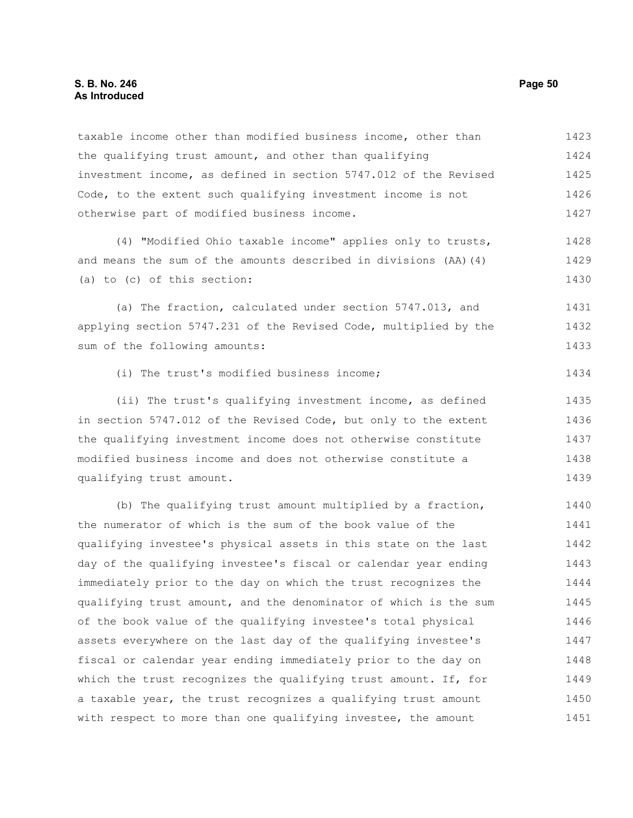### **S. B. No. 246 Page 50 As Introduced**

taxable income other than modified business income, other than the qualifying trust amount, and other than qualifying investment income, as defined in section 5747.012 of the Revised Code, to the extent such qualifying investment income is not otherwise part of modified business income. (4) "Modified Ohio taxable income" applies only to trusts, and means the sum of the amounts described in divisions (AA)(4) (a) to (c) of this section: (a) The fraction, calculated under section 5747.013, and applying section 5747.231 of the Revised Code, multiplied by the sum of the following amounts: (i) The trust's modified business income; (ii) The trust's qualifying investment income, as defined in section 5747.012 of the Revised Code, but only to the extent the qualifying investment income does not otherwise constitute modified business income and does not otherwise constitute a qualifying trust amount. (b) The qualifying trust amount multiplied by a fraction, the numerator of which is the sum of the book value of the qualifying investee's physical assets in this state on the last day of the qualifying investee's fiscal or calendar year ending immediately prior to the day on which the trust recognizes the qualifying trust amount, and the denominator of which is the sum of the book value of the qualifying investee's total physical assets everywhere on the last day of the qualifying investee's fiscal or calendar year ending immediately prior to the day on which the trust recognizes the qualifying trust amount. If, for 1423 1424 1425 1426 1427 1428 1429 1430 1431 1432 1433 1434 1435 1436 1437 1438 1439 1440 1441 1442 1443 1444 1445 1446 1447 1448 1449

a taxable year, the trust recognizes a qualifying trust amount with respect to more than one qualifying investee, the amount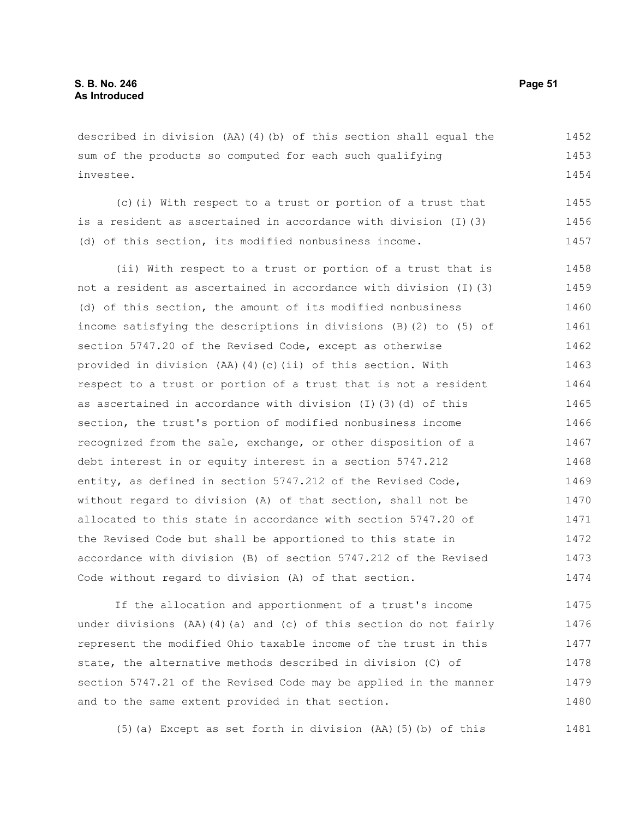described in division (AA)(4)(b) of this section shall equal the sum of the products so computed for each such qualifying investee. 1452 1453 1454

(c)(i) With respect to a trust or portion of a trust that is a resident as ascertained in accordance with division (I)(3) (d) of this section, its modified nonbusiness income. 1455 1456 1457

(ii) With respect to a trust or portion of a trust that is not a resident as ascertained in accordance with division (I)(3) (d) of this section, the amount of its modified nonbusiness income satisfying the descriptions in divisions (B)(2) to (5) of section 5747.20 of the Revised Code, except as otherwise provided in division (AA)(4)(c)(ii) of this section. With respect to a trust or portion of a trust that is not a resident as ascertained in accordance with division (I)(3)(d) of this section, the trust's portion of modified nonbusiness income recognized from the sale, exchange, or other disposition of a debt interest in or equity interest in a section 5747.212 entity, as defined in section 5747.212 of the Revised Code, without regard to division (A) of that section, shall not be allocated to this state in accordance with section 5747.20 of the Revised Code but shall be apportioned to this state in accordance with division (B) of section 5747.212 of the Revised Code without regard to division (A) of that section. 1458 1459 1460 1461 1462 1463 1464 1465 1466 1467 1468 1469 1470 1471 1472 1473 1474

If the allocation and apportionment of a trust's income under divisions (AA)(4)(a) and (c) of this section do not fairly represent the modified Ohio taxable income of the trust in this state, the alternative methods described in division (C) of section 5747.21 of the Revised Code may be applied in the manner and to the same extent provided in that section. 1475 1476 1477 1478 1479 1480

(5)(a) Except as set forth in division (AA)(5)(b) of this 1481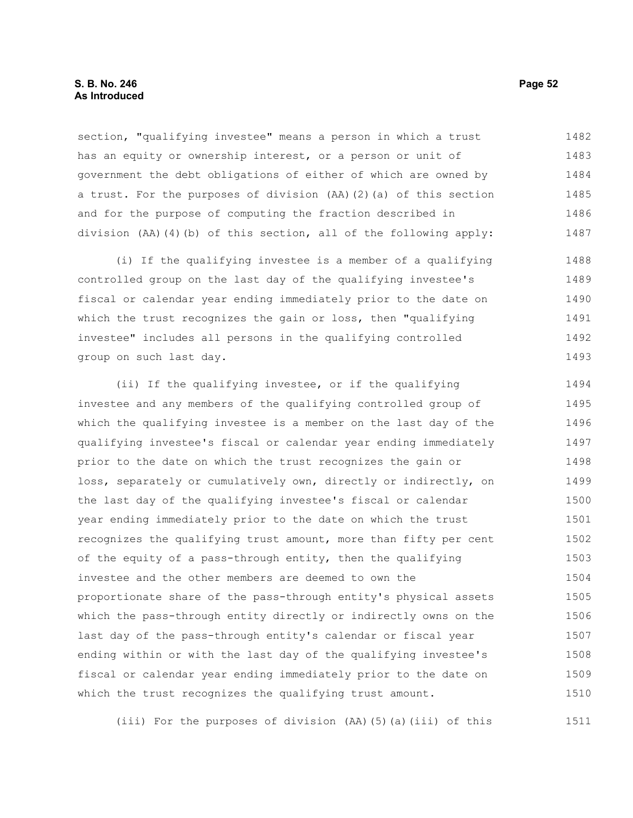## **S. B. No. 246 Page 52 As Introduced**

section, "qualifying investee" means a person in which a trust has an equity or ownership interest, or a person or unit of government the debt obligations of either of which are owned by a trust. For the purposes of division (AA)(2)(a) of this section and for the purpose of computing the fraction described in division (AA)(4)(b) of this section, all of the following apply: 1482 1483 1484 1485 1486 1487

(i) If the qualifying investee is a member of a qualifying controlled group on the last day of the qualifying investee's fiscal or calendar year ending immediately prior to the date on which the trust recognizes the gain or loss, then "qualifying investee" includes all persons in the qualifying controlled group on such last day. 1488 1489 1490 1491 1492 1493

(ii) If the qualifying investee, or if the qualifying investee and any members of the qualifying controlled group of which the qualifying investee is a member on the last day of the qualifying investee's fiscal or calendar year ending immediately prior to the date on which the trust recognizes the gain or loss, separately or cumulatively own, directly or indirectly, on the last day of the qualifying investee's fiscal or calendar year ending immediately prior to the date on which the trust recognizes the qualifying trust amount, more than fifty per cent of the equity of a pass-through entity, then the qualifying investee and the other members are deemed to own the proportionate share of the pass-through entity's physical assets which the pass-through entity directly or indirectly owns on the last day of the pass-through entity's calendar or fiscal year ending within or with the last day of the qualifying investee's fiscal or calendar year ending immediately prior to the date on which the trust recognizes the qualifying trust amount. 1494 1495 1496 1497 1498 1499 1500 1501 1502 1503 1504 1505 1506 1507 1508 1509 1510

(iii) For the purposes of division (AA)(5)(a)(iii) of this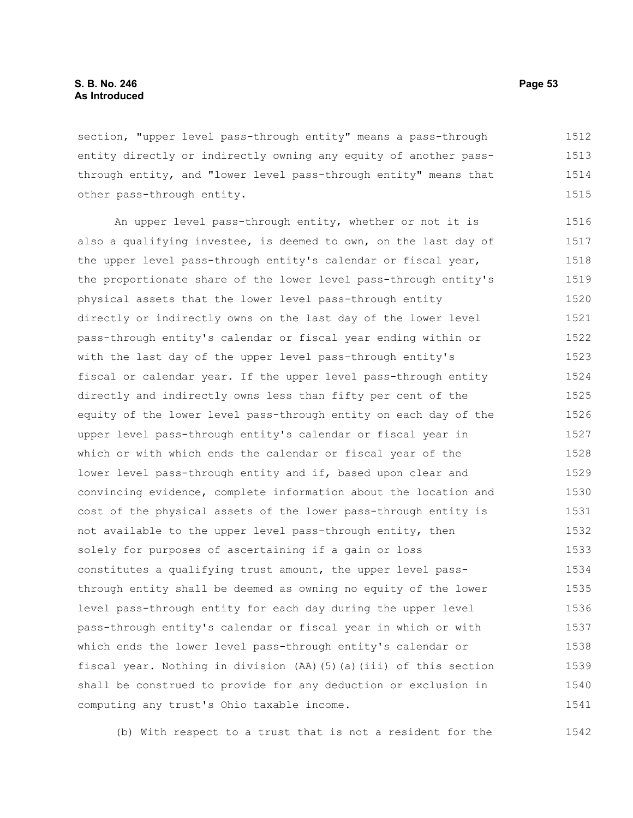section, "upper level pass-through entity" means a pass-through entity directly or indirectly owning any equity of another passthrough entity, and "lower level pass-through entity" means that other pass-through entity. 1512 1513 1514 1515

An upper level pass-through entity, whether or not it is also a qualifying investee, is deemed to own, on the last day of the upper level pass-through entity's calendar or fiscal year, the proportionate share of the lower level pass-through entity's physical assets that the lower level pass-through entity directly or indirectly owns on the last day of the lower level pass-through entity's calendar or fiscal year ending within or with the last day of the upper level pass-through entity's fiscal or calendar year. If the upper level pass-through entity directly and indirectly owns less than fifty per cent of the equity of the lower level pass-through entity on each day of the upper level pass-through entity's calendar or fiscal year in which or with which ends the calendar or fiscal year of the lower level pass-through entity and if, based upon clear and convincing evidence, complete information about the location and cost of the physical assets of the lower pass-through entity is not available to the upper level pass-through entity, then solely for purposes of ascertaining if a gain or loss constitutes a qualifying trust amount, the upper level passthrough entity shall be deemed as owning no equity of the lower level pass-through entity for each day during the upper level pass-through entity's calendar or fiscal year in which or with which ends the lower level pass-through entity's calendar or fiscal year. Nothing in division (AA)(5)(a)(iii) of this section shall be construed to provide for any deduction or exclusion in computing any trust's Ohio taxable income. 1516 1517 1518 1519 1520 1521 1522 1523 1524 1525 1526 1527 1528 1529 1530 1531 1532 1533 1534 1535 1536 1537 1538 1539 1540 1541

(b) With respect to a trust that is not a resident for the 1542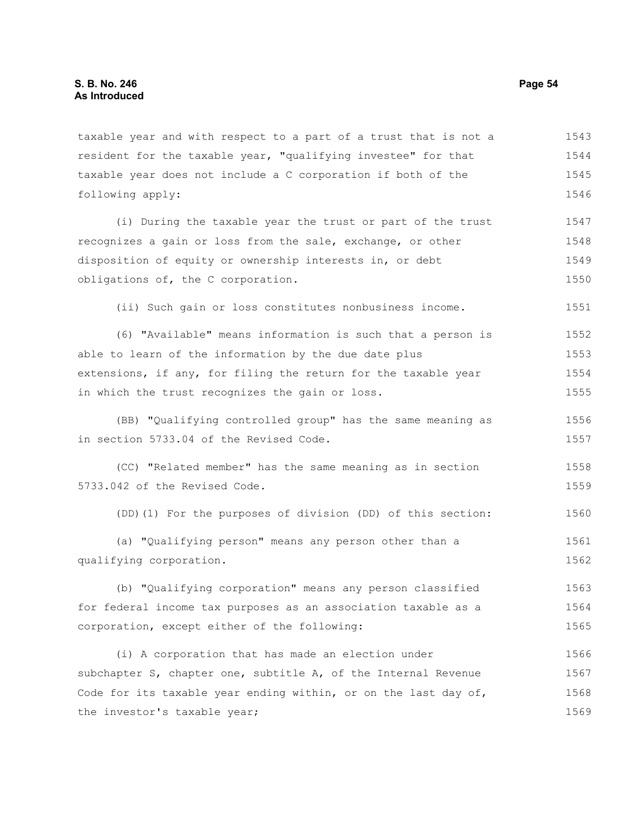taxable year and with respect to a part of a trust that is not a resident for the taxable year, "qualifying investee" for that taxable year does not include a C corporation if both of the following apply: 1543 1544 1545 1546

(i) During the taxable year the trust or part of the trust recognizes a gain or loss from the sale, exchange, or other disposition of equity or ownership interests in, or debt obligations of, the C corporation. 1547 1548 1549 1550

(ii) Such gain or loss constitutes nonbusiness income.

(6) "Available" means information is such that a person is able to learn of the information by the due date plus extensions, if any, for filing the return for the taxable year in which the trust recognizes the gain or loss. 1552 1553 1554 1555

(BB) "Qualifying controlled group" has the same meaning as in section 5733.04 of the Revised Code. 1556 1557

(CC) "Related member" has the same meaning as in section 5733.042 of the Revised Code. 1558 1559

(DD)(1) For the purposes of division (DD) of this section: 1560

(a) "Qualifying person" means any person other than a qualifying corporation. 1561 1562

(b) "Qualifying corporation" means any person classified for federal income tax purposes as an association taxable as a corporation, except either of the following: 1563 1564 1565

(i) A corporation that has made an election under subchapter S, chapter one, subtitle A, of the Internal Revenue Code for its taxable year ending within, or on the last day of, the investor's taxable year; 1566 1567 1568 1569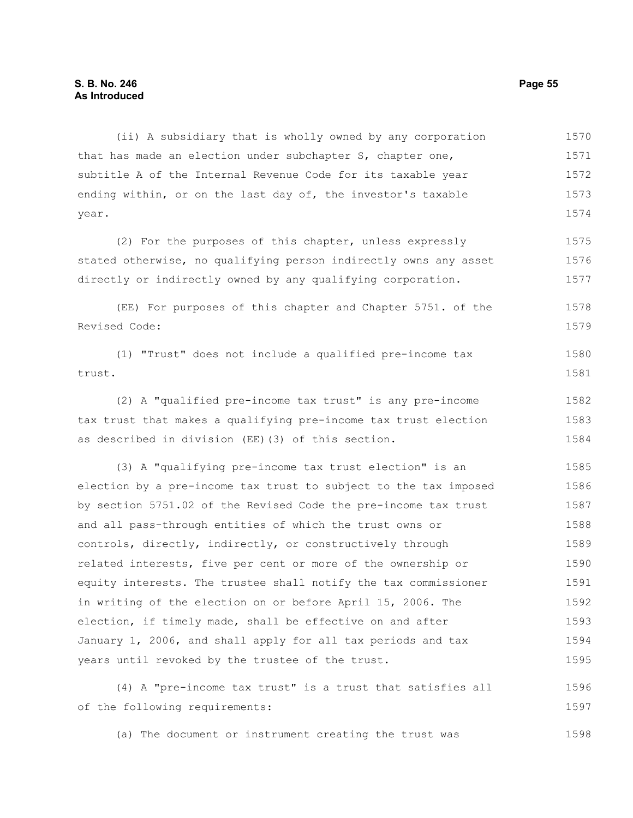(ii) A subsidiary that is wholly owned by any corporation that has made an election under subchapter S, chapter one, subtitle A of the Internal Revenue Code for its taxable year ending within, or on the last day of, the investor's taxable year. (2) For the purposes of this chapter, unless expressly stated otherwise, no qualifying person indirectly owns any asset directly or indirectly owned by any qualifying corporation. (EE) For purposes of this chapter and Chapter 5751. of the Revised Code: (1) "Trust" does not include a qualified pre-income tax trust. (2) A "qualified pre-income tax trust" is any pre-income tax trust that makes a qualifying pre-income tax trust election as described in division (EE)(3) of this section. (3) A "qualifying pre-income tax trust election" is an election by a pre-income tax trust to subject to the tax imposed by section 5751.02 of the Revised Code the pre-income tax trust and all pass-through entities of which the trust owns or controls, directly, indirectly, or constructively through related interests, five per cent or more of the ownership or equity interests. The trustee shall notify the tax commissioner in writing of the election on or before April 15, 2006. The election, if timely made, shall be effective on and after January 1, 2006, and shall apply for all tax periods and tax years until revoked by the trustee of the trust. (4) A "pre-income tax trust" is a trust that satisfies all 1570 1571 1572 1573 1574 1575 1576 1577 1578 1579 1580 1581 1582 1583 1584 1585 1586 1587 1588 1589 1590 1591 1592 1593 1594 1595 1596

of the following requirements: 1597

(a) The document or instrument creating the trust was 1598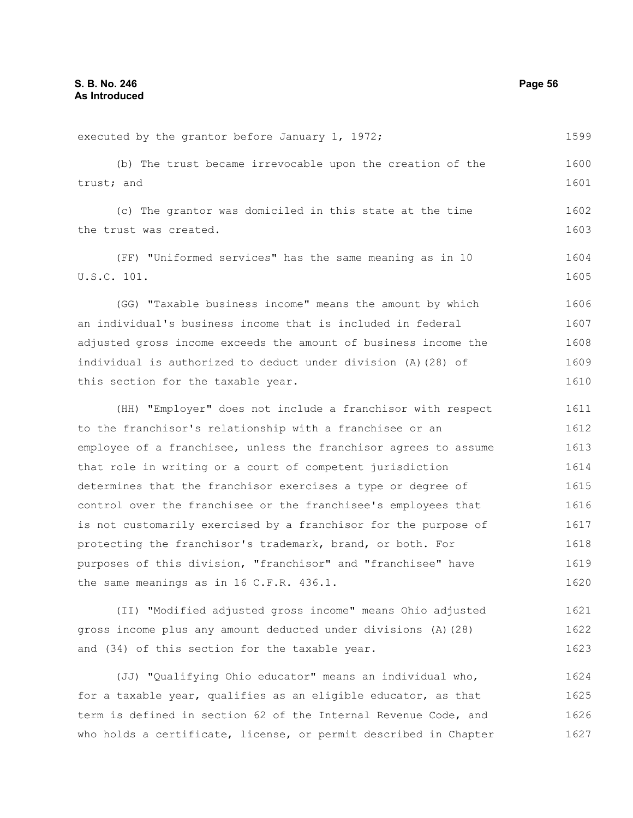executed by the grantor before January 1, 1972; (b) The trust became irrevocable upon the creation of the trust; and (c) The grantor was domiciled in this state at the time the trust was created. (FF) "Uniformed services" has the same meaning as in 10 U.S.C. 101. (GG) "Taxable business income" means the amount by which an individual's business income that is included in federal adjusted gross income exceeds the amount of business income the individual is authorized to deduct under division (A)(28) of this section for the taxable year. (HH) "Employer" does not include a franchisor with respect to the franchisor's relationship with a franchisee or an employee of a franchisee, unless the franchisor agrees to assume that role in writing or a court of competent jurisdiction determines that the franchisor exercises a type or degree of control over the franchisee or the franchisee's employees that is not customarily exercised by a franchisor for the purpose of protecting the franchisor's trademark, brand, or both. For purposes of this division, "franchisor" and "franchisee" have the same meanings as in 16 C.F.R. 436.1. (II) "Modified adjusted gross income" means Ohio adjusted gross income plus any amount deducted under divisions (A)(28) and (34) of this section for the taxable year. 1599 1600 1601 1602 1603 1604 1605 1606 1607 1608 1609 1610 1611 1612 1613 1614 1615 1616 1617 1618 1619 1620 1621 1622 1623

(JJ) "Qualifying Ohio educator" means an individual who, for a taxable year, qualifies as an eligible educator, as that term is defined in section 62 of the Internal Revenue Code, and who holds a certificate, license, or permit described in Chapter 1624 1625 1626 1627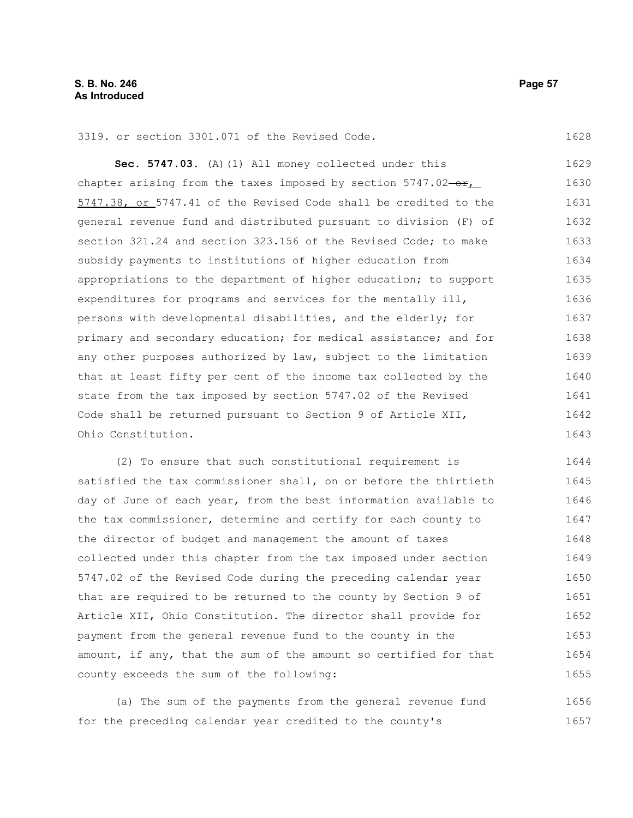3319. or section 3301.071 of the Revised Code.

**Sec. 5747.03.** (A)(1) All money collected under this chapter arising from the taxes imposed by section  $5747.02-\text{er}$ , 5747.38, or 5747.41 of the Revised Code shall be credited to the general revenue fund and distributed pursuant to division (F) of section 321.24 and section 323.156 of the Revised Code: to make subsidy payments to institutions of higher education from appropriations to the department of higher education; to support expenditures for programs and services for the mentally ill, persons with developmental disabilities, and the elderly; for primary and secondary education; for medical assistance; and for any other purposes authorized by law, subject to the limitation that at least fifty per cent of the income tax collected by the state from the tax imposed by section 5747.02 of the Revised Code shall be returned pursuant to Section 9 of Article XII, Ohio Constitution. 1629 1630 1631 1632 1633 1634 1635 1636 1637 1638 1639 1640 1641 1642 1643

(2) To ensure that such constitutional requirement is satisfied the tax commissioner shall, on or before the thirtieth day of June of each year, from the best information available to the tax commissioner, determine and certify for each county to the director of budget and management the amount of taxes collected under this chapter from the tax imposed under section 5747.02 of the Revised Code during the preceding calendar year that are required to be returned to the county by Section 9 of Article XII, Ohio Constitution. The director shall provide for payment from the general revenue fund to the county in the amount, if any, that the sum of the amount so certified for that county exceeds the sum of the following: 1644 1645 1646 1647 1648 1649 1650 1651 1652 1653 1654 1655

(a) The sum of the payments from the general revenue fund for the preceding calendar year credited to the county's 1656 1657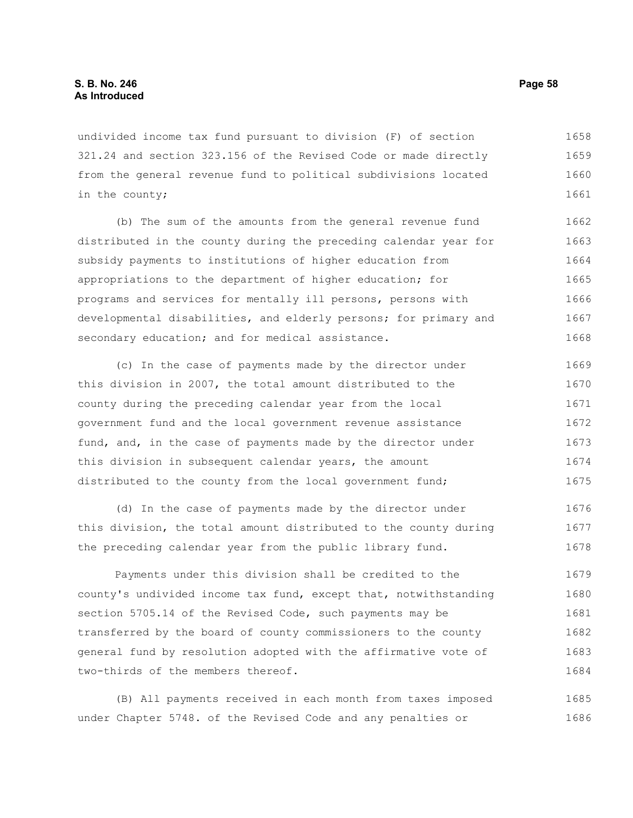undivided income tax fund pursuant to division (F) of section 321.24 and section 323.156 of the Revised Code or made directly from the general revenue fund to political subdivisions located in the county; 1658 1659 1660 1661

(b) The sum of the amounts from the general revenue fund distributed in the county during the preceding calendar year for subsidy payments to institutions of higher education from appropriations to the department of higher education; for programs and services for mentally ill persons, persons with developmental disabilities, and elderly persons; for primary and secondary education; and for medical assistance. 1662 1663 1664 1665 1666 1667 1668

(c) In the case of payments made by the director under this division in 2007, the total amount distributed to the county during the preceding calendar year from the local government fund and the local government revenue assistance fund, and, in the case of payments made by the director under this division in subsequent calendar years, the amount distributed to the county from the local government fund; 1669 1670 1671 1672 1673 1674 1675

(d) In the case of payments made by the director under this division, the total amount distributed to the county during the preceding calendar year from the public library fund. 1676 1677 1678

Payments under this division shall be credited to the county's undivided income tax fund, except that, notwithstanding section 5705.14 of the Revised Code, such payments may be transferred by the board of county commissioners to the county general fund by resolution adopted with the affirmative vote of two-thirds of the members thereof. 1679 1680 1681 1682 1683 1684

(B) All payments received in each month from taxes imposed under Chapter 5748. of the Revised Code and any penalties or 1685 1686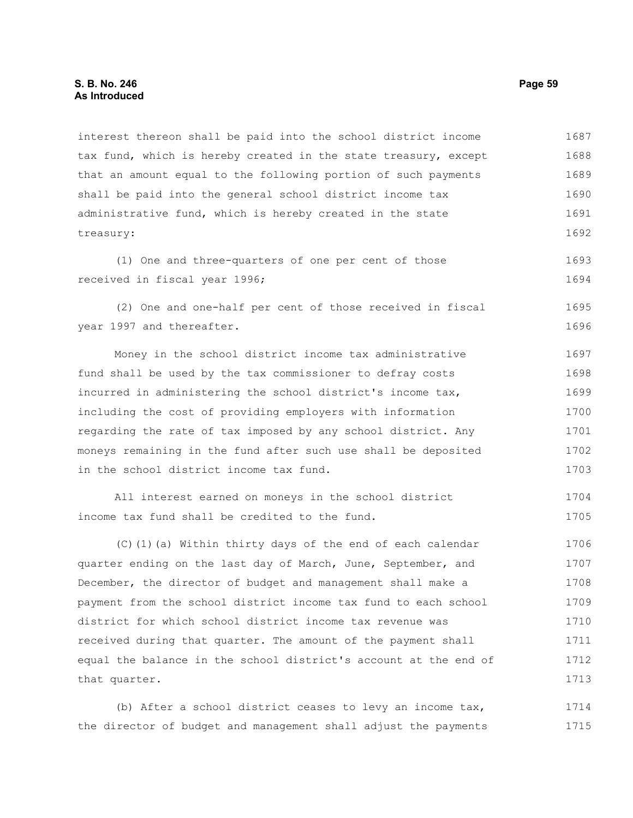interest thereon shall be paid into the school district income tax fund, which is hereby created in the state treasury, except that an amount equal to the following portion of such payments shall be paid into the general school district income tax administrative fund, which is hereby created in the state treasury: 1687 1688 1689 1690 1691 1692

(1) One and three-quarters of one per cent of those received in fiscal year 1996; 1693 1694

(2) One and one-half per cent of those received in fiscal year 1997 and thereafter. 1695 1696

Money in the school district income tax administrative fund shall be used by the tax commissioner to defray costs incurred in administering the school district's income tax, including the cost of providing employers with information regarding the rate of tax imposed by any school district. Any moneys remaining in the fund after such use shall be deposited in the school district income tax fund. 1697 1698 1699 1700 1701 1702 1703

```
All interest earned on moneys in the school district
income tax fund shall be credited to the fund. 
                                                                            1704
                                                                            1705
```
(C)(1)(a) Within thirty days of the end of each calendar quarter ending on the last day of March, June, September, and December, the director of budget and management shall make a payment from the school district income tax fund to each school district for which school district income tax revenue was received during that quarter. The amount of the payment shall equal the balance in the school district's account at the end of that quarter. 1706 1707 1708 1709 1710 1711 1712 1713

(b) After a school district ceases to levy an income tax, the director of budget and management shall adjust the payments 1714 1715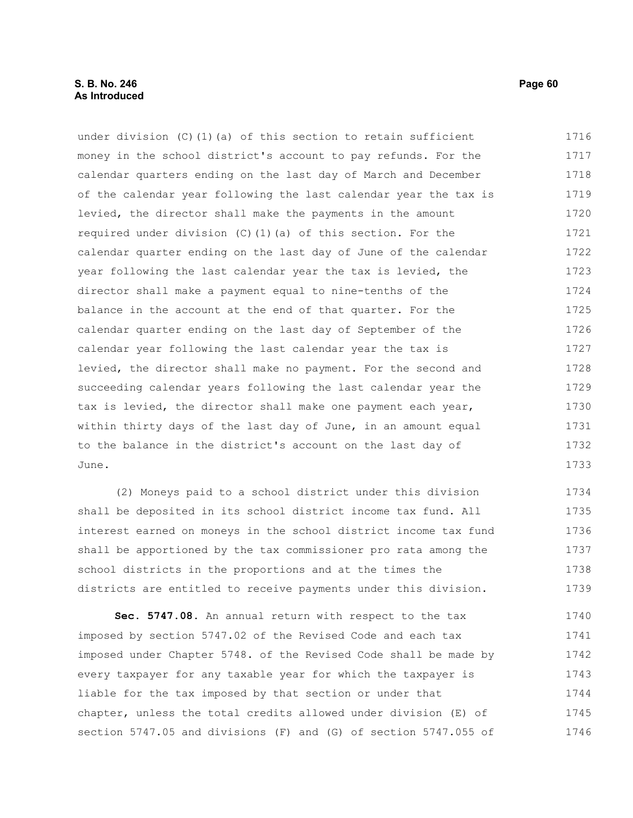under division (C)(1)(a) of this section to retain sufficient money in the school district's account to pay refunds. For the calendar quarters ending on the last day of March and December of the calendar year following the last calendar year the tax is levied, the director shall make the payments in the amount required under division (C)(1)(a) of this section. For the calendar quarter ending on the last day of June of the calendar year following the last calendar year the tax is levied, the director shall make a payment equal to nine-tenths of the balance in the account at the end of that quarter. For the calendar quarter ending on the last day of September of the calendar year following the last calendar year the tax is levied, the director shall make no payment. For the second and succeeding calendar years following the last calendar year the tax is levied, the director shall make one payment each year, within thirty days of the last day of June, in an amount equal to the balance in the district's account on the last day of June. 1716 1717 1718 1719 1720 1721 1722 1723 1724 1725 1726 1727 1728 1729 1730 1731 1732 1733

(2) Moneys paid to a school district under this division shall be deposited in its school district income tax fund. All interest earned on moneys in the school district income tax fund shall be apportioned by the tax commissioner pro rata among the school districts in the proportions and at the times the districts are entitled to receive payments under this division. 1734 1735 1736 1737 1738 1739

**Sec. 5747.08.** An annual return with respect to the tax imposed by section 5747.02 of the Revised Code and each tax imposed under Chapter 5748. of the Revised Code shall be made by every taxpayer for any taxable year for which the taxpayer is liable for the tax imposed by that section or under that chapter, unless the total credits allowed under division (E) of section 5747.05 and divisions (F) and (G) of section 5747.055 of 1740 1741 1742 1743 1744 1745 1746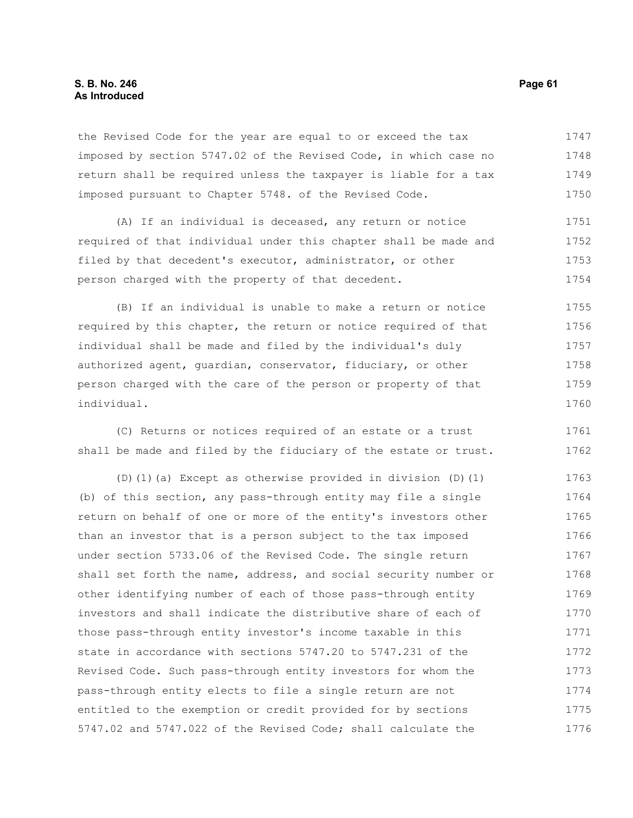# **S. B. No. 246 Page 61 As Introduced**

the Revised Code for the year are equal to or exceed the tax imposed by section 5747.02 of the Revised Code, in which case no return shall be required unless the taxpayer is liable for a tax imposed pursuant to Chapter 5748. of the Revised Code. 1747 1748 1749 1750

(A) If an individual is deceased, any return or notice required of that individual under this chapter shall be made and filed by that decedent's executor, administrator, or other person charged with the property of that decedent. 1751 1752 1753 1754

(B) If an individual is unable to make a return or notice required by this chapter, the return or notice required of that individual shall be made and filed by the individual's duly authorized agent, guardian, conservator, fiduciary, or other person charged with the care of the person or property of that individual. 1755 1756 1757 1758 1759 1760

(C) Returns or notices required of an estate or a trust shall be made and filed by the fiduciary of the estate or trust. 1761 1762

(D)(1)(a) Except as otherwise provided in division (D)(1) (b) of this section, any pass-through entity may file a single return on behalf of one or more of the entity's investors other than an investor that is a person subject to the tax imposed under section 5733.06 of the Revised Code. The single return shall set forth the name, address, and social security number or other identifying number of each of those pass-through entity investors and shall indicate the distributive share of each of those pass-through entity investor's income taxable in this state in accordance with sections 5747.20 to 5747.231 of the Revised Code. Such pass-through entity investors for whom the pass-through entity elects to file a single return are not entitled to the exemption or credit provided for by sections 5747.02 and 5747.022 of the Revised Code; shall calculate the 1763 1764 1765 1766 1767 1768 1769 1770 1771 1772 1773 1774 1775 1776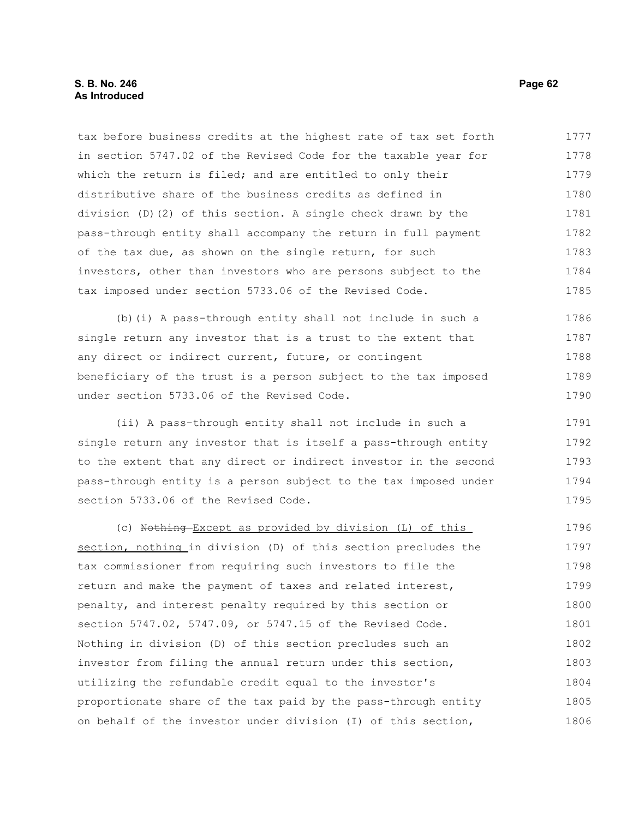## **S. B. No. 246 Page 62 As Introduced**

tax before business credits at the highest rate of tax set forth in section 5747.02 of the Revised Code for the taxable year for which the return is filed; and are entitled to only their distributive share of the business credits as defined in division (D)(2) of this section. A single check drawn by the pass-through entity shall accompany the return in full payment of the tax due, as shown on the single return, for such investors, other than investors who are persons subject to the tax imposed under section 5733.06 of the Revised Code. 1777 1778 1779 1780 1781 1782 1783 1784 1785

(b)(i) A pass-through entity shall not include in such a single return any investor that is a trust to the extent that any direct or indirect current, future, or contingent beneficiary of the trust is a person subject to the tax imposed under section 5733.06 of the Revised Code. 1786 1787 1788 1789 1790

(ii) A pass-through entity shall not include in such a single return any investor that is itself a pass-through entity to the extent that any direct or indirect investor in the second pass-through entity is a person subject to the tax imposed under section 5733.06 of the Revised Code. 1791 1792 1793 1794 1795

(c) Nothing Except as provided by division (L) of this section, nothing in division (D) of this section precludes the tax commissioner from requiring such investors to file the return and make the payment of taxes and related interest, penalty, and interest penalty required by this section or section 5747.02, 5747.09, or 5747.15 of the Revised Code. Nothing in division (D) of this section precludes such an investor from filing the annual return under this section, utilizing the refundable credit equal to the investor's proportionate share of the tax paid by the pass-through entity on behalf of the investor under division (I) of this section, 1796 1797 1798 1799 1800 1801 1802 1803 1804 1805 1806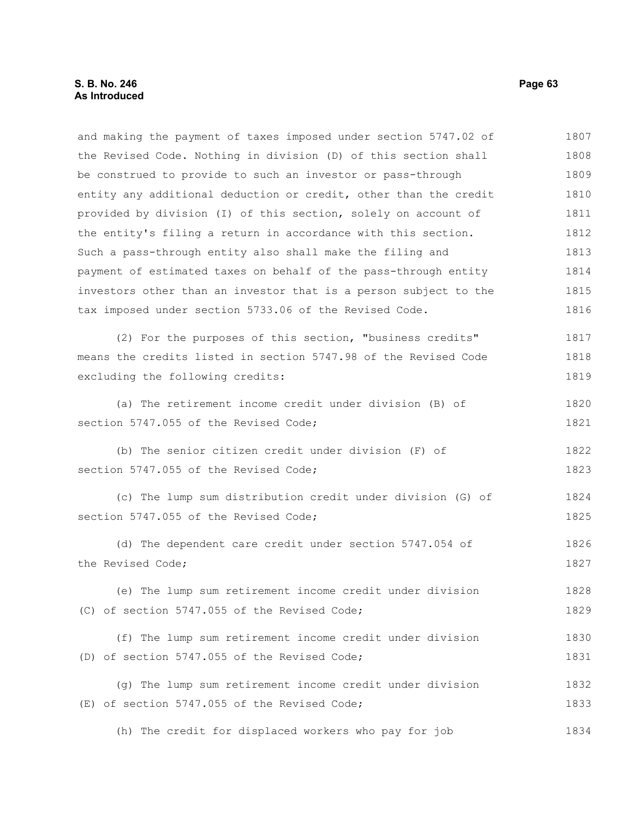and making the payment of taxes imposed under section 5747.02 of the Revised Code. Nothing in division (D) of this section shall be construed to provide to such an investor or pass-through entity any additional deduction or credit, other than the credit provided by division (I) of this section, solely on account of the entity's filing a return in accordance with this section. Such a pass-through entity also shall make the filing and payment of estimated taxes on behalf of the pass-through entity investors other than an investor that is a person subject to the tax imposed under section 5733.06 of the Revised Code. (2) For the purposes of this section, "business credits" means the credits listed in section 5747.98 of the Revised Code excluding the following credits: (a) The retirement income credit under division (B) of section 5747.055 of the Revised Code; (b) The senior citizen credit under division (F) of section 5747.055 of the Revised Code; (c) The lump sum distribution credit under division (G) of section 5747.055 of the Revised Code; (d) The dependent care credit under section 5747.054 of the Revised Code; (e) The lump sum retirement income credit under division (C) of section 5747.055 of the Revised Code; (f) The lump sum retirement income credit under division (D) of section 5747.055 of the Revised Code; (g) The lump sum retirement income credit under division (E) of section 5747.055 of the Revised Code; (h) The credit for displaced workers who pay for job 1807 1808 1809 1810 1811 1812 1813 1814 1815 1816 1817 1818 1819 1820 1821 1822 1823 1824 1825 1826 1827 1828 1829 1830 1831 1832 1833 1834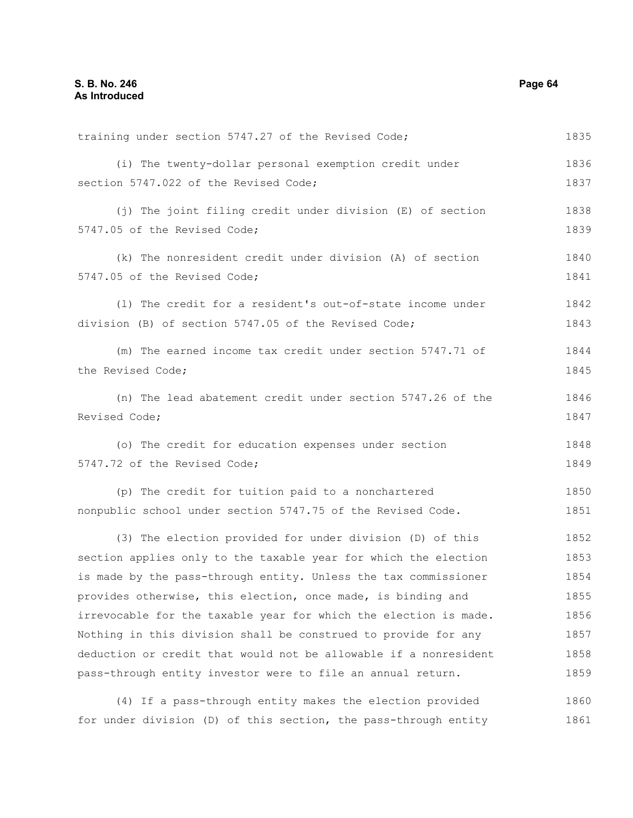training under section 5747.27 of the Revised Code; (i) The twenty-dollar personal exemption credit under section 5747.022 of the Revised Code; (j) The joint filing credit under division (E) of section 5747.05 of the Revised Code; (k) The nonresident credit under division (A) of section 5747.05 of the Revised Code; (l) The credit for a resident's out-of-state income under division (B) of section 5747.05 of the Revised Code; (m) The earned income tax credit under section 5747.71 of the Revised Code; (n) The lead abatement credit under section 5747.26 of the Revised Code; (o) The credit for education expenses under section 5747.72 of the Revised Code; (p) The credit for tuition paid to a nonchartered nonpublic school under section 5747.75 of the Revised Code. (3) The election provided for under division (D) of this section applies only to the taxable year for which the election is made by the pass-through entity. Unless the tax commissioner provides otherwise, this election, once made, is binding and irrevocable for the taxable year for which the election is made. Nothing in this division shall be construed to provide for any deduction or credit that would not be allowable if a nonresident pass-through entity investor were to file an annual return. (4) If a pass-through entity makes the election provided 1835 1836 1837 1838 1839 1840 1841 1842 1843 1844 1845 1846 1847 1848 1849 1850 1851 1852 1853 1854 1855 1856 1857 1858 1859 1860

for under division (D) of this section, the pass-through entity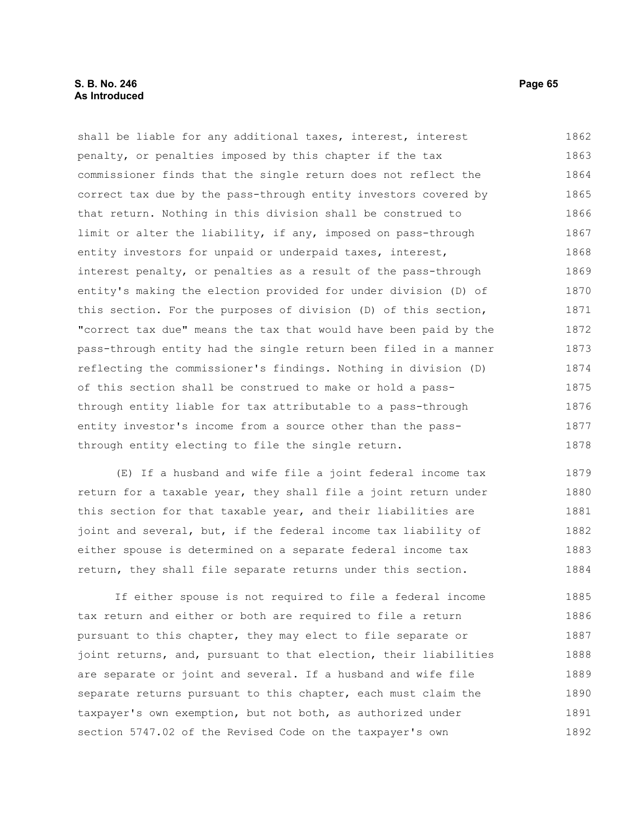# **S. B. No. 246 Page 65 As Introduced**

shall be liable for any additional taxes, interest, interest penalty, or penalties imposed by this chapter if the tax commissioner finds that the single return does not reflect the correct tax due by the pass-through entity investors covered by that return. Nothing in this division shall be construed to limit or alter the liability, if any, imposed on pass-through entity investors for unpaid or underpaid taxes, interest, interest penalty, or penalties as a result of the pass-through entity's making the election provided for under division (D) of this section. For the purposes of division (D) of this section, "correct tax due" means the tax that would have been paid by the pass-through entity had the single return been filed in a manner reflecting the commissioner's findings. Nothing in division (D) of this section shall be construed to make or hold a passthrough entity liable for tax attributable to a pass-through entity investor's income from a source other than the passthrough entity electing to file the single return. 1862 1863 1864 1865 1866 1867 1868 1869 1870 1871 1872 1873 1874 1875 1876 1877 1878

(E) If a husband and wife file a joint federal income tax return for a taxable year, they shall file a joint return under this section for that taxable year, and their liabilities are joint and several, but, if the federal income tax liability of either spouse is determined on a separate federal income tax return, they shall file separate returns under this section. 1879 1880 1881 1882 1883 1884

If either spouse is not required to file a federal income tax return and either or both are required to file a return pursuant to this chapter, they may elect to file separate or joint returns, and, pursuant to that election, their liabilities are separate or joint and several. If a husband and wife file separate returns pursuant to this chapter, each must claim the taxpayer's own exemption, but not both, as authorized under section 5747.02 of the Revised Code on the taxpayer's own 1885 1886 1887 1888 1889 1890 1891 1892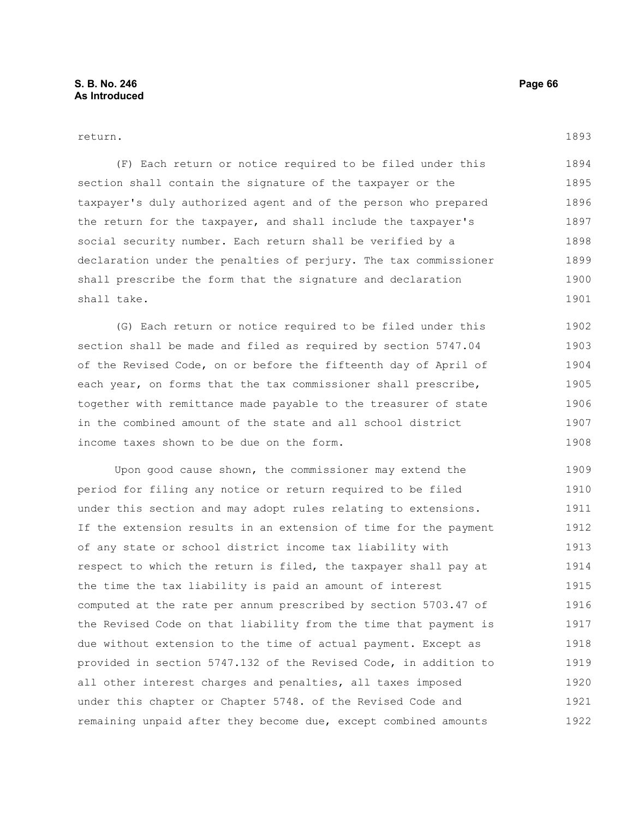return.

(F) Each return or notice required to be filed under this section shall contain the signature of the taxpayer or the taxpayer's duly authorized agent and of the person who prepared the return for the taxpayer, and shall include the taxpayer's social security number. Each return shall be verified by a declaration under the penalties of perjury. The tax commissioner shall prescribe the form that the signature and declaration shall take. 1894 1895 1896 1897 1898 1899 1900 1901

(G) Each return or notice required to be filed under this section shall be made and filed as required by section 5747.04 of the Revised Code, on or before the fifteenth day of April of each year, on forms that the tax commissioner shall prescribe, together with remittance made payable to the treasurer of state in the combined amount of the state and all school district income taxes shown to be due on the form. 1902 1903 1904 1905 1906 1907 1908

Upon good cause shown, the commissioner may extend the period for filing any notice or return required to be filed under this section and may adopt rules relating to extensions. If the extension results in an extension of time for the payment of any state or school district income tax liability with respect to which the return is filed, the taxpayer shall pay at the time the tax liability is paid an amount of interest computed at the rate per annum prescribed by section 5703.47 of the Revised Code on that liability from the time that payment is due without extension to the time of actual payment. Except as provided in section 5747.132 of the Revised Code, in addition to all other interest charges and penalties, all taxes imposed under this chapter or Chapter 5748. of the Revised Code and remaining unpaid after they become due, except combined amounts 1909 1910 1911 1912 1913 1914 1915 1916 1917 1918 1919 1920 1921 1922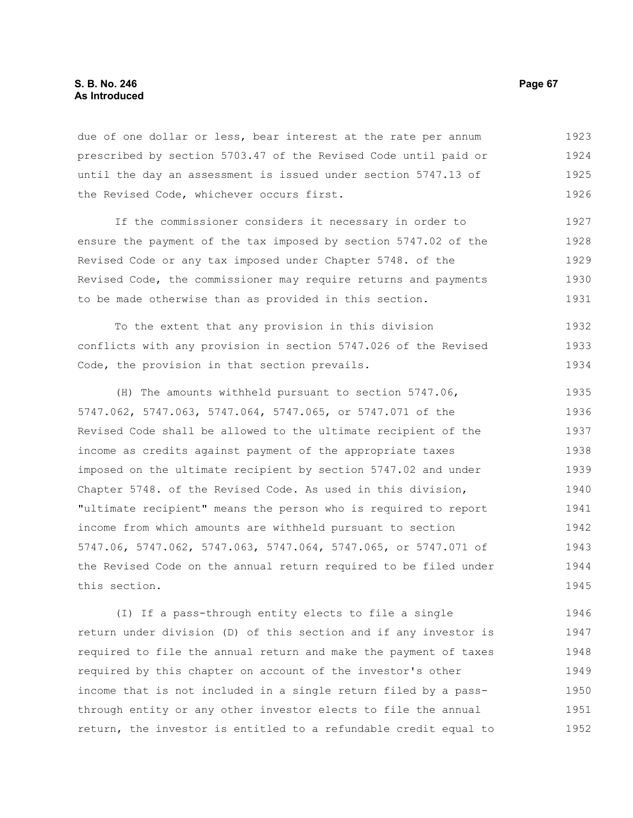due of one dollar or less, bear interest at the rate per annum prescribed by section 5703.47 of the Revised Code until paid or until the day an assessment is issued under section 5747.13 of the Revised Code, whichever occurs first. 1923 1924 1925 1926

If the commissioner considers it necessary in order to ensure the payment of the tax imposed by section 5747.02 of the Revised Code or any tax imposed under Chapter 5748. of the Revised Code, the commissioner may require returns and payments to be made otherwise than as provided in this section. 1927 1928 1929 1930 1931

To the extent that any provision in this division conflicts with any provision in section 5747.026 of the Revised Code, the provision in that section prevails. 1932 1933 1934

(H) The amounts withheld pursuant to section 5747.06, 5747.062, 5747.063, 5747.064, 5747.065, or 5747.071 of the Revised Code shall be allowed to the ultimate recipient of the income as credits against payment of the appropriate taxes imposed on the ultimate recipient by section 5747.02 and under Chapter 5748. of the Revised Code. As used in this division, "ultimate recipient" means the person who is required to report income from which amounts are withheld pursuant to section 5747.06, 5747.062, 5747.063, 5747.064, 5747.065, or 5747.071 of the Revised Code on the annual return required to be filed under this section. 1935 1936 1937 1938 1939 1940 1941 1942 1943 1944 1945

(I) If a pass-through entity elects to file a single return under division (D) of this section and if any investor is required to file the annual return and make the payment of taxes required by this chapter on account of the investor's other income that is not included in a single return filed by a passthrough entity or any other investor elects to file the annual return, the investor is entitled to a refundable credit equal to 1946 1947 1948 1949 1950 1951 1952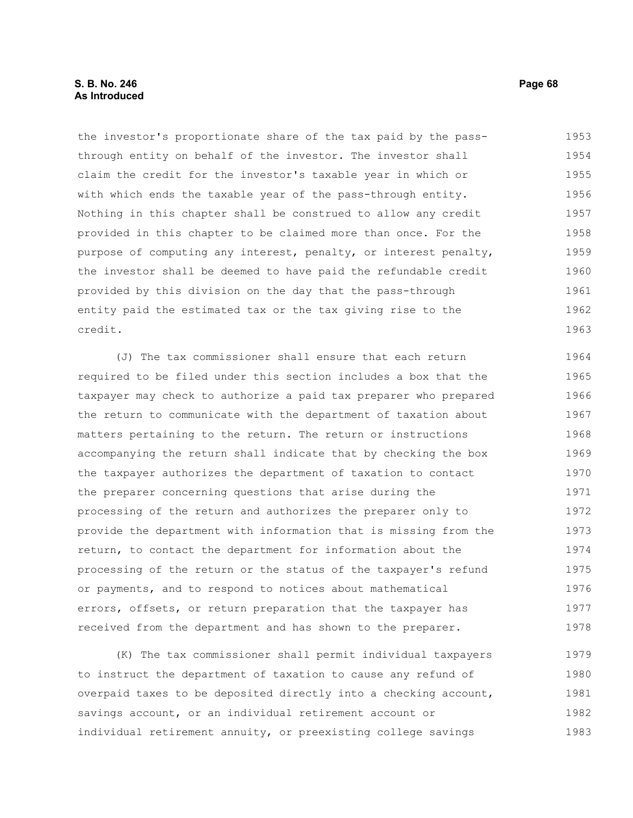# **S. B. No. 246 Page 68 As Introduced**

the investor's proportionate share of the tax paid by the passthrough entity on behalf of the investor. The investor shall claim the credit for the investor's taxable year in which or with which ends the taxable year of the pass-through entity. Nothing in this chapter shall be construed to allow any credit provided in this chapter to be claimed more than once. For the purpose of computing any interest, penalty, or interest penalty, the investor shall be deemed to have paid the refundable credit provided by this division on the day that the pass-through entity paid the estimated tax or the tax giving rise to the credit. 1953 1954 1955 1956 1957 1958 1959 1960 1961 1962 1963

(J) The tax commissioner shall ensure that each return required to be filed under this section includes a box that the taxpayer may check to authorize a paid tax preparer who prepared the return to communicate with the department of taxation about matters pertaining to the return. The return or instructions accompanying the return shall indicate that by checking the box the taxpayer authorizes the department of taxation to contact the preparer concerning questions that arise during the processing of the return and authorizes the preparer only to provide the department with information that is missing from the return, to contact the department for information about the processing of the return or the status of the taxpayer's refund or payments, and to respond to notices about mathematical errors, offsets, or return preparation that the taxpayer has received from the department and has shown to the preparer. 1964 1965 1966 1967 1968 1969 1970 1971 1972 1973 1974 1975 1976 1977 1978

(K) The tax commissioner shall permit individual taxpayers to instruct the department of taxation to cause any refund of overpaid taxes to be deposited directly into a checking account, savings account, or an individual retirement account or individual retirement annuity, or preexisting college savings 1979 1980 1981 1982 1983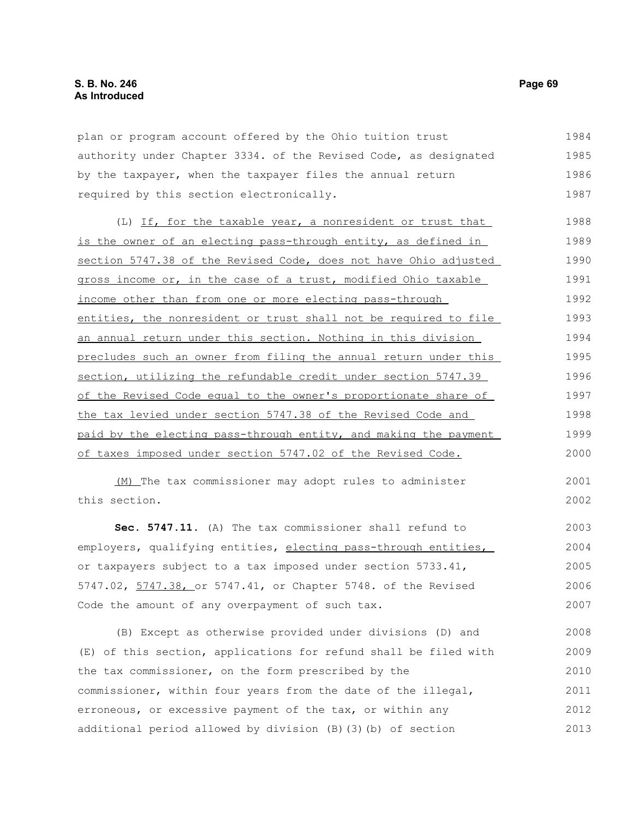plan or program account offered by the Ohio tuition trust authority under Chapter 3334. of the Revised Code, as designated by the taxpayer, when the taxpayer files the annual return required by this section electronically. 1984 1985 1986 1987

(L) If, for the taxable year, a nonresident or trust that is the owner of an electing pass-through entity, as defined in section 5747.38 of the Revised Code, does not have Ohio adjusted gross income or, in the case of a trust, modified Ohio taxable income other than from one or more electing pass-through entities, the nonresident or trust shall not be required to file an annual return under this section. Nothing in this division precludes such an owner from filing the annual return under this section, utilizing the refundable credit under section 5747.39 of the Revised Code equal to the owner's proportionate share of the tax levied under section 5747.38 of the Revised Code and paid by the electing pass-through entity, and making the payment of taxes imposed under section 5747.02 of the Revised Code. 1988 1989 1990 1991 1992 1993 1994 1995 1996 1997 1998 1999 2000

(M) The tax commissioner may adopt rules to administer this section.

**Sec. 5747.11.** (A) The tax commissioner shall refund to employers, qualifying entities, electing pass-through entities, or taxpayers subject to a tax imposed under section 5733.41, 5747.02, 5747.38, or 5747.41, or Chapter 5748. of the Revised Code the amount of any overpayment of such tax. 2003 2004 2005 2006 2007

(B) Except as otherwise provided under divisions (D) and (E) of this section, applications for refund shall be filed with the tax commissioner, on the form prescribed by the commissioner, within four years from the date of the illegal, erroneous, or excessive payment of the tax, or within any additional period allowed by division (B)(3)(b) of section 2008 2009 2010 2011 2012 2013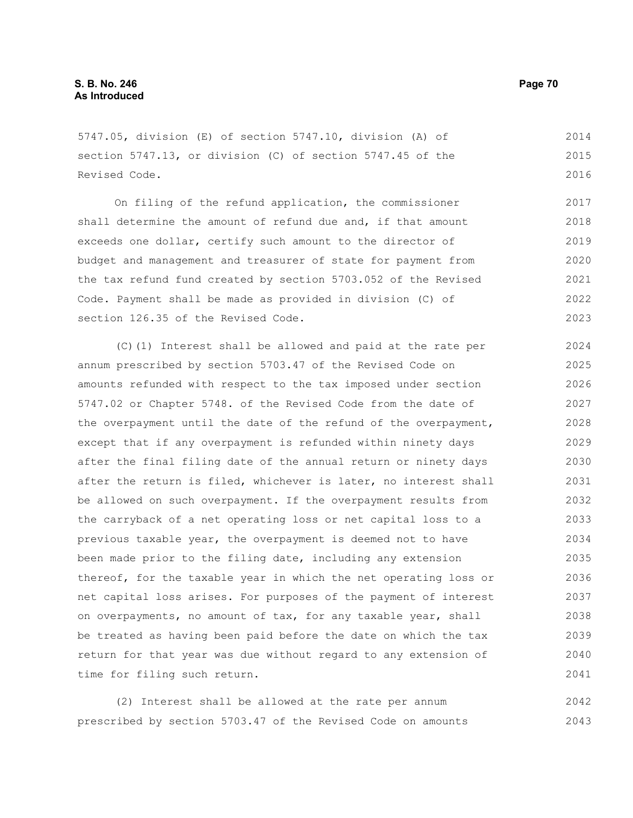5747.05, division (E) of section 5747.10, division (A) of section 5747.13, or division (C) of section 5747.45 of the Revised Code.

On filing of the refund application, the commissioner shall determine the amount of refund due and, if that amount exceeds one dollar, certify such amount to the director of budget and management and treasurer of state for payment from the tax refund fund created by section 5703.052 of the Revised Code. Payment shall be made as provided in division (C) of section 126.35 of the Revised Code. 2017 2018 2019 2020 2021 2022 2023

(C)(1) Interest shall be allowed and paid at the rate per annum prescribed by section 5703.47 of the Revised Code on amounts refunded with respect to the tax imposed under section 5747.02 or Chapter 5748. of the Revised Code from the date of the overpayment until the date of the refund of the overpayment, except that if any overpayment is refunded within ninety days after the final filing date of the annual return or ninety days after the return is filed, whichever is later, no interest shall be allowed on such overpayment. If the overpayment results from the carryback of a net operating loss or net capital loss to a previous taxable year, the overpayment is deemed not to have been made prior to the filing date, including any extension thereof, for the taxable year in which the net operating loss or net capital loss arises. For purposes of the payment of interest on overpayments, no amount of tax, for any taxable year, shall be treated as having been paid before the date on which the tax return for that year was due without regard to any extension of time for filing such return. 2024 2025 2026 2027 2028 2029 2030 2031 2032 2033 2034 2035 2036 2037 2038 2039 2040 2041

(2) Interest shall be allowed at the rate per annum prescribed by section 5703.47 of the Revised Code on amounts 2042 2043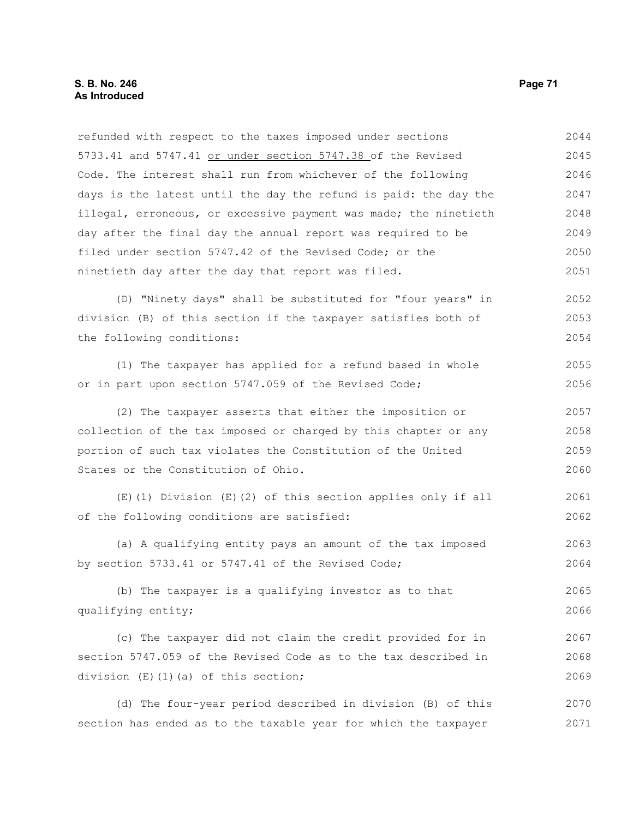refunded with respect to the taxes imposed under sections 5733.41 and 5747.41 or under section 5747.38 of the Revised Code. The interest shall run from whichever of the following days is the latest until the day the refund is paid: the day the illegal, erroneous, or excessive payment was made; the ninetieth day after the final day the annual report was required to be filed under section 5747.42 of the Revised Code; or the ninetieth day after the day that report was filed. (D) "Ninety days" shall be substituted for "four years" in division (B) of this section if the taxpayer satisfies both of the following conditions: (1) The taxpayer has applied for a refund based in whole or in part upon section 5747.059 of the Revised Code; (2) The taxpayer asserts that either the imposition or collection of the tax imposed or charged by this chapter or any portion of such tax violates the Constitution of the United States or the Constitution of Ohio. (E)(1) Division (E)(2) of this section applies only if all of the following conditions are satisfied: (a) A qualifying entity pays an amount of the tax imposed by section 5733.41 or 5747.41 of the Revised Code; (b) The taxpayer is a qualifying investor as to that qualifying entity; (c) The taxpayer did not claim the credit provided for in section 5747.059 of the Revised Code as to the tax described in division (E)(1)(a) of this section; (d) The four-year period described in division (B) of this 2044 2045 2046 2047 2048 2049 2050 2051 2052 2053 2054 2055 2056 2057 2058 2059 2060 2061 2062 2063 2064 2065 2066 2067 2068 2069 2070

section has ended as to the taxable year for which the taxpayer 2071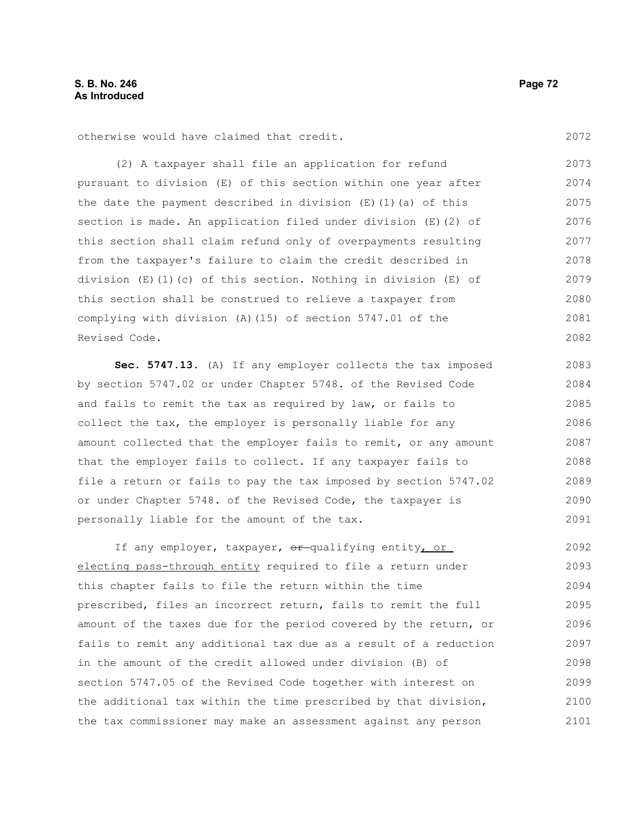otherwise would have claimed that credit.

(2) A taxpayer shall file an application for refund pursuant to division (E) of this section within one year after the date the payment described in division  $(E)$  (1)(a) of this section is made. An application filed under division (E)(2) of this section shall claim refund only of overpayments resulting from the taxpayer's failure to claim the credit described in division  $(E)(1)(c)$  of this section. Nothing in division  $(E)$  of this section shall be construed to relieve a taxpayer from complying with division (A)(15) of section 5747.01 of the Revised Code. 2073 2074 2075 2076 2077 2078 2079 2080 2081 2082

**Sec. 5747.13.** (A) If any employer collects the tax imposed by section 5747.02 or under Chapter 5748. of the Revised Code and fails to remit the tax as required by law, or fails to collect the tax, the employer is personally liable for any amount collected that the employer fails to remit, or any amount that the employer fails to collect. If any taxpayer fails to file a return or fails to pay the tax imposed by section 5747.02 or under Chapter 5748. of the Revised Code, the taxpayer is personally liable for the amount of the tax. 2083 2084 2085 2086 2087 2088 2089 2090 2091

If any employer, taxpayer,  $\theta$ r-qualifying entity, or electing pass-through entity required to file a return under this chapter fails to file the return within the time prescribed, files an incorrect return, fails to remit the full amount of the taxes due for the period covered by the return, or fails to remit any additional tax due as a result of a reduction in the amount of the credit allowed under division (B) of section 5747.05 of the Revised Code together with interest on the additional tax within the time prescribed by that division, the tax commissioner may make an assessment against any person 2092 2093 2094 2095 2096 2097 2098 2099 2100 2101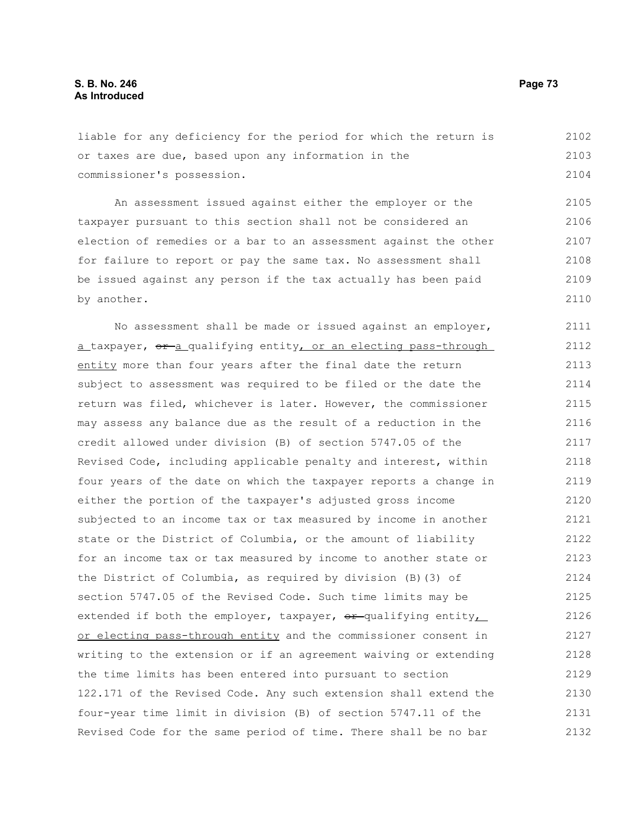liable for any deficiency for the period for which the return is or taxes are due, based upon any information in the commissioner's possession. 2102 2103 2104

An assessment issued against either the employer or the taxpayer pursuant to this section shall not be considered an election of remedies or a bar to an assessment against the other for failure to report or pay the same tax. No assessment shall be issued against any person if the tax actually has been paid by another. 2105 2106 2107 2108 2109 2110

No assessment shall be made or issued against an employer, a taxpayer,  $\sigma$  a qualifying entity, or an electing pass-through entity more than four years after the final date the return subject to assessment was required to be filed or the date the return was filed, whichever is later. However, the commissioner may assess any balance due as the result of a reduction in the credit allowed under division (B) of section 5747.05 of the Revised Code, including applicable penalty and interest, within four years of the date on which the taxpayer reports a change in either the portion of the taxpayer's adjusted gross income subjected to an income tax or tax measured by income in another state or the District of Columbia, or the amount of liability for an income tax or tax measured by income to another state or the District of Columbia, as required by division (B)(3) of section 5747.05 of the Revised Code. Such time limits may be extended if both the employer, taxpayer,  $\theta$ r-qualifying entity, or electing pass-through entity and the commissioner consent in writing to the extension or if an agreement waiving or extending the time limits has been entered into pursuant to section 122.171 of the Revised Code. Any such extension shall extend the four-year time limit in division (B) of section 5747.11 of the Revised Code for the same period of time. There shall be no bar 2111 2112 2113 2114 2115 2116 2117 2118 2119 2120 2121 2122 2123 2124 2125 2126 2127 2128 2129 2130 2131 2132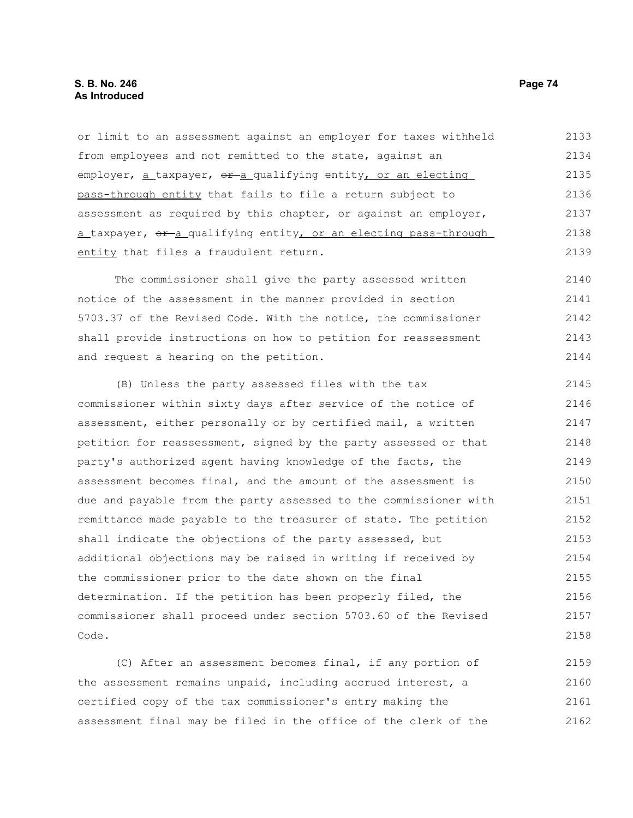# **S. B. No. 246 Page 74 As Introduced**

or limit to an assessment against an employer for taxes withheld from employees and not remitted to the state, against an employer,  $a$  taxpayer,  $e^{a}$  qualifying entity, or an electing pass-through entity that fails to file a return subject to assessment as required by this chapter, or against an employer, a taxpayer, or a qualifying entity, or an electing pass-through entity that files a fraudulent return. 2133 2134 2135 2136 2137 2138 2139

The commissioner shall give the party assessed written notice of the assessment in the manner provided in section 5703.37 of the Revised Code. With the notice, the commissioner shall provide instructions on how to petition for reassessment and request a hearing on the petition. 2140 2141 2142 2143 2144

(B) Unless the party assessed files with the tax commissioner within sixty days after service of the notice of assessment, either personally or by certified mail, a written petition for reassessment, signed by the party assessed or that party's authorized agent having knowledge of the facts, the assessment becomes final, and the amount of the assessment is due and payable from the party assessed to the commissioner with remittance made payable to the treasurer of state. The petition shall indicate the objections of the party assessed, but additional objections may be raised in writing if received by the commissioner prior to the date shown on the final determination. If the petition has been properly filed, the commissioner shall proceed under section 5703.60 of the Revised Code. 2145 2146 2147 2148 2149 2150 2151 2152 2153 2154 2155 2156 2157 2158

(C) After an assessment becomes final, if any portion of the assessment remains unpaid, including accrued interest, a certified copy of the tax commissioner's entry making the assessment final may be filed in the office of the clerk of the 2159 2160 2161 2162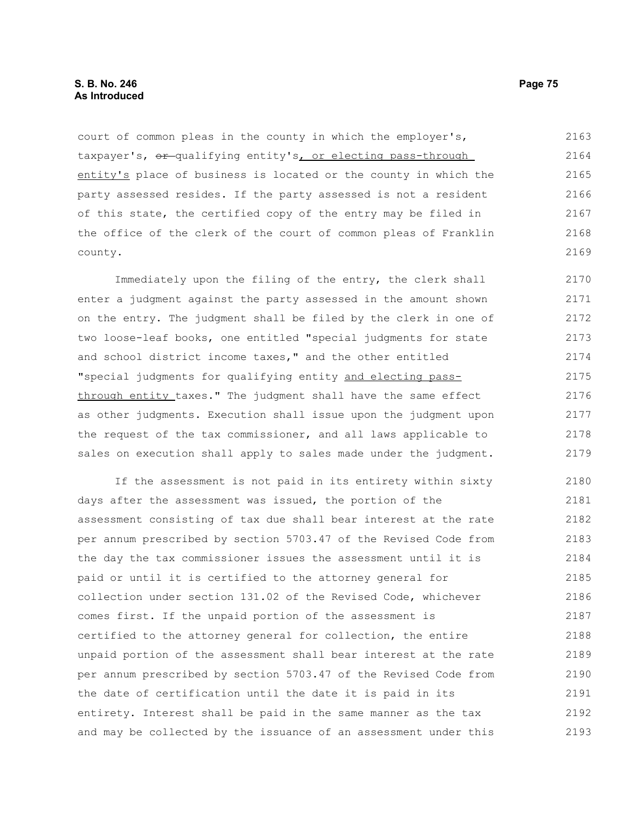court of common pleas in the county in which the employer's, taxpayer's,  $e^x$ -qualifying entity's, or electing pass-through entity's place of business is located or the county in which the party assessed resides. If the party assessed is not a resident of this state, the certified copy of the entry may be filed in the office of the clerk of the court of common pleas of Franklin county. 2163 2164 2165 2166 2167 2168 2169

Immediately upon the filing of the entry, the clerk shall enter a judgment against the party assessed in the amount shown on the entry. The judgment shall be filed by the clerk in one of two loose-leaf books, one entitled "special judgments for state and school district income taxes," and the other entitled "special judgments for qualifying entity and electing passthrough entity taxes." The judgment shall have the same effect as other judgments. Execution shall issue upon the judgment upon the request of the tax commissioner, and all laws applicable to sales on execution shall apply to sales made under the judgment. 2170 2171 2172 2173 2174 2175 2176 2177 2178 2179

If the assessment is not paid in its entirety within sixty days after the assessment was issued, the portion of the assessment consisting of tax due shall bear interest at the rate per annum prescribed by section 5703.47 of the Revised Code from the day the tax commissioner issues the assessment until it is paid or until it is certified to the attorney general for collection under section 131.02 of the Revised Code, whichever comes first. If the unpaid portion of the assessment is certified to the attorney general for collection, the entire unpaid portion of the assessment shall bear interest at the rate per annum prescribed by section 5703.47 of the Revised Code from the date of certification until the date it is paid in its entirety. Interest shall be paid in the same manner as the tax and may be collected by the issuance of an assessment under this 2180 2181 2182 2183 2184 2185 2186 2187 2188 2189 2190 2191 2192 2193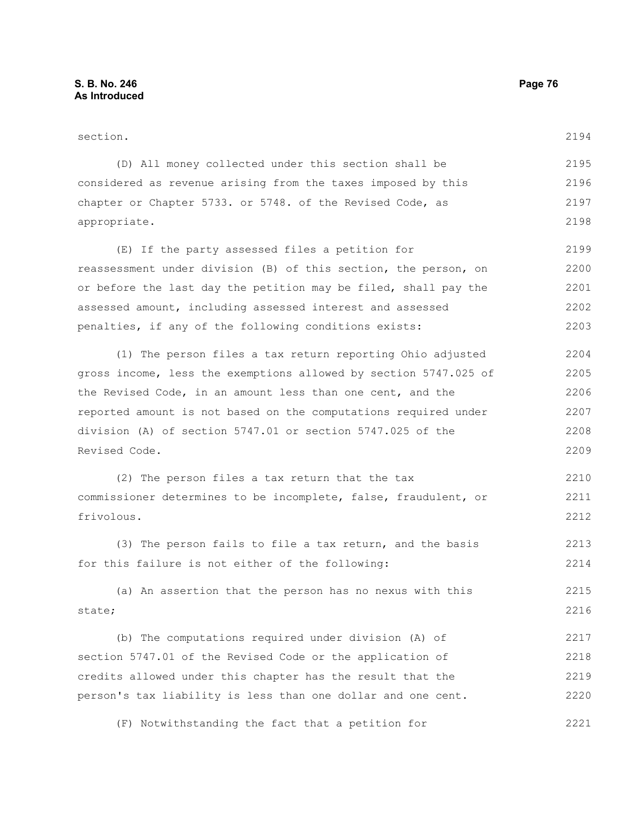frivolous.

section. (D) All money collected under this section shall be considered as revenue arising from the taxes imposed by this chapter or Chapter 5733. or 5748. of the Revised Code, as appropriate. (E) If the party assessed files a petition for reassessment under division (B) of this section, the person, on or before the last day the petition may be filed, shall pay the assessed amount, including assessed interest and assessed penalties, if any of the following conditions exists: (1) The person files a tax return reporting Ohio adjusted gross income, less the exemptions allowed by section 5747.025 of the Revised Code, in an amount less than one cent, and the reported amount is not based on the computations required under division (A) of section 5747.01 or section 5747.025 of the Revised Code. (2) The person files a tax return that the tax commissioner determines to be incomplete, false, fraudulent, or 2194 2195 2196 2197 2198 2199 2200 2201 2202 2203 2204 2205 2206 2207 2208 2209 2210 2211

(3) The person fails to file a tax return, and the basis for this failure is not either of the following: 2213 2214

(a) An assertion that the person has no nexus with this state; 2215 2216

(b) The computations required under division (A) of section 5747.01 of the Revised Code or the application of credits allowed under this chapter has the result that the person's tax liability is less than one dollar and one cent. 2217 2218 2219 2220

(F) Notwithstanding the fact that a petition for 2221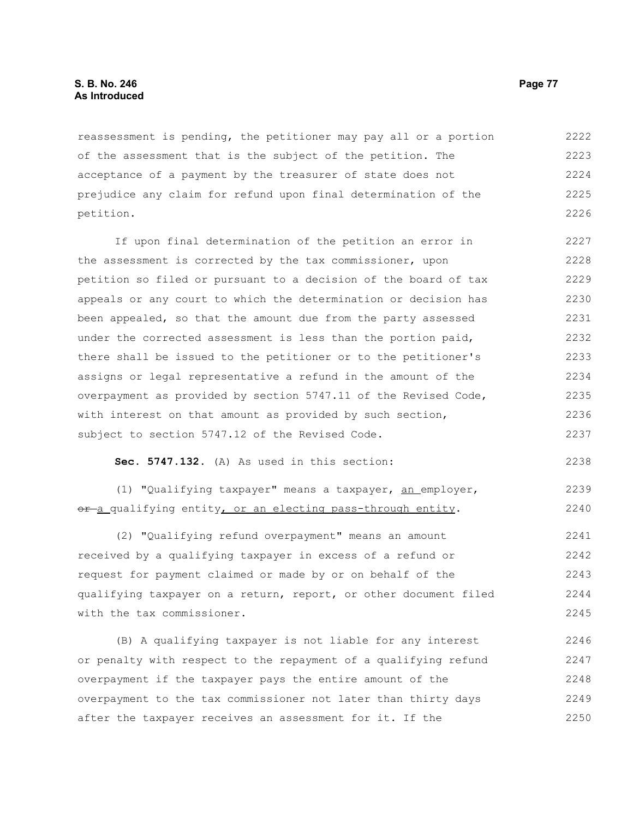reassessment is pending, the petitioner may pay all or a portion of the assessment that is the subject of the petition. The acceptance of a payment by the treasurer of state does not prejudice any claim for refund upon final determination of the petition. 2222 2223 2224 2225 2226

If upon final determination of the petition an error in the assessment is corrected by the tax commissioner, upon petition so filed or pursuant to a decision of the board of tax appeals or any court to which the determination or decision has been appealed, so that the amount due from the party assessed under the corrected assessment is less than the portion paid, there shall be issued to the petitioner or to the petitioner's assigns or legal representative a refund in the amount of the overpayment as provided by section 5747.11 of the Revised Code, with interest on that amount as provided by such section, subject to section 5747.12 of the Revised Code. 2227 2228 2229 2230 2231 2232 2233 2234 2235 2236 2237

**Sec. 5747.132.** (A) As used in this section:

(1) "Qualifying taxpayer" means a taxpayer, an employer, or-a qualifying entity, or an electing pass-through entity. 2239 2240

(2) "Qualifying refund overpayment" means an amount received by a qualifying taxpayer in excess of a refund or request for payment claimed or made by or on behalf of the qualifying taxpayer on a return, report, or other document filed with the tax commissioner. 2241 2242 2243 2244 2245

(B) A qualifying taxpayer is not liable for any interest or penalty with respect to the repayment of a qualifying refund overpayment if the taxpayer pays the entire amount of the overpayment to the tax commissioner not later than thirty days after the taxpayer receives an assessment for it. If the 2246 2247 2248 2249 2250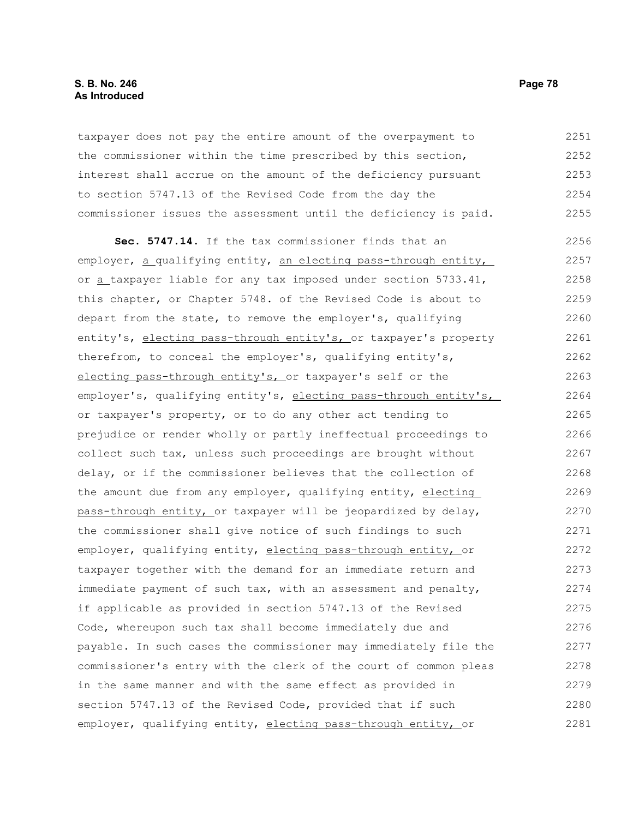# **S. B. No. 246 Page 78 As Introduced**

taxpayer does not pay the entire amount of the overpayment to the commissioner within the time prescribed by this section, interest shall accrue on the amount of the deficiency pursuant to section 5747.13 of the Revised Code from the day the commissioner issues the assessment until the deficiency is paid. 2251 2252 2253 2254 2255

**Sec. 5747.14.** If the tax commissioner finds that an employer, a qualifying entity, an electing pass-through entity, or a taxpayer liable for any tax imposed under section 5733.41, this chapter, or Chapter 5748. of the Revised Code is about to depart from the state, to remove the employer's, qualifying entity's, electing pass-through entity's, or taxpayer's property therefrom, to conceal the employer's, qualifying entity's, electing pass-through entity's, or taxpayer's self or the employer's, qualifying entity's, electing pass-through entity's, or taxpayer's property, or to do any other act tending to prejudice or render wholly or partly ineffectual proceedings to collect such tax, unless such proceedings are brought without delay, or if the commissioner believes that the collection of the amount due from any employer, qualifying entity, electing pass-through entity, or taxpayer will be jeopardized by delay, the commissioner shall give notice of such findings to such employer, qualifying entity, electing pass-through entity, or taxpayer together with the demand for an immediate return and immediate payment of such tax, with an assessment and penalty, if applicable as provided in section 5747.13 of the Revised Code, whereupon such tax shall become immediately due and payable. In such cases the commissioner may immediately file the commissioner's entry with the clerk of the court of common pleas in the same manner and with the same effect as provided in section 5747.13 of the Revised Code, provided that if such employer, qualifying entity, electing pass-through entity, or 2256 2257 2258 2259 2260 2261 2262 2263 2264 2265 2266 2267 2268 2269 2270 2271 2272 2273 2274 2275 2276 2277 2278 2279 2280 2281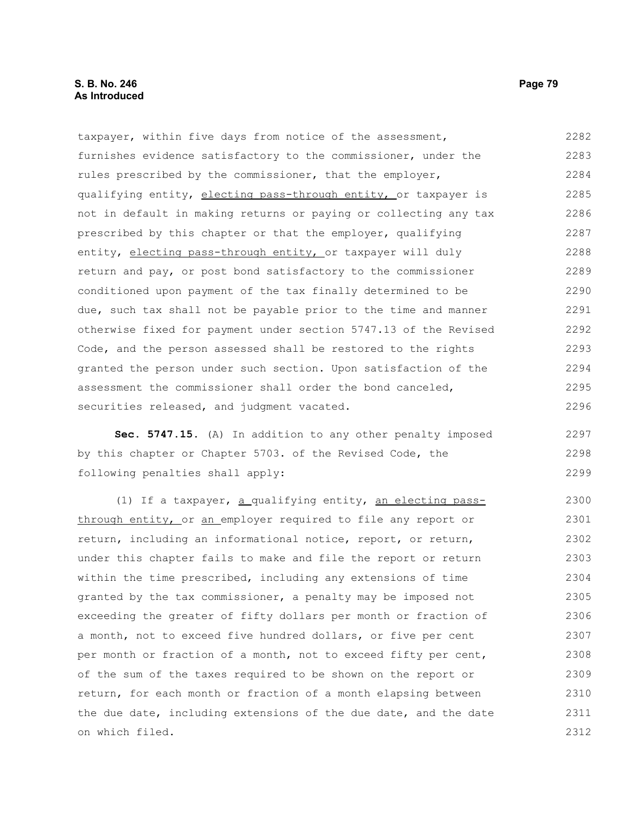taxpayer, within five days from notice of the assessment, furnishes evidence satisfactory to the commissioner, under the rules prescribed by the commissioner, that the employer, qualifying entity, electing pass-through entity, or taxpayer is not in default in making returns or paying or collecting any tax prescribed by this chapter or that the employer, qualifying entity, electing pass-through entity, or taxpayer will duly return and pay, or post bond satisfactory to the commissioner conditioned upon payment of the tax finally determined to be due, such tax shall not be payable prior to the time and manner otherwise fixed for payment under section 5747.13 of the Revised Code, and the person assessed shall be restored to the rights granted the person under such section. Upon satisfaction of the assessment the commissioner shall order the bond canceled, securities released, and judgment vacated. 2282 2283 2284 2285 2286 2287 2288 2289 2290 2291 2292 2293 2294 2295 2296

**Sec. 5747.15.** (A) In addition to any other penalty imposed by this chapter or Chapter 5703. of the Revised Code, the following penalties shall apply: 2297 2298 2299

(1) If a taxpayer, a qualifying entity, an electing passthrough entity, or an employer required to file any report or return, including an informational notice, report, or return, under this chapter fails to make and file the report or return within the time prescribed, including any extensions of time granted by the tax commissioner, a penalty may be imposed not exceeding the greater of fifty dollars per month or fraction of a month, not to exceed five hundred dollars, or five per cent per month or fraction of a month, not to exceed fifty per cent, of the sum of the taxes required to be shown on the report or return, for each month or fraction of a month elapsing between the due date, including extensions of the due date, and the date on which filed. 2300 2301 2302 2303 2304 2305 2306 2307 2308 2309 2310 2311 2312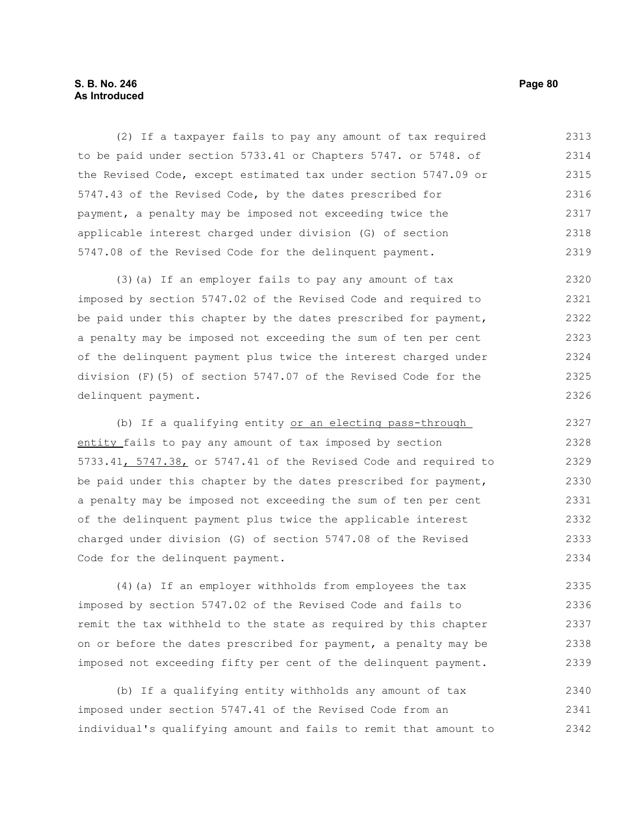# **S. B. No. 246 Page 80 As Introduced**

(2) If a taxpayer fails to pay any amount of tax required to be paid under section 5733.41 or Chapters 5747. or 5748. of the Revised Code, except estimated tax under section 5747.09 or 5747.43 of the Revised Code, by the dates prescribed for payment, a penalty may be imposed not exceeding twice the applicable interest charged under division (G) of section 5747.08 of the Revised Code for the delinquent payment. 2313 2314 2315 2316 2317 2318 2319

(3)(a) If an employer fails to pay any amount of tax imposed by section 5747.02 of the Revised Code and required to be paid under this chapter by the dates prescribed for payment, a penalty may be imposed not exceeding the sum of ten per cent of the delinquent payment plus twice the interest charged under division (F)(5) of section 5747.07 of the Revised Code for the delinquent payment. 2320 2321 2322 2323 2324 2325 2326

(b) If a qualifying entity or an electing pass-through entity fails to pay any amount of tax imposed by section 5733.41, 5747.38, or 5747.41 of the Revised Code and required to be paid under this chapter by the dates prescribed for payment, a penalty may be imposed not exceeding the sum of ten per cent of the delinquent payment plus twice the applicable interest charged under division (G) of section 5747.08 of the Revised Code for the delinquent payment. 2327 2328 2329 2330 2331 2332 2333 2334

(4)(a) If an employer withholds from employees the tax imposed by section 5747.02 of the Revised Code and fails to remit the tax withheld to the state as required by this chapter on or before the dates prescribed for payment, a penalty may be imposed not exceeding fifty per cent of the delinquent payment. 2335 2336 2337 2338 2339

(b) If a qualifying entity withholds any amount of tax imposed under section 5747.41 of the Revised Code from an individual's qualifying amount and fails to remit that amount to 2340 2341 2342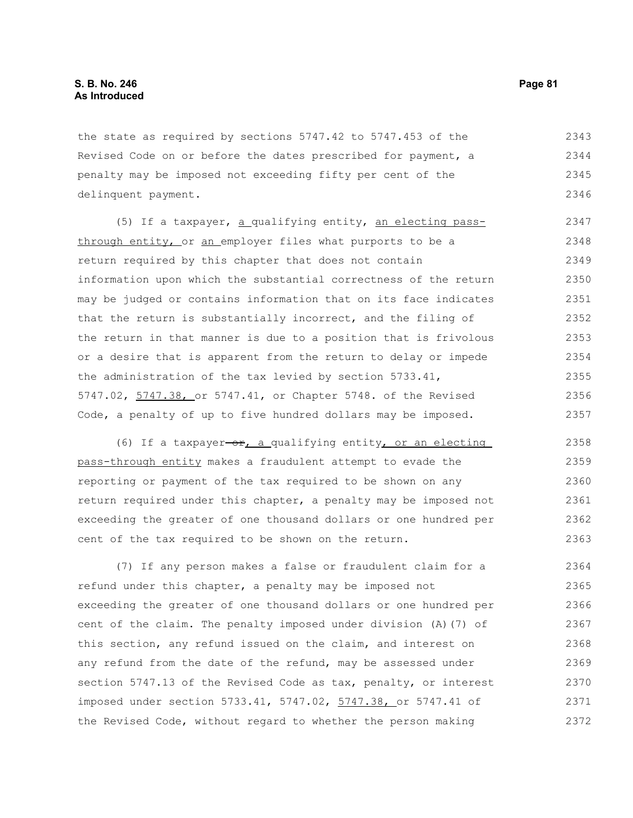the state as required by sections 5747.42 to 5747.453 of the Revised Code on or before the dates prescribed for payment, a penalty may be imposed not exceeding fifty per cent of the delinquent payment. 2343 2344 2345 2346

(5) If a taxpayer, a qualifying entity, an electing passthrough entity, or an employer files what purports to be a return required by this chapter that does not contain information upon which the substantial correctness of the return may be judged or contains information that on its face indicates that the return is substantially incorrect, and the filing of the return in that manner is due to a position that is frivolous or a desire that is apparent from the return to delay or impede the administration of the tax levied by section 5733.41, 5747.02, 5747.38, or 5747.41, or Chapter 5748. of the Revised Code, a penalty of up to five hundred dollars may be imposed. 2347 2348 2349 2350 2351 2352 2353 2354 2355 2356 2357

(6) If a taxpayer-or, a qualifying entity, or an electing pass-through entity makes a fraudulent attempt to evade the reporting or payment of the tax required to be shown on any return required under this chapter, a penalty may be imposed not exceeding the greater of one thousand dollars or one hundred per cent of the tax required to be shown on the return. 2358 2359 2360 2361 2362 2363

(7) If any person makes a false or fraudulent claim for a refund under this chapter, a penalty may be imposed not exceeding the greater of one thousand dollars or one hundred per cent of the claim. The penalty imposed under division (A)(7) of this section, any refund issued on the claim, and interest on any refund from the date of the refund, may be assessed under section 5747.13 of the Revised Code as tax, penalty, or interest imposed under section 5733.41, 5747.02, 5747.38, or 5747.41 of the Revised Code, without regard to whether the person making 2364 2365 2366 2367 2368 2369 2370 2371 2372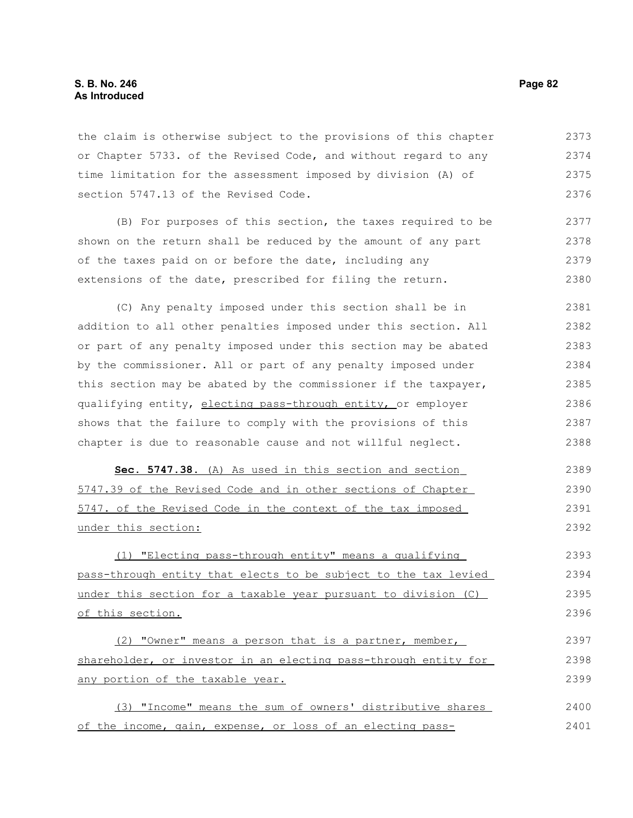# **S. B. No. 246 Page 82 As Introduced**

the claim is otherwise subject to the provisions of this chapter or Chapter 5733. of the Revised Code, and without regard to any time limitation for the assessment imposed by division (A) of section 5747.13 of the Revised Code. 2373 2374 2375 2376

(B) For purposes of this section, the taxes required to be shown on the return shall be reduced by the amount of any part of the taxes paid on or before the date, including any extensions of the date, prescribed for filing the return. 2377 2378 2379 2380

(C) Any penalty imposed under this section shall be in addition to all other penalties imposed under this section. All or part of any penalty imposed under this section may be abated by the commissioner. All or part of any penalty imposed under this section may be abated by the commissioner if the taxpayer, qualifying entity, electing pass-through entity, or employer shows that the failure to comply with the provisions of this chapter is due to reasonable cause and not willful neglect. 2381 2382 2383 2384 2385 2386 2387 2388

 **Sec. 5747.38.** (A) As used in this section and section 5747.39 of the Revised Code and in other sections of Chapter 5747. of the Revised Code in the context of the tax imposed under this section: 2389 2390 2391 2392

(1) "Electing pass-through entity" means a qualifying pass-through entity that elects to be subject to the tax levied under this section for a taxable year pursuant to division (C) of this section. 2393 2394 2395 2396

(2) "Owner" means a person that is a partner, member, shareholder, or investor in an electing pass-through entity for any portion of the taxable year. 2397 2398 2399

(3) "Income" means the sum of owners' distributive shares of the income, gain, expense, or loss of an electing pass-2400 2401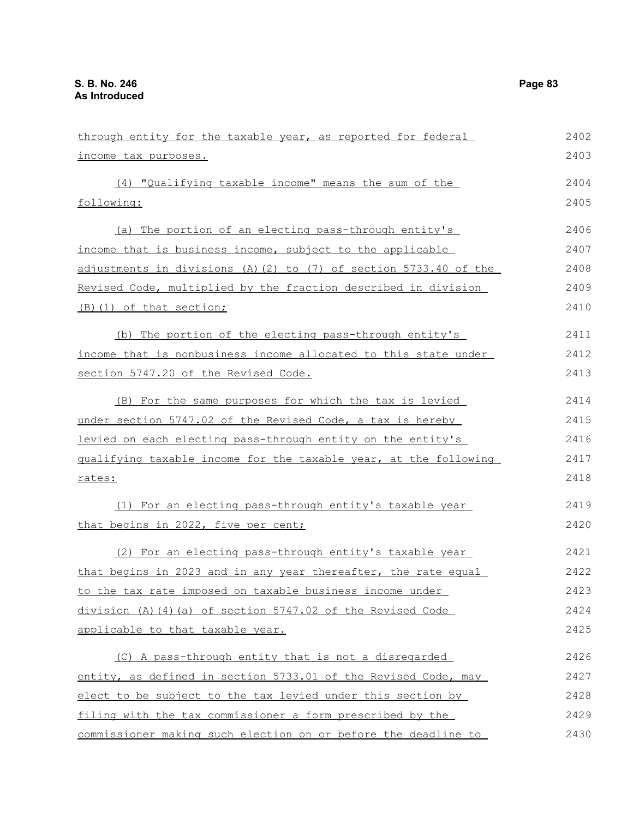| through entity for the taxable year, as reported for federal     | 2402 |
|------------------------------------------------------------------|------|
| income tax purposes.                                             | 2403 |
| (4) "Qualifying taxable income" means the sum of the             | 2404 |
| following:                                                       | 2405 |
| (a) The portion of an electing pass-through entity's             | 2406 |
| income that is business income, subject to the applicable        | 2407 |
| adjustments in divisions (A)(2) to (7) of section 5733.40 of the | 2408 |
| Revised Code, multiplied by the fraction described in division   | 2409 |
| <u>(B)(1) of that section;</u>                                   | 2410 |
| (b) The portion of the electing pass-through entity's            | 2411 |
| income that is nonbusiness income allocated to this state under  | 2412 |
| section 5747.20 of the Revised Code.                             | 2413 |
| (B) For the same purposes for which the tax is levied            | 2414 |
| under section 5747.02 of the Revised Code, a tax is hereby       | 2415 |
| levied on each electing pass-through entity on the entity's      | 2416 |
| gualifying taxable income for the taxable year, at the following | 2417 |
| rates:                                                           | 2418 |
| (1) For an electing pass-through entity's taxable year           | 2419 |
| that begins in 2022, five per cent;                              | 2420 |
| (2) For an electing pass-through entity's taxable year           | 2421 |
| that begins in 2023 and in any year thereafter, the rate equal   | 2422 |
| to the tax rate imposed on taxable business income under         | 2423 |
| division (A)(4)(a) of section 5747.02 of the Revised Code        | 2424 |
| applicable to that taxable year.                                 | 2425 |
| (C) A pass-through entity that is not a disregarded              | 2426 |
| entity, as defined in section 5733.01 of the Revised Code, may   | 2427 |
| elect to be subject to the tax levied under this section by      | 2428 |
| filing with the tax commissioner a form prescribed by the        | 2429 |

commissioner making such election on or before the deadline to 2430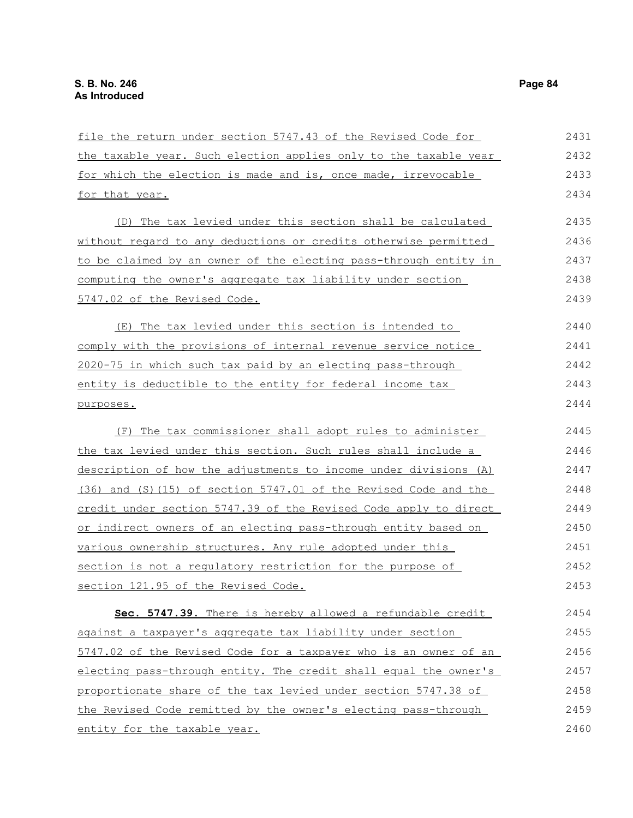| file the return under section 5747.43 of the Revised Code for    | 2431 |
|------------------------------------------------------------------|------|
| the taxable year. Such election applies only to the taxable year | 2432 |
| for which the election is made and is, once made, irrevocable    | 2433 |
| for that year.                                                   | 2434 |
| (D) The tax levied under this section shall be calculated        | 2435 |
| without regard to any deductions or credits otherwise permitted  | 2436 |
| to be claimed by an owner of the electing pass-through entity in | 2437 |
| computing the owner's aggregate tax liability under section      | 2438 |
| 5747.02 of the Revised Code.                                     | 2439 |
| The tax levied under this section is intended to<br>(E)          | 2440 |
| comply with the provisions of internal revenue service notice    | 2441 |
| 2020-75 in which such tax paid by an electing pass-through       | 2442 |
| entity is deductible to the entity for federal income tax        | 2443 |
| purposes.                                                        | 2444 |
| (F) The tax commissioner shall adopt rules to administer         | 2445 |
| the tax levied under this section. Such rules shall include a    | 2446 |
| description of how the adjustments to income under divisions (A) | 2447 |
| (36) and (S)(15) of section 5747.01 of the Revised Code and the  | 2448 |
| credit under section 5747.39 of the Revised Code apply to direct | 2449 |
| or indirect owners of an electing pass-through entity based on   | 2450 |
| various ownership structures. Any rule adopted under this        | 2451 |
| section is not a regulatory restriction for the purpose of       | 2452 |
| section 121.95 of the Revised Code.                              | 2453 |
| Sec. 5747.39. There is hereby allowed a refundable credit        | 2454 |
| against a taxpayer's aggregate tax liability under section       | 2455 |
| 5747.02 of the Revised Code for a taxpayer who is an owner of an | 2456 |
| electing pass-through entity. The credit shall equal the owner's | 2457 |
| proportionate share of the tax levied under section 5747.38 of   | 2458 |
| the Revised Code remitted by the owner's electing pass-through   | 2459 |
| entity for the taxable year.                                     | 2460 |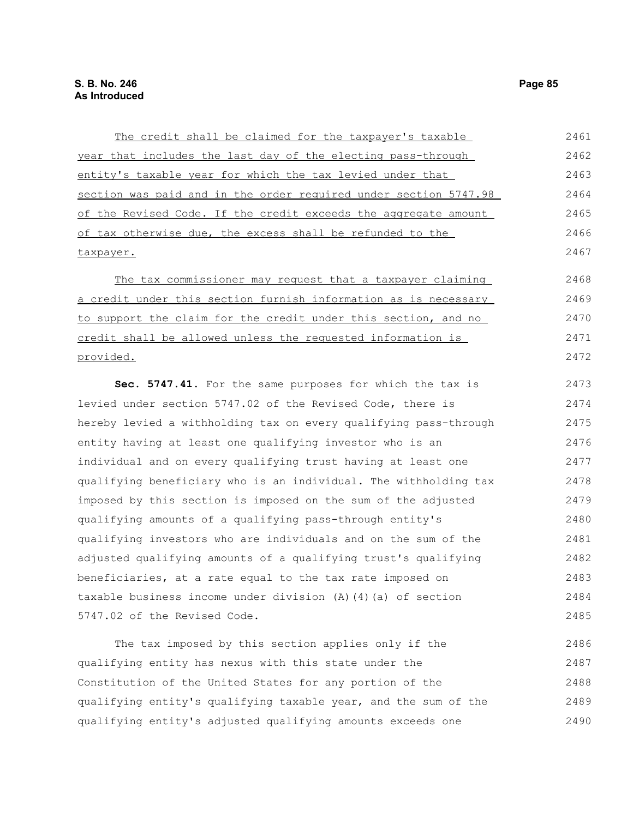The credit shall be claimed for the taxpayer's taxable year that includes the last day of the electing pass-through entity's taxable year for which the tax levied under that section was paid and in the order required under section 5747.98 of the Revised Code. If the credit exceeds the aggregate amount of tax otherwise due, the excess shall be refunded to the taxpayer. The tax commissioner may request that a taxpayer claiming a credit under this section furnish information as is necessary to support the claim for the credit under this section, and no credit shall be allowed unless the requested information is provided. **Sec. 5747.41.** For the same purposes for which the tax is levied under section 5747.02 of the Revised Code, there is hereby levied a withholding tax on every qualifying pass-through entity having at least one qualifying investor who is an individual and on every qualifying trust having at least one qualifying beneficiary who is an individual. The withholding tax imposed by this section is imposed on the sum of the adjusted qualifying amounts of a qualifying pass-through entity's qualifying investors who are individuals and on the sum of the adjusted qualifying amounts of a qualifying trust's qualifying beneficiaries, at a rate equal to the tax rate imposed on taxable business income under division (A)(4)(a) of section 5747.02 of the Revised Code. The tax imposed by this section applies only if the qualifying entity has nexus with this state under the 2461 2462 2463 2464 2465 2466 2467 2468 2469 2470 2471 2472 2473 2474 2475 2476 2477 2478 2479 2480 2481 2482 2483 2484 2485 2486 2487

Constitution of the United States for any portion of the qualifying entity's qualifying taxable year, and the sum of the qualifying entity's adjusted qualifying amounts exceeds one 2488 2489 2490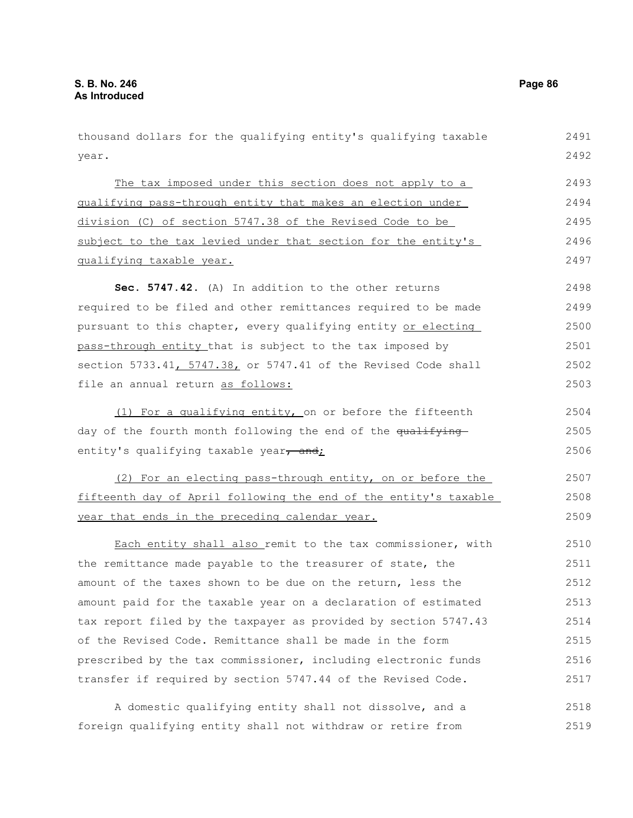year. The tax imposed under this section does not apply to a qualifying pass-through entity that makes an election under division (C) of section 5747.38 of the Revised Code to be subject to the tax levied under that section for the entity's qualifying taxable year. **Sec. 5747.42.** (A) In addition to the other returns required to be filed and other remittances required to be made pursuant to this chapter, every qualifying entity or electing pass-through entity that is subject to the tax imposed by section 5733.41, 5747.38, or 5747.41 of the Revised Code shall file an annual return as follows: (1) For a qualifying entity, on or before the fifteenth day of the fourth month following the end of the qualifying entity's qualifying taxable year, and; (2) For an electing pass-through entity, on or before the fifteenth day of April following the end of the entity's taxable year that ends in the preceding calendar year. Each entity shall also remit to the tax commissioner, with the remittance made payable to the treasurer of state, the amount of the taxes shown to be due on the return, less the amount paid for the taxable year on a declaration of estimated tax report filed by the taxpayer as provided by section 5747.43 of the Revised Code. Remittance shall be made in the form prescribed by the tax commissioner, including electronic funds transfer if required by section 5747.44 of the Revised Code. A domestic qualifying entity shall not dissolve, and a 2492 2493 2494 2495 2496 2497 2498 2499 2500 2501 2502 2503 2504 2505 2506 2507 2508 2509 2510 2511 2512 2513 2514 2515 2516 2517 2518

thousand dollars for the qualifying entity's qualifying taxable

foreign qualifying entity shall not withdraw or retire from 2519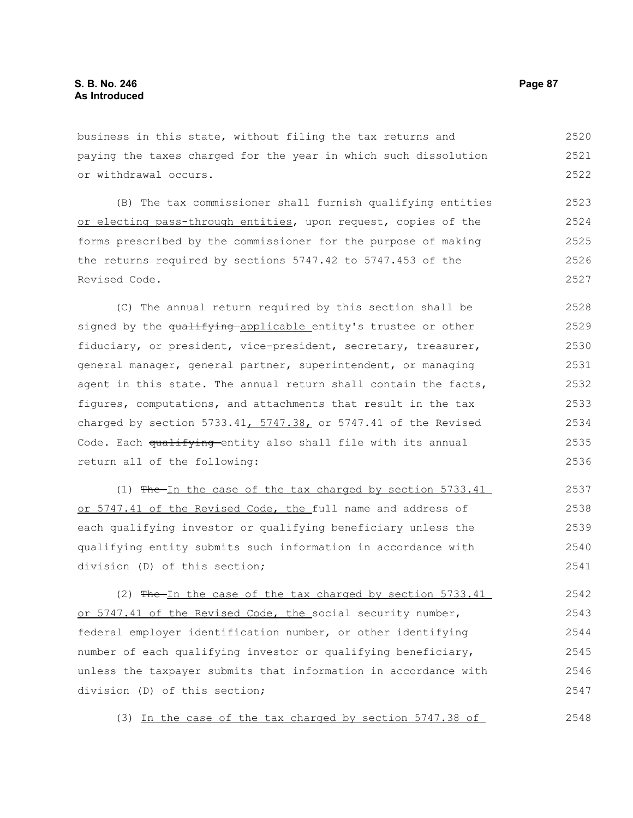business in this state, without filing the tax returns and paying the taxes charged for the year in which such dissolution or withdrawal occurs. 2520 2521 2522

(B) The tax commissioner shall furnish qualifying entities or electing pass-through entities, upon request, copies of the forms prescribed by the commissioner for the purpose of making the returns required by sections 5747.42 to 5747.453 of the Revised Code. 2523 2524 2525 2526 2527

(C) The annual return required by this section shall be signed by the qualifying applicable entity's trustee or other fiduciary, or president, vice-president, secretary, treasurer, general manager, general partner, superintendent, or managing agent in this state. The annual return shall contain the facts, figures, computations, and attachments that result in the tax charged by section 5733.41,  $5747.38$ , or 5747.41 of the Revised Code. Each qualifying entity also shall file with its annual return all of the following: 2528 2529 2530 2531 2532 2533 2534 2535 2536

(1) The In the case of the tax charged by section 5733.41 or 5747.41 of the Revised Code, the full name and address of each qualifying investor or qualifying beneficiary unless the qualifying entity submits such information in accordance with division (D) of this section; 2537 2538 2539 2540 2541

(2)  $Fhe-In$  the case of the tax charged by section 5733.41 or 5747.41 of the Revised Code, the social security number, federal employer identification number, or other identifying number of each qualifying investor or qualifying beneficiary, unless the taxpayer submits that information in accordance with division (D) of this section; 2542 2543 2544 2545 2546 2547

(3) In the case of the tax charged by section 5747.38 of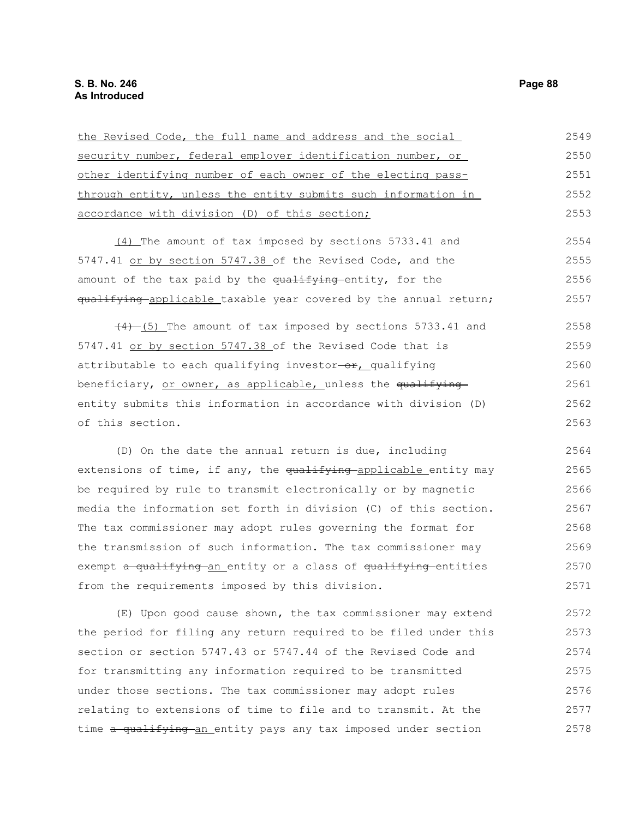| the Revised Code, the full name and address and the social       | 2549 |
|------------------------------------------------------------------|------|
| security number, federal employer identification number, or      | 2550 |
| other identifying number of each owner of the electing pass-     | 2551 |
| through entity, unless the entity submits such information in    | 2552 |
| accordance with division (D) of this section;                    | 2553 |
| (4) The amount of tax imposed by sections 5733.41 and            | 2554 |
| 5747.41 or by section 5747.38 of the Revised Code, and the       | 2555 |
| amount of the tax paid by the qualifying entity, for the         | 2556 |
| qualifying applicable taxable year covered by the annual return; | 2557 |
| $(4)$ (5) The amount of tax imposed by sections 5733.41 and      | 2558 |
| 5747.41 or by section 5747.38 of the Revised Code that is        | 2559 |
| attributable to each qualifying investor-or, qualifying          | 2560 |
| beneficiary, or owner, as applicable, unless the qualifying      | 2561 |
| entity submits this information in accordance with division (D)  | 2562 |
| of this section.                                                 | 2563 |
| (D) On the date the annual return is due, including              | 2564 |
| extensions of time, if any, the qualifying applicable entity may | 2565 |
| be required by rule to transmit electronically or by magnetic    | 2566 |
| media the information set forth in division (C) of this section. | 2567 |

The tax commissioner may adopt rules governing the format for the transmission of such information. The tax commissioner may exempt a qualifying an entity or a class of qualifying entities from the requirements imposed by this division. 2568 2569 2570 2571

(E) Upon good cause shown, the tax commissioner may extend the period for filing any return required to be filed under this section or section 5747.43 or 5747.44 of the Revised Code and for transmitting any information required to be transmitted under those sections. The tax commissioner may adopt rules relating to extensions of time to file and to transmit. At the time a qualifying an entity pays any tax imposed under section 2572 2573 2574 2575 2576 2577 2578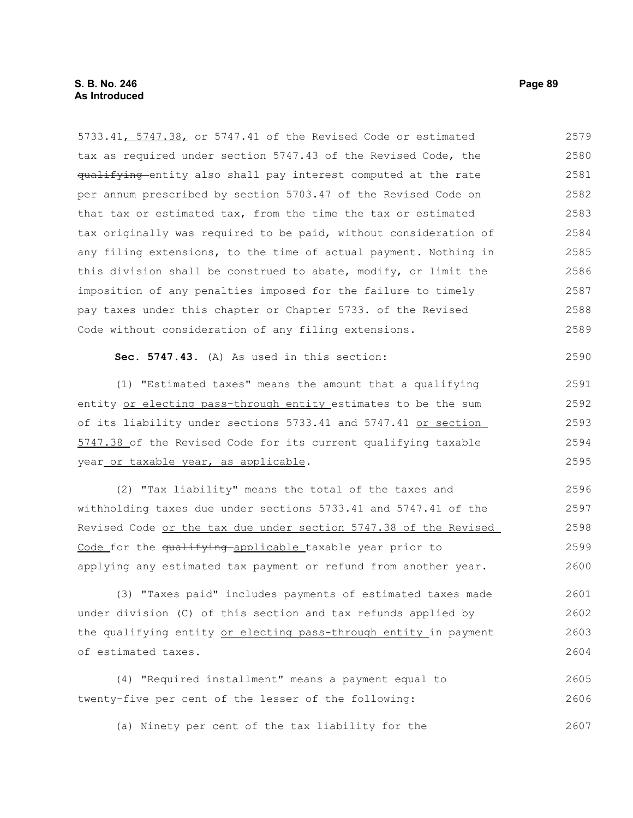5733.41, 5747.38, or 5747.41 of the Revised Code or estimated tax as required under section 5747.43 of the Revised Code, the qualifying entity also shall pay interest computed at the rate per annum prescribed by section 5703.47 of the Revised Code on that tax or estimated tax, from the time the tax or estimated tax originally was required to be paid, without consideration of any filing extensions, to the time of actual payment. Nothing in this division shall be construed to abate, modify, or limit the imposition of any penalties imposed for the failure to timely pay taxes under this chapter or Chapter 5733. of the Revised Code without consideration of any filing extensions. 2579 2580 2581 2582 2583 2584 2585 2586 2587 2588 2589

**Sec. 5747.43.** (A) As used in this section:

(1) "Estimated taxes" means the amount that a qualifying entity or electing pass-through entity estimates to be the sum of its liability under sections 5733.41 and 5747.41 or section 5747.38 of the Revised Code for its current qualifying taxable year or taxable year, as applicable. 2593

(2) "Tax liability" means the total of the taxes and withholding taxes due under sections 5733.41 and 5747.41 of the Revised Code or the tax due under section 5747.38 of the Revised Code for the qualifying applicable taxable year prior to applying any estimated tax payment or refund from another year. 2596 2597 2598 2599 2600

(3) "Taxes paid" includes payments of estimated taxes made under division (C) of this section and tax refunds applied by the qualifying entity or electing pass-through entity in payment of estimated taxes. 2601 2602 2603 2604

(4) "Required installment" means a payment equal to twenty-five per cent of the lesser of the following: 2605 2606

(a) Ninety per cent of the tax liability for the 2607

2590

2591 2592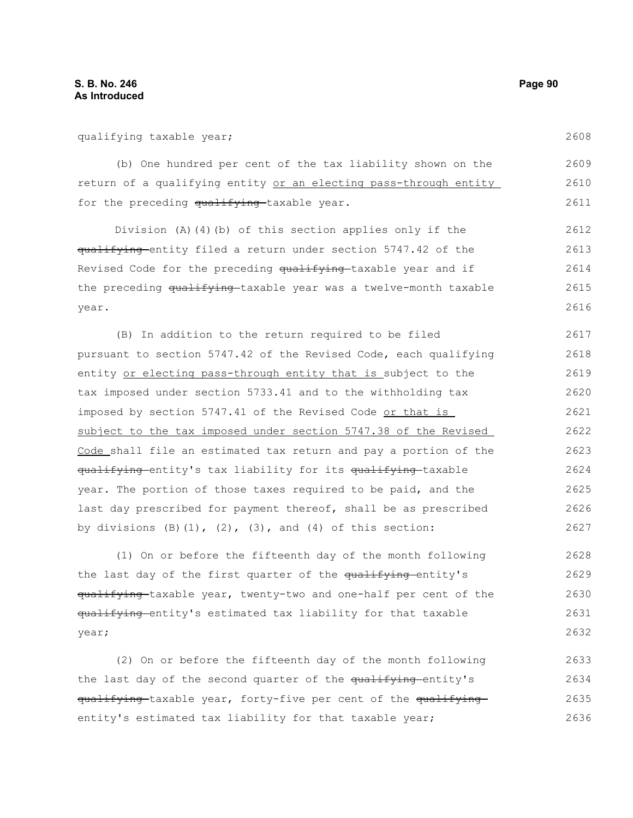(b) One hundred per cent of the tax liability shown on the return of a qualifying entity or an electing pass-through entity for the preceding qualifying taxable year. 2609 2610 2611

Division (A)(4)(b) of this section applies only if the qualifying entity filed a return under section 5747.42 of the Revised Code for the preceding qualifying taxable year and if the preceding qualifying taxable year was a twelve-month taxable year. 2612 2613 2614 2615 2616

(B) In addition to the return required to be filed pursuant to section 5747.42 of the Revised Code, each qualifying entity or electing pass-through entity that is subject to the tax imposed under section 5733.41 and to the withholding tax imposed by section 5747.41 of the Revised Code or that is subject to the tax imposed under section 5747.38 of the Revised Code shall file an estimated tax return and pay a portion of the qualifying entity's tax liability for its qualifying taxable year. The portion of those taxes required to be paid, and the last day prescribed for payment thereof, shall be as prescribed by divisions  $(B)$   $(1)$ ,  $(2)$ ,  $(3)$ , and  $(4)$  of this section: 2617 2618 2619 2620 2621 2622 2623 2624 2625 2626 2627

(1) On or before the fifteenth day of the month following the last day of the first quarter of the qualifying entity's qualifying-taxable year, twenty-two and one-half per cent of the qualifying entity's estimated tax liability for that taxable year; 2628 2629 2630 2631 2632

(2) On or before the fifteenth day of the month following the last day of the second quarter of the qualifying-entity's qualifying taxable year, forty-five per cent of the qualifying entity's estimated tax liability for that taxable year; 2633 2634 2635 2636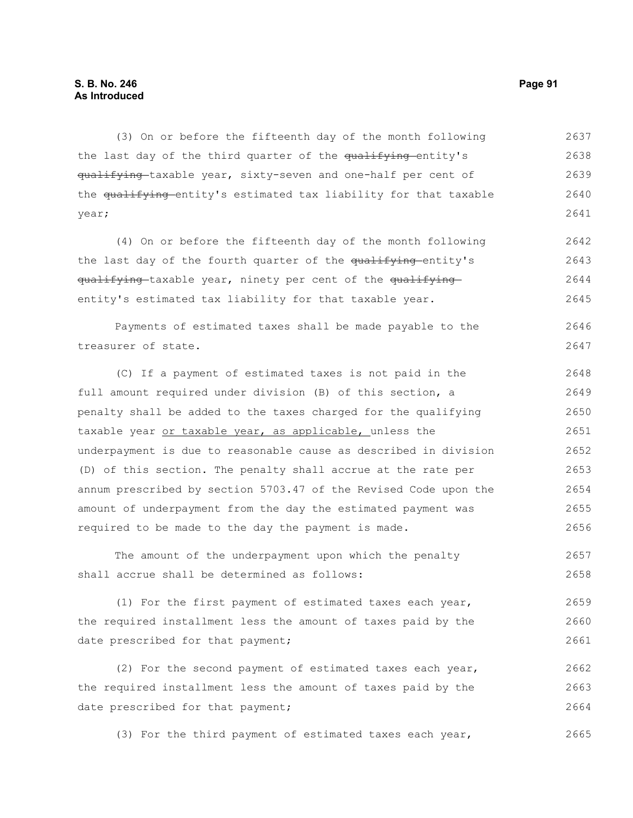# **S. B. No. 246 Page 91 As Introduced**

(3) On or before the fifteenth day of the month following the last day of the third quarter of the qualifying entity's qualifying taxable year, sixty-seven and one-half per cent of the qualifying entity's estimated tax liability for that taxable year; 2637 2638 2639 2640 2641

(4) On or before the fifteenth day of the month following the last day of the fourth quarter of the qualifying-entity's qualifying-taxable year, ninety per cent of the qualifyingentity's estimated tax liability for that taxable year. 2642 2643 2644 2645

Payments of estimated taxes shall be made payable to the treasurer of state. 2646 2647

(C) If a payment of estimated taxes is not paid in the full amount required under division (B) of this section, a penalty shall be added to the taxes charged for the qualifying taxable year or taxable year, as applicable, unless the underpayment is due to reasonable cause as described in division (D) of this section. The penalty shall accrue at the rate per annum prescribed by section 5703.47 of the Revised Code upon the amount of underpayment from the day the estimated payment was required to be made to the day the payment is made. 2648 2649 2650 2651 2652 2653 2654 2655 2656

The amount of the underpayment upon which the penalty shall accrue shall be determined as follows: 2657 2658

(1) For the first payment of estimated taxes each year, the required installment less the amount of taxes paid by the date prescribed for that payment; 2659 2660 2661

(2) For the second payment of estimated taxes each year, the required installment less the amount of taxes paid by the date prescribed for that payment; 2662 2663 2664

(3) For the third payment of estimated taxes each year, 2665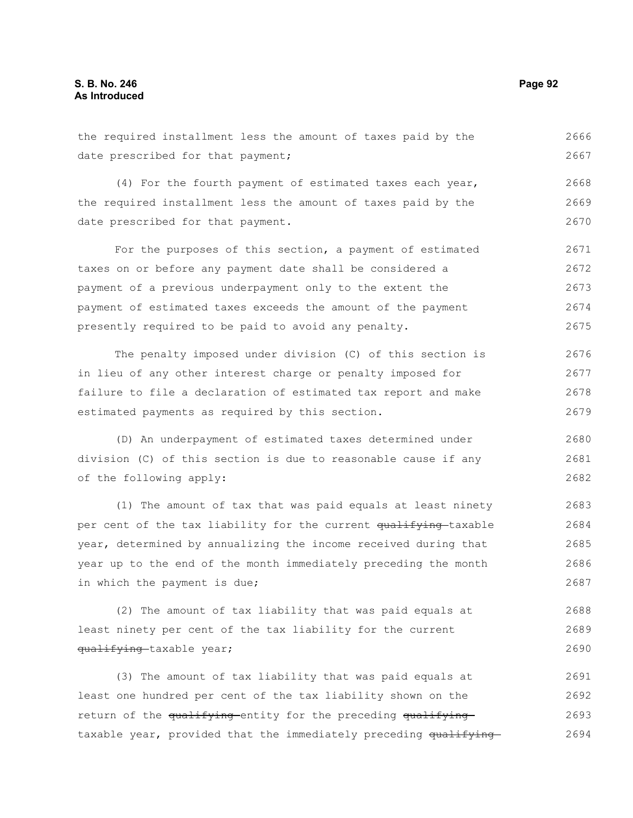the required installment less the amount of taxes paid by the date prescribed for that payment; 2666 2667

(4) For the fourth payment of estimated taxes each year, the required installment less the amount of taxes paid by the date prescribed for that payment. 2668 2669 2670

For the purposes of this section, a payment of estimated taxes on or before any payment date shall be considered a payment of a previous underpayment only to the extent the payment of estimated taxes exceeds the amount of the payment presently required to be paid to avoid any penalty. 2671 2672 2673 2674 2675

The penalty imposed under division (C) of this section is in lieu of any other interest charge or penalty imposed for failure to file a declaration of estimated tax report and make estimated payments as required by this section. 2676 2677 2678 2679

(D) An underpayment of estimated taxes determined under division (C) of this section is due to reasonable cause if any of the following apply: 2680 2681 2682

(1) The amount of tax that was paid equals at least ninety per cent of the tax liability for the current qualifying taxable year, determined by annualizing the income received during that year up to the end of the month immediately preceding the month in which the payment is due; 2683 2684 2685 2686 2687

(2) The amount of tax liability that was paid equals at least ninety per cent of the tax liability for the current qualifying-taxable year; 2688 2689 2690

(3) The amount of tax liability that was paid equals at least one hundred per cent of the tax liability shown on the return of the qualifying entity for the preceding qualifying taxable year, provided that the immediately preceding qualifying-2691 2692 2693 2694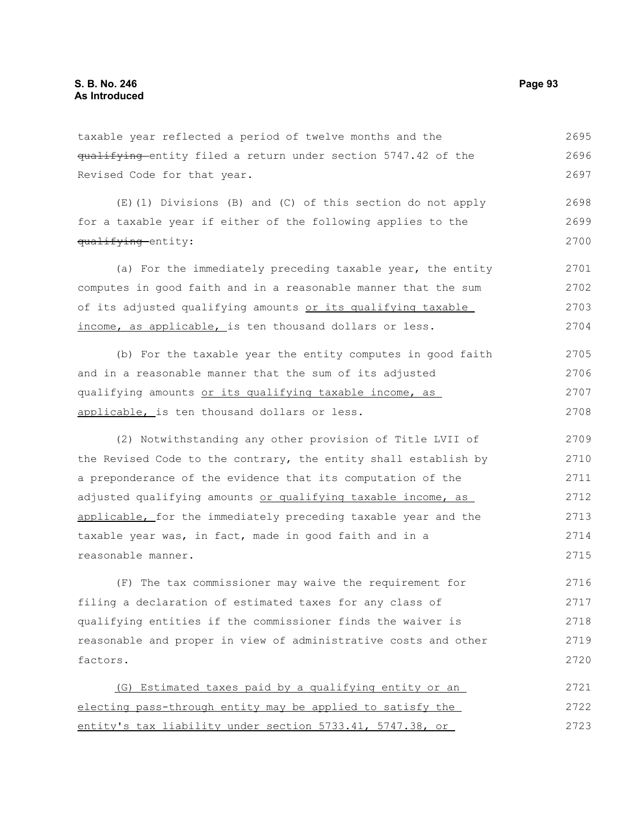taxable year reflected a period of twelve months and the qualifying entity filed a return under section 5747.42 of the Revised Code for that year. 2695 2696 2697

(E)(1) Divisions (B) and (C) of this section do not apply for a taxable year if either of the following applies to the qualifying entity: 2698 2699 2700

(a) For the immediately preceding taxable year, the entity computes in good faith and in a reasonable manner that the sum of its adjusted qualifying amounts or its qualifying taxable income, as applicable, is ten thousand dollars or less. 2701 2702 2703 2704

(b) For the taxable year the entity computes in good faith and in a reasonable manner that the sum of its adjusted qualifying amounts or its qualifying taxable income, as applicable, is ten thousand dollars or less. 2705 2706 2707 2708

(2) Notwithstanding any other provision of Title LVII of the Revised Code to the contrary, the entity shall establish by a preponderance of the evidence that its computation of the adjusted qualifying amounts or qualifying taxable income, as applicable, for the immediately preceding taxable year and the taxable year was, in fact, made in good faith and in a reasonable manner. 2709 2710 2711 2712 2713 2714 2715

(F) The tax commissioner may waive the requirement for filing a declaration of estimated taxes for any class of qualifying entities if the commissioner finds the waiver is reasonable and proper in view of administrative costs and other factors. 2716 2717 2718 2719 2720

(G) Estimated taxes paid by a qualifying entity or an electing pass-through entity may be applied to satisfy the entity's tax liability under section 5733.41, 5747.38, or 2721 2722 2723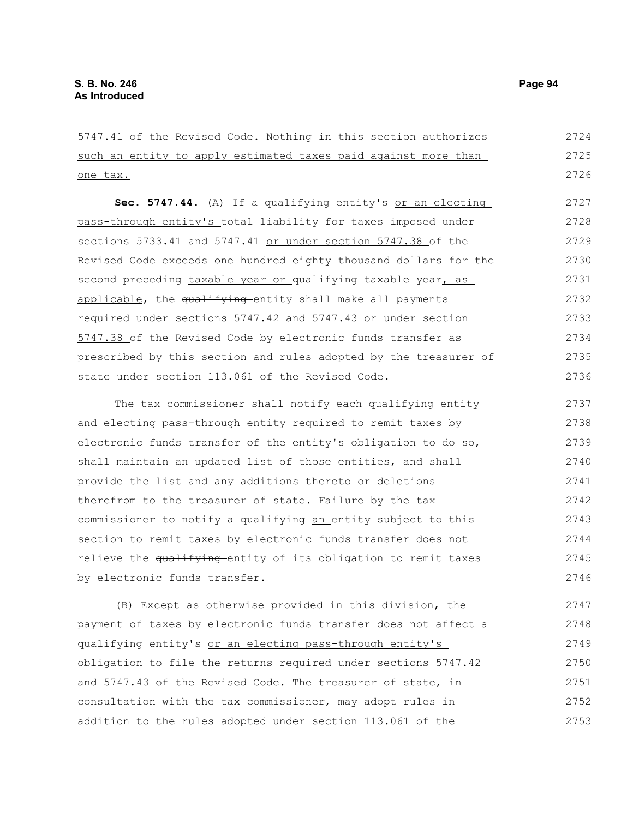5747.41 of the Revised Code. Nothing in this section authorizes such an entity to apply estimated taxes paid against more than one tax. Sec. 5747.44. (A) If a qualifying entity's or an electing pass-through entity's total liability for taxes imposed under sections 5733.41 and 5747.41 or under section 5747.38 of the Revised Code exceeds one hundred eighty thousand dollars for the second preceding taxable year or qualifying taxable year, as applicable, the qualifying entity shall make all payments required under sections 5747.42 and 5747.43 or under section 5747.38 of the Revised Code by electronic funds transfer as prescribed by this section and rules adopted by the treasurer of state under section 113.061 of the Revised Code. The tax commissioner shall notify each qualifying entity and electing pass-through entity required to remit taxes by electronic funds transfer of the entity's obligation to do so, shall maintain an updated list of those entities, and shall provide the list and any additions thereto or deletions therefrom to the treasurer of state. Failure by the tax commissioner to notify a qualifying an entity subject to this section to remit taxes by electronic funds transfer does not relieve the qualifying entity of its obligation to remit taxes by electronic funds transfer. (B) Except as otherwise provided in this division, the payment of taxes by electronic funds transfer does not affect a qualifying entity's or an electing pass-through entity's 2724 2725 2726 2727 2728 2729 2730 2731 2732 2733 2734 2735 2736 2737 2738 2739 2740 2741 2742 2743 2744 2745 2746 2747 2748 2749

obligation to file the returns required under sections 5747.42 and 5747.43 of the Revised Code. The treasurer of state, in consultation with the tax commissioner, may adopt rules in addition to the rules adopted under section 113.061 of the 2750 2751 2752 2753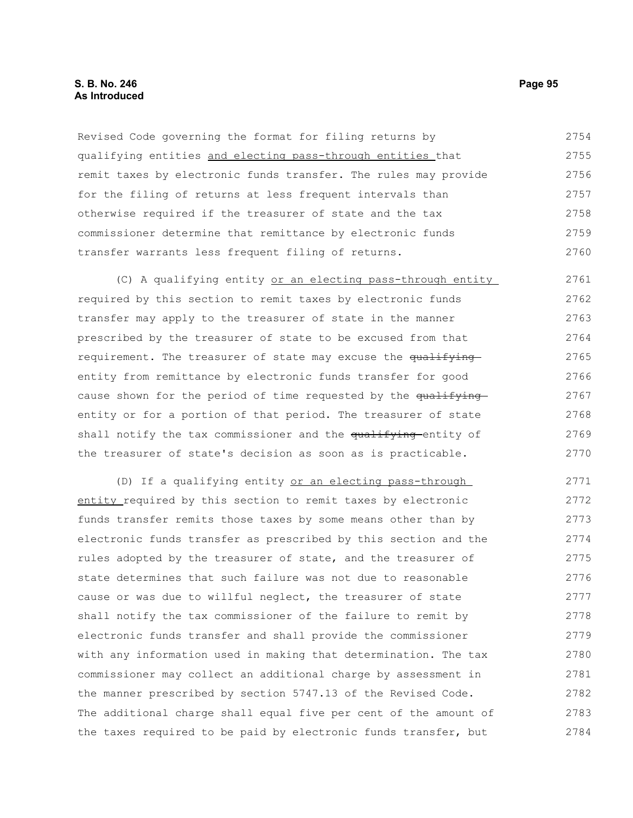# **S. B. No. 246 Page 95 As Introduced**

Revised Code governing the format for filing returns by qualifying entities and electing pass-through entities that remit taxes by electronic funds transfer. The rules may provide for the filing of returns at less frequent intervals than otherwise required if the treasurer of state and the tax commissioner determine that remittance by electronic funds transfer warrants less frequent filing of returns. 2754 2755 2756 2757 2758 2759 2760

(C) A qualifying entity or an electing pass-through entity required by this section to remit taxes by electronic funds transfer may apply to the treasurer of state in the manner prescribed by the treasurer of state to be excused from that requirement. The treasurer of state may excuse the qualifying entity from remittance by electronic funds transfer for good cause shown for the period of time requested by the qualifying entity or for a portion of that period. The treasurer of state shall notify the tax commissioner and the qualifying entity of the treasurer of state's decision as soon as is practicable. 2761 2762 2763 2764 2765 2766 2767 2768 2769 2770

(D) If a qualifying entity or an electing pass-through entity required by this section to remit taxes by electronic funds transfer remits those taxes by some means other than by electronic funds transfer as prescribed by this section and the rules adopted by the treasurer of state, and the treasurer of state determines that such failure was not due to reasonable cause or was due to willful neglect, the treasurer of state shall notify the tax commissioner of the failure to remit by electronic funds transfer and shall provide the commissioner with any information used in making that determination. The tax commissioner may collect an additional charge by assessment in the manner prescribed by section 5747.13 of the Revised Code. The additional charge shall equal five per cent of the amount of the taxes required to be paid by electronic funds transfer, but 2771 2772 2773 2774 2775 2776 2777 2778 2779 2780 2781 2782 2783 2784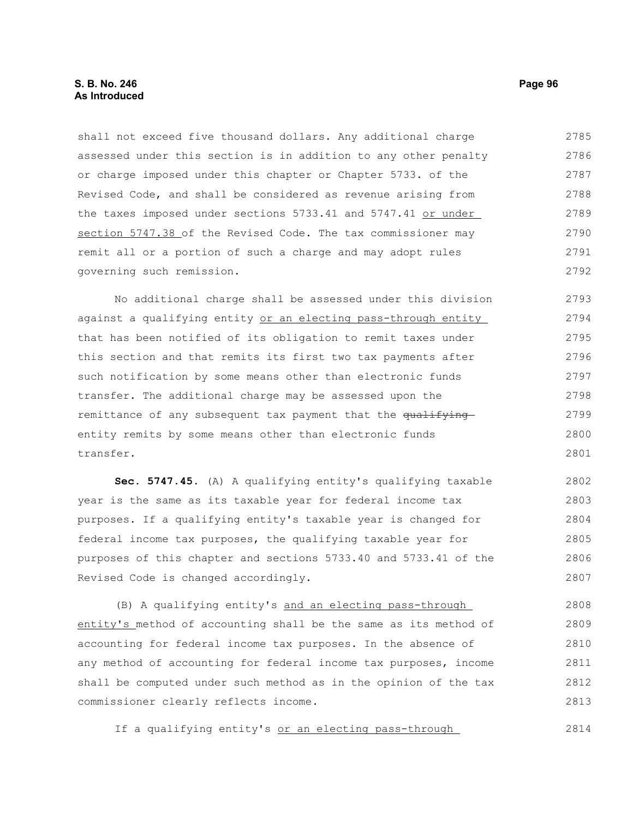shall not exceed five thousand dollars. Any additional charge assessed under this section is in addition to any other penalty or charge imposed under this chapter or Chapter 5733. of the Revised Code, and shall be considered as revenue arising from the taxes imposed under sections 5733.41 and 5747.41 or under section 5747.38 of the Revised Code. The tax commissioner may remit all or a portion of such a charge and may adopt rules governing such remission. 2785 2786 2787 2788 2789 2790 2791 2792

No additional charge shall be assessed under this division against a qualifying entity or an electing pass-through entity that has been notified of its obligation to remit taxes under this section and that remits its first two tax payments after such notification by some means other than electronic funds transfer. The additional charge may be assessed upon the remittance of any subsequent tax payment that the qualifying entity remits by some means other than electronic funds transfer. 2793 2794 2795 2796 2797 2798 2799 2800 2801

**Sec. 5747.45.** (A) A qualifying entity's qualifying taxable year is the same as its taxable year for federal income tax purposes. If a qualifying entity's taxable year is changed for federal income tax purposes, the qualifying taxable year for purposes of this chapter and sections 5733.40 and 5733.41 of the Revised Code is changed accordingly. 2802 2803 2804 2805 2806 2807

(B) A qualifying entity's and an electing pass-through entity's method of accounting shall be the same as its method of accounting for federal income tax purposes. In the absence of any method of accounting for federal income tax purposes, income shall be computed under such method as in the opinion of the tax commissioner clearly reflects income. 2808 2809 2810 2811 2812 2813

If a qualifying entity's or an electing pass-through 2814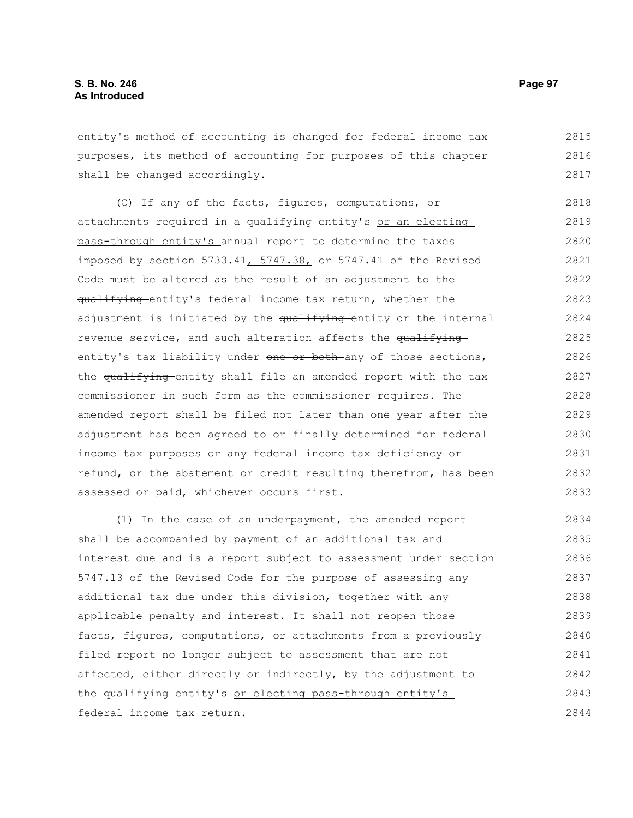entity's method of accounting is changed for federal income tax purposes, its method of accounting for purposes of this chapter shall be changed accordingly. 2815 2816 2817

(C) If any of the facts, figures, computations, or attachments required in a qualifying entity's or an electing pass-through entity's annual report to determine the taxes imposed by section 5733.41, 5747.38, or 5747.41 of the Revised Code must be altered as the result of an adjustment to the qualifying entity's federal income tax return, whether the adjustment is initiated by the qualifying-entity or the internal revenue service, and such alteration affects the qualifying entity's tax liability under one or both any of those sections, the qualifying entity shall file an amended report with the tax commissioner in such form as the commissioner requires. The amended report shall be filed not later than one year after the adjustment has been agreed to or finally determined for federal income tax purposes or any federal income tax deficiency or refund, or the abatement or credit resulting therefrom, has been assessed or paid, whichever occurs first. 2818 2819 2820 2821 2822 2823 2824 2825 2826 2827 2828 2829 2830 2831 2832 2833

(1) In the case of an underpayment, the amended report shall be accompanied by payment of an additional tax and interest due and is a report subject to assessment under section 5747.13 of the Revised Code for the purpose of assessing any additional tax due under this division, together with any applicable penalty and interest. It shall not reopen those facts, figures, computations, or attachments from a previously filed report no longer subject to assessment that are not affected, either directly or indirectly, by the adjustment to the qualifying entity's or electing pass-through entity's federal income tax return. 2834 2835 2836 2837 2838 2839 2840 2841 2842 2843 2844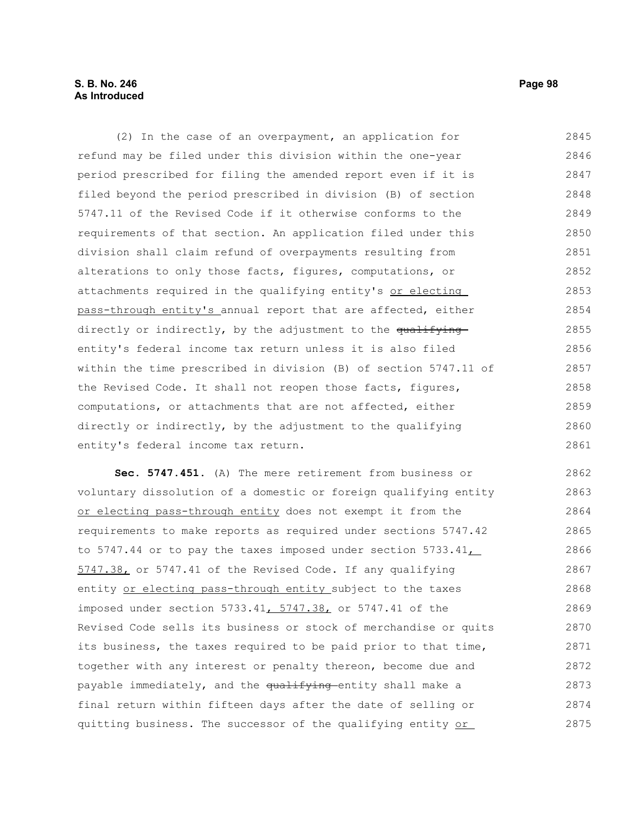# **S. B. No. 246 Page 98 As Introduced**

(2) In the case of an overpayment, an application for refund may be filed under this division within the one-year period prescribed for filing the amended report even if it is filed beyond the period prescribed in division (B) of section 5747.11 of the Revised Code if it otherwise conforms to the requirements of that section. An application filed under this division shall claim refund of overpayments resulting from alterations to only those facts, figures, computations, or attachments required in the qualifying entity's or electing pass-through entity's annual report that are affected, either directly or indirectly, by the adjustment to the qualifying entity's federal income tax return unless it is also filed within the time prescribed in division (B) of section 5747.11 of the Revised Code. It shall not reopen those facts, figures, computations, or attachments that are not affected, either directly or indirectly, by the adjustment to the qualifying entity's federal income tax return. 2845 2846 2847 2848 2849 2850 2851 2852 2853 2854 2855 2856 2857 2858 2859 2860 2861

**Sec. 5747.451.** (A) The mere retirement from business or voluntary dissolution of a domestic or foreign qualifying entity or electing pass-through entity does not exempt it from the requirements to make reports as required under sections 5747.42 to 5747.44 or to pay the taxes imposed under section 5733.41 5747.38, or 5747.41 of the Revised Code. If any qualifying entity or electing pass-through entity subject to the taxes imposed under section 5733.41, 5747.38, or 5747.41 of the Revised Code sells its business or stock of merchandise or quits its business, the taxes required to be paid prior to that time, together with any interest or penalty thereon, become due and payable immediately, and the qualifying entity shall make a final return within fifteen days after the date of selling or quitting business. The successor of the qualifying entity or 2862 2863 2864 2865 2866 2867 2868 2869 2870 2871 2872 2873 2874 2875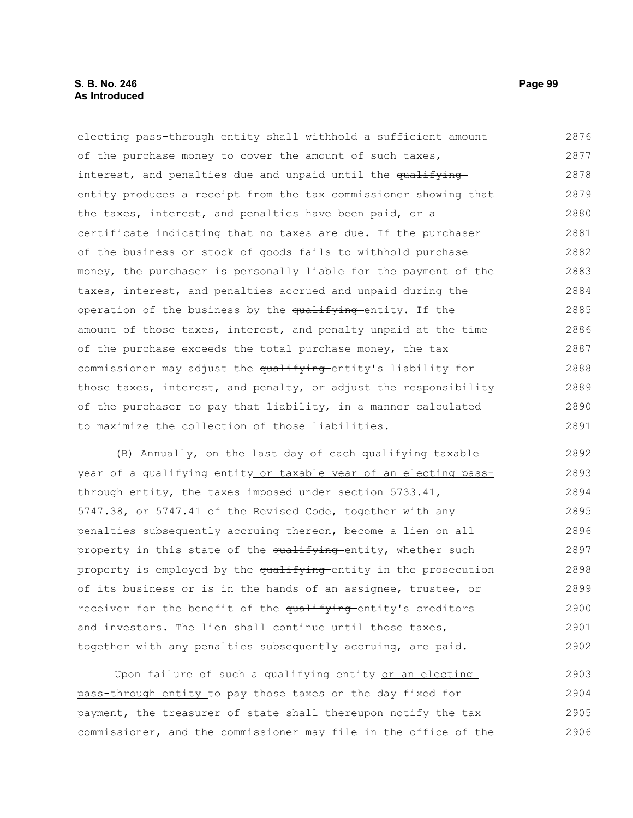electing pass-through entity shall withhold a sufficient amount of the purchase money to cover the amount of such taxes, interest, and penalties due and unpaid until the qualifying entity produces a receipt from the tax commissioner showing that the taxes, interest, and penalties have been paid, or a certificate indicating that no taxes are due. If the purchaser of the business or stock of goods fails to withhold purchase money, the purchaser is personally liable for the payment of the taxes, interest, and penalties accrued and unpaid during the operation of the business by the qualifying entity. If the amount of those taxes, interest, and penalty unpaid at the time of the purchase exceeds the total purchase money, the tax commissioner may adjust the qualifying entity's liability for those taxes, interest, and penalty, or adjust the responsibility of the purchaser to pay that liability, in a manner calculated to maximize the collection of those liabilities. 2876 2877 2878 2879 2880 2881 2882 2883 2884 2885 2886 2887 2888 2889 2890 2891

(B) Annually, on the last day of each qualifying taxable year of a qualifying entity or taxable year of an electing passthrough entity, the taxes imposed under section  $5733.41\_\_$ 5747.38, or 5747.41 of the Revised Code, together with any penalties subsequently accruing thereon, become a lien on all property in this state of the qualifying entity, whether such property is employed by the qualifying entity in the prosecution of its business or is in the hands of an assignee, trustee, or receiver for the benefit of the qualifying entity's creditors and investors. The lien shall continue until those taxes, together with any penalties subsequently accruing, are paid. 2892 2893 2894 2895 2896 2897 2898 2899 2900 2901 2902

Upon failure of such a qualifying entity or an electing pass-through entity to pay those taxes on the day fixed for payment, the treasurer of state shall thereupon notify the tax commissioner, and the commissioner may file in the office of the 2903 2904 2905 2906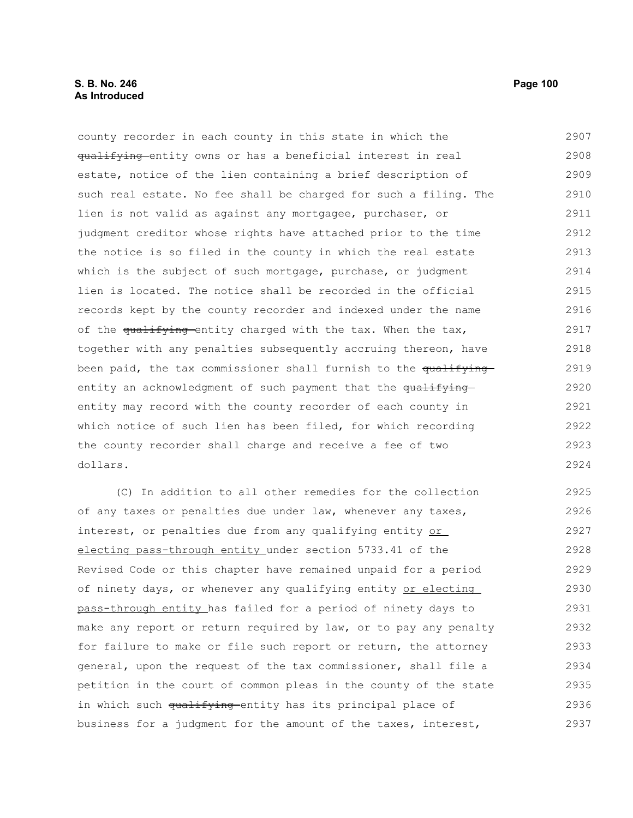# **S. B. No. 246** Page 100 **As Introduced**

county recorder in each county in this state in which the qualifying entity owns or has a beneficial interest in real estate, notice of the lien containing a brief description of such real estate. No fee shall be charged for such a filing. The lien is not valid as against any mortgagee, purchaser, or judgment creditor whose rights have attached prior to the time the notice is so filed in the county in which the real estate which is the subject of such mortgage, purchase, or judgment lien is located. The notice shall be recorded in the official records kept by the county recorder and indexed under the name of the qualifying entity charged with the tax. When the tax, together with any penalties subsequently accruing thereon, have been paid, the tax commissioner shall furnish to the qualifying entity an acknowledgment of such payment that the qualifying entity may record with the county recorder of each county in which notice of such lien has been filed, for which recording the county recorder shall charge and receive a fee of two dollars. 2907 2908 2909 2910 2911 2912 2913 2914 2915 2916 2917 2918 2919 2920 2921 2922 2923 2924

(C) In addition to all other remedies for the collection of any taxes or penalties due under law, whenever any taxes, interest, or penalties due from any qualifying entity or electing pass-through entity under section 5733.41 of the Revised Code or this chapter have remained unpaid for a period of ninety days, or whenever any qualifying entity or electing pass-through entity has failed for a period of ninety days to make any report or return required by law, or to pay any penalty for failure to make or file such report or return, the attorney general, upon the request of the tax commissioner, shall file a petition in the court of common pleas in the county of the state in which such qualifying entity has its principal place of business for a judgment for the amount of the taxes, interest, 2925 2926 2927 2928 2929 2930 2931 2932 2933 2934 2935 2936 2937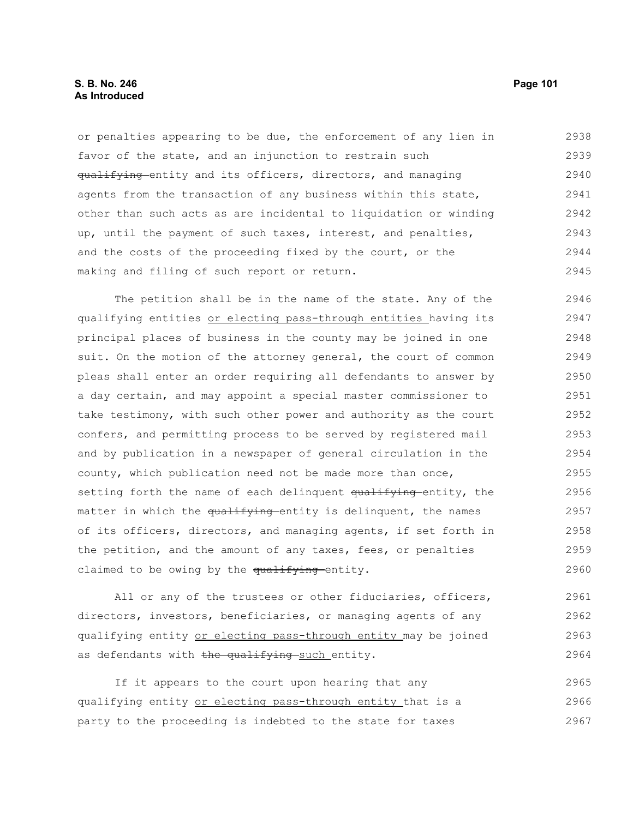# **S. B. No. 246** Page 101 **As Introduced**

or penalties appearing to be due, the enforcement of any lien in favor of the state, and an injunction to restrain such qualifying entity and its officers, directors, and managing agents from the transaction of any business within this state, other than such acts as are incidental to liquidation or winding up, until the payment of such taxes, interest, and penalties, and the costs of the proceeding fixed by the court, or the making and filing of such report or return. 2938 2939 2940 2941 2942 2943 2944 2945

The petition shall be in the name of the state. Any of the qualifying entities or electing pass-through entities having its principal places of business in the county may be joined in one suit. On the motion of the attorney general, the court of common pleas shall enter an order requiring all defendants to answer by a day certain, and may appoint a special master commissioner to take testimony, with such other power and authority as the court confers, and permitting process to be served by registered mail and by publication in a newspaper of general circulation in the county, which publication need not be made more than once, setting forth the name of each delinquent qualifying entity, the matter in which the qualifying entity is delinquent, the names of its officers, directors, and managing agents, if set forth in the petition, and the amount of any taxes, fees, or penalties claimed to be owing by the qualifying entity. 2946 2947 2948 2949 2950 2951 2952 2953 2954 2955 2956 2957 2958 2959 2960

All or any of the trustees or other fiduciaries, officers, directors, investors, beneficiaries, or managing agents of any qualifying entity or electing pass-through entity may be joined as defendants with the qualifying such entity. 2961 2962 2963 2964

If it appears to the court upon hearing that any qualifying entity or electing pass-through entity that is a party to the proceeding is indebted to the state for taxes 2965 2966 2967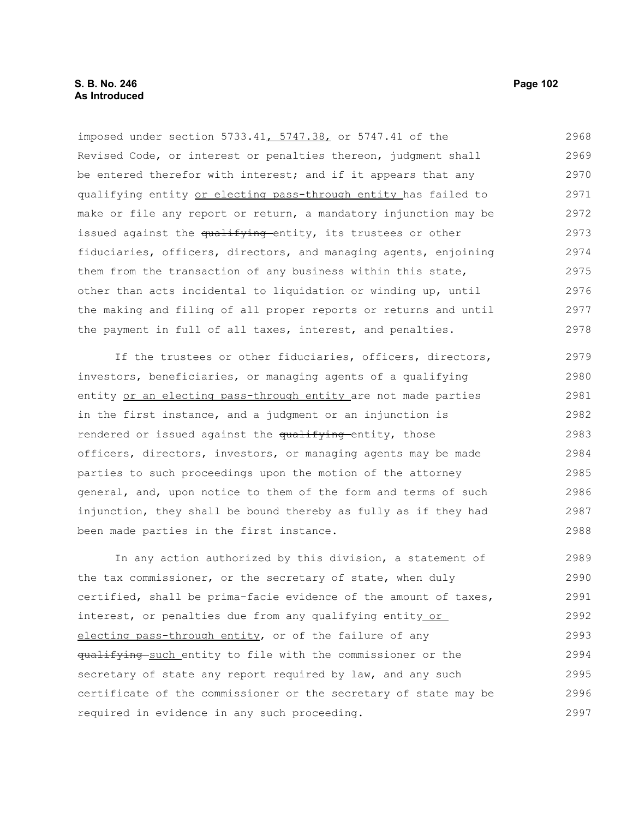imposed under section 5733.41, 5747.38, or 5747.41 of the Revised Code, or interest or penalties thereon, judgment shall be entered therefor with interest; and if it appears that any qualifying entity or electing pass-through entity has failed to make or file any report or return, a mandatory injunction may be issued against the qualifying entity, its trustees or other fiduciaries, officers, directors, and managing agents, enjoining them from the transaction of any business within this state, other than acts incidental to liquidation or winding up, until the making and filing of all proper reports or returns and until the payment in full of all taxes, interest, and penalties. 2968 2969 2970 2971 2972 2973 2974 2975 2976 2977 2978

If the trustees or other fiduciaries, officers, directors, investors, beneficiaries, or managing agents of a qualifying entity or an electing pass-through entity are not made parties in the first instance, and a judgment or an injunction is rendered or issued against the qualifying entity, those officers, directors, investors, or managing agents may be made parties to such proceedings upon the motion of the attorney general, and, upon notice to them of the form and terms of such injunction, they shall be bound thereby as fully as if they had been made parties in the first instance. 2979 2980 2981 2982 2983 2984 2985 2986 2987 2988

In any action authorized by this division, a statement of the tax commissioner, or the secretary of state, when duly certified, shall be prima-facie evidence of the amount of taxes, interest, or penalties due from any qualifying entity or electing pass-through entity, or of the failure of any qualifying such entity to file with the commissioner or the secretary of state any report required by law, and any such certificate of the commissioner or the secretary of state may be required in evidence in any such proceeding. 2989 2990 2991 2992 2993 2994 2995 2996 2997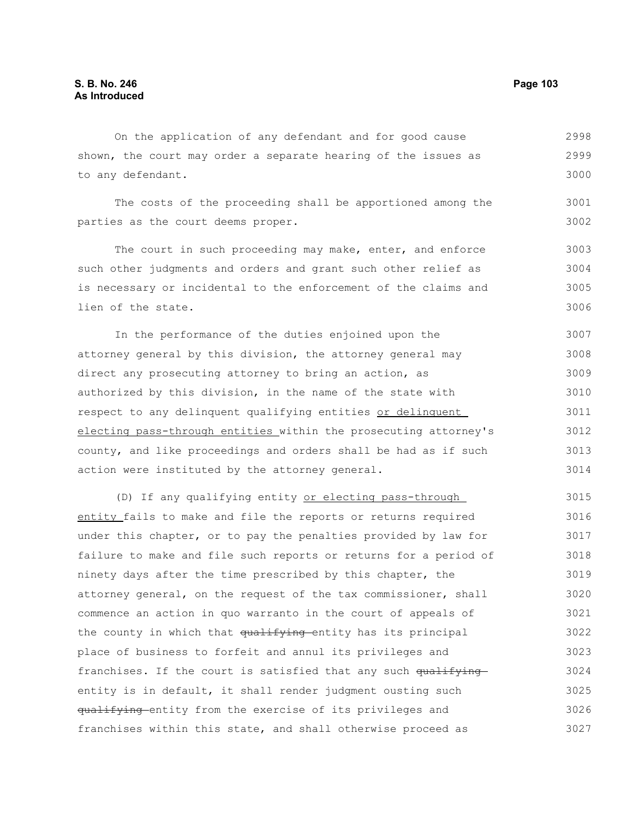On the application of any defendant and for good cause shown, the court may order a separate hearing of the issues as to any defendant. 2998 2999 3000

The costs of the proceeding shall be apportioned among the parties as the court deems proper. 3001 3002

The court in such proceeding may make, enter, and enforce such other judgments and orders and grant such other relief as is necessary or incidental to the enforcement of the claims and lien of the state. 3003 3004 3005 3006

In the performance of the duties enjoined upon the attorney general by this division, the attorney general may direct any prosecuting attorney to bring an action, as authorized by this division, in the name of the state with respect to any delinquent qualifying entities or delinquent electing pass-through entities within the prosecuting attorney's county, and like proceedings and orders shall be had as if such action were instituted by the attorney general. 3007 3008 3009 3010 3011 3012 3013 3014

(D) If any qualifying entity or electing pass-through entity fails to make and file the reports or returns required under this chapter, or to pay the penalties provided by law for failure to make and file such reports or returns for a period of ninety days after the time prescribed by this chapter, the attorney general, on the request of the tax commissioner, shall commence an action in quo warranto in the court of appeals of the county in which that qualifying entity has its principal place of business to forfeit and annul its privileges and franchises. If the court is satisfied that any such  $qu$ <sup>ifying</sup> entity is in default, it shall render judgment ousting such qualifying entity from the exercise of its privileges and franchises within this state, and shall otherwise proceed as 3015 3016 3017 3018 3019 3020 3021 3022 3023 3024 3025 3026 3027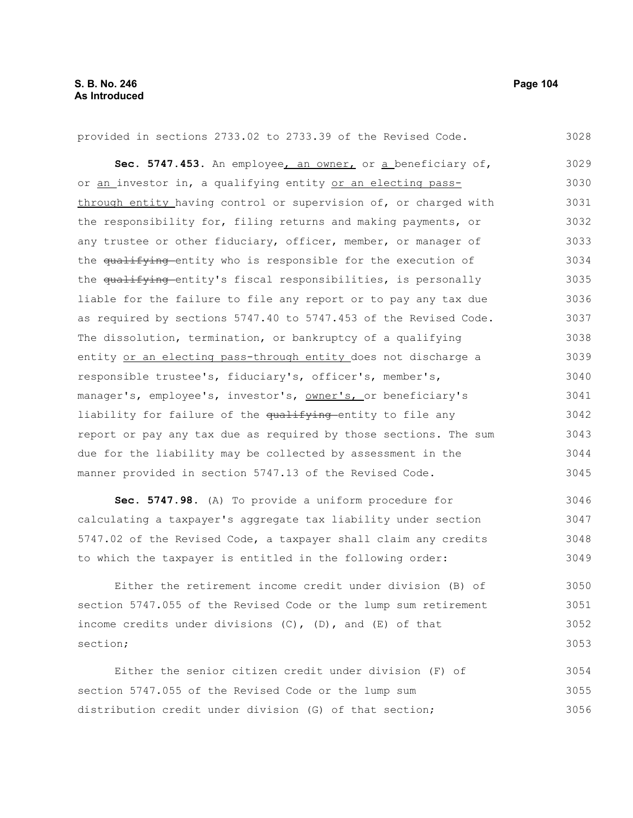#### provided in sections 2733.02 to 2733.39 of the Revised Code. **Sec. 5747.453.** An employee, an owner, or a beneficiary of, or an investor in, a qualifying entity or an electing passthrough entity having control or supervision of, or charged with the responsibility for, filing returns and making payments, or any trustee or other fiduciary, officer, member, or manager of the qualifying entity who is responsible for the execution of the qualifying entity's fiscal responsibilities, is personally liable for the failure to file any report or to pay any tax due as required by sections 5747.40 to 5747.453 of the Revised Code. The dissolution, termination, or bankruptcy of a qualifying entity or an electing pass-through entity does not discharge a responsible trustee's, fiduciary's, officer's, member's, manager's, employee's, investor's, owner's, or beneficiary's liability for failure of the qualifying entity to file any report or pay any tax due as required by those sections. The sum due for the liability may be collected by assessment in the manner provided in section 5747.13 of the Revised Code. **Sec. 5747.98.** (A) To provide a uniform procedure for calculating a taxpayer's aggregate tax liability under section 5747.02 of the Revised Code, a taxpayer shall claim any credits to which the taxpayer is entitled in the following order: 3028 3029 3030 3031 3032 3033 3034 3035 3036 3037 3038 3039 3040 3041 3042 3043 3044 3045 3046 3047 3048 3049

Either the retirement income credit under division (B) of section 5747.055 of the Revised Code or the lump sum retirement income credits under divisions  $(C)$ ,  $(D)$ , and  $(E)$  of that section; 3050 3051 3052 3053

Either the senior citizen credit under division (F) of section 5747.055 of the Revised Code or the lump sum distribution credit under division (G) of that section; 3054 3055 3056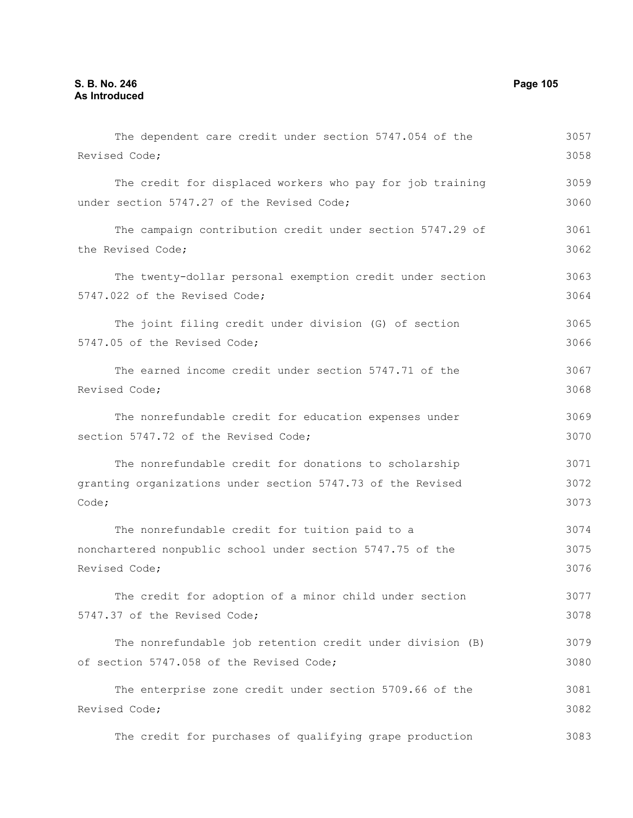The dependent care credit under section 5747.054 of the Revised Code; The credit for displaced workers who pay for job training under section 5747.27 of the Revised Code; The campaign contribution credit under section 5747.29 of the Revised Code; The twenty-dollar personal exemption credit under section 5747.022 of the Revised Code; The joint filing credit under division (G) of section 5747.05 of the Revised Code; The earned income credit under section 5747.71 of the Revised Code; The nonrefundable credit for education expenses under section 5747.72 of the Revised Code; The nonrefundable credit for donations to scholarship granting organizations under section 5747.73 of the Revised Code; The nonrefundable credit for tuition paid to a nonchartered nonpublic school under section 5747.75 of the Revised Code; The credit for adoption of a minor child under section 5747.37 of the Revised Code; The nonrefundable job retention credit under division (B) of section 5747.058 of the Revised Code; The enterprise zone credit under section 5709.66 of the Revised Code; 3057 3058 3059 3060 3061 3062 3063 3064 3065 3066 3067 3068 3069 3070 3071 3072 3073 3074 3075 3076 3077 3078 3079 3080 3081 3082

The credit for purchases of qualifying grape production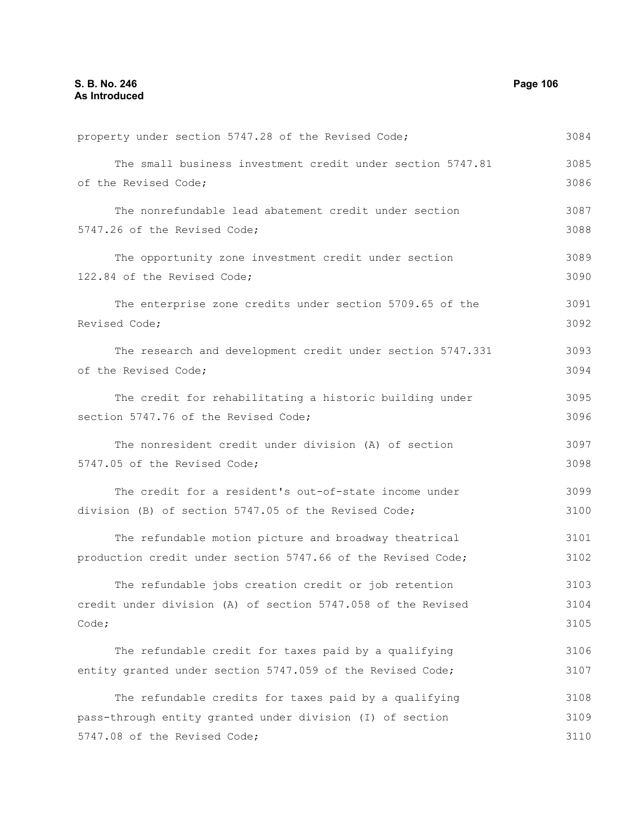property under section 5747.28 of the Revised Code; The small business investment credit under section 5747.81 of the Revised Code; The nonrefundable lead abatement credit under section 5747.26 of the Revised Code; The opportunity zone investment credit under section 122.84 of the Revised Code; The enterprise zone credits under section 5709.65 of the Revised Code; The research and development credit under section 5747.331 of the Revised Code; The credit for rehabilitating a historic building under section 5747.76 of the Revised Code; The nonresident credit under division (A) of section 5747.05 of the Revised Code; The credit for a resident's out-of-state income under division (B) of section 5747.05 of the Revised Code; The refundable motion picture and broadway theatrical production credit under section 5747.66 of the Revised Code; The refundable jobs creation credit or job retention credit under division (A) of section 5747.058 of the Revised Code; The refundable credit for taxes paid by a qualifying entity granted under section 5747.059 of the Revised Code; The refundable credits for taxes paid by a qualifying pass-through entity granted under division (I) of section 5747.08 of the Revised Code; 3084 3085 3086 3087 3088 3089 3090 3091 3092 3093 3094 3095 3096 3097 3098 3099 3100 3101 3102 3103 3104 3105 3106 3107 3108 3109 3110